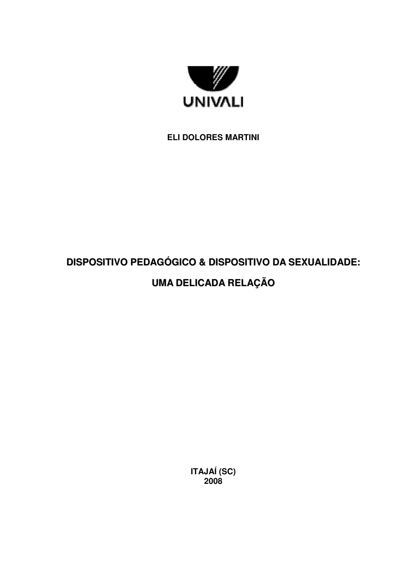

## **ELI DOLORES MARTINI**

# **DISPOSITIVO PEDAGÓGICO & DISPOSITIVO DA SEXUALIDADE: UMA DELICADA RELAÇÃO**

**ITAJAÍ (SC) 2008**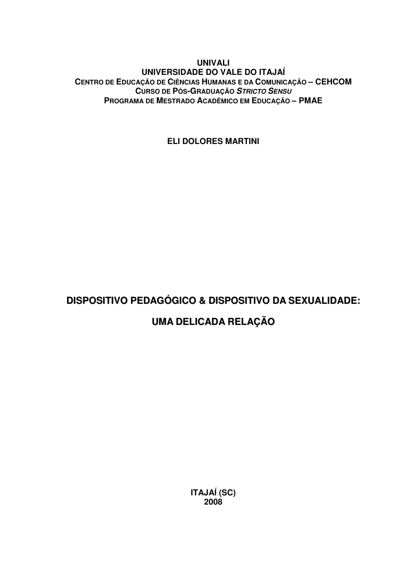### **UNIVALI UNIVERSIDADE DO VALE DO ITAJAÍ CENTRO DE EDUCAÇÃO DE CIÊNCIAS HUMANAS E DA COMUNICAÇÃO – CEHCOM CURSO DE PÓS-GRADUAÇÃO** *STRICTO SENSU* **PROGRAMA DE MESTRADO ACADÊMICO EM EDUCAÇÃO – PMAE**

**ELI DOLORES MARTINI**

# **DISPOSITIVO PEDAGÓGICO & DISPOSITIVO DA SEXUALIDADE:**

# **UMA DELICADA RELAÇÃO**

**ITAJAÍ (SC) 2008**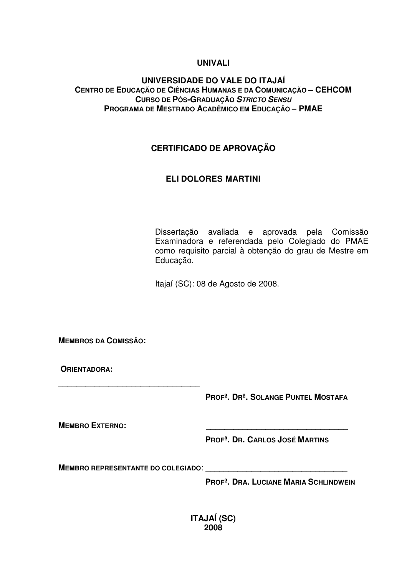### **UNIVALI**

### **UNIVERSIDADE DO VALE DO ITAJAÍ CENTRO DE EDUCAÇÃO DE CIÊNCIAS HUMANAS E DA COMUNICAÇÃO – CEHCOM CURSO DE PÓS-GRADUAÇÃO** *STRICTO SENSU* **PROGRAMA DE MESTRADO ACADÊMICO EM EDUCAÇÃO – PMAE**

### **CERTIFICADO DE APROVAÇÃO**

### **ELI DOLORES MARTINI**

Dissertação avaliada e aprovada pela Comissão Examinadora e referendada pelo Colegiado do PMAE como requisito parcial à obtenção do grau de Mestre em Educação.

Itajaí (SC): 08 de Agosto de 2008.

**MEMBROS DA COMISSÃO:**

**ORIENTADORA:**

**PROFª. DRª. SOLANGE PUNTEL MOSTAFA**

**MEMBRO EXTERNO:** \_\_\_\_\_\_\_\_\_\_\_\_\_\_\_\_\_\_\_\_\_\_\_\_\_\_\_\_\_\_\_

**PROFª. DR. CARLOS JOSÉ MARTINS**

**MEMBRO REPRESENTANTE DO COLEGIADO**: \_\_\_\_\_\_\_\_\_\_\_\_\_\_\_\_\_\_\_\_\_\_\_\_\_\_\_\_\_\_\_

\_\_\_\_\_\_\_\_\_\_\_\_\_\_\_\_\_\_\_\_\_\_\_\_\_\_\_\_\_\_\_

**PROFª. DRA. LUCIANE MARIA SCHLINDWEIN**

**ITAJAÍ (SC) 2008**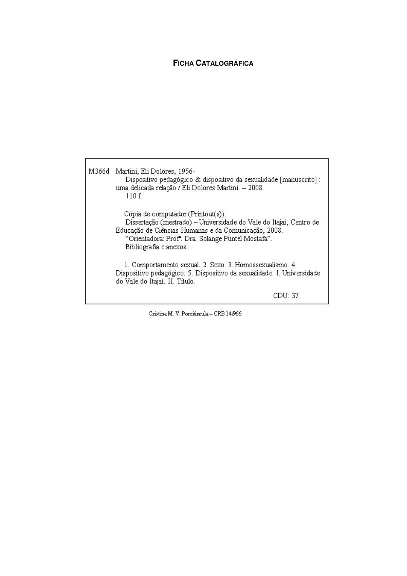### **FICHA CATALOGRÁFICA**

M366d Martini, Eli Dolores, 1956-Dispositivo pedagógico & dispositivo da sexualidade [manuscrito] : uma delicada relação / Eli Dolores Martini. - 2008. 110 f. Cópia de computador (Printout(s)). Dissertação (mestrado) - Universidade do Vale do Itajaí, Centro de Educação de Ciências Humanas e da Comunicação, 2008. "Orientadora: Prof". Dra Solange Puntel Mostafa". Bibliografia e anexos. 1. Comportamento sexual. 2. Sexo. 3. Homossexualismo. 4. Dispositivo pedagógico. 5. Dispositivo da sexualidade. I. Universidade do Vale do Itajaí. II. Título. CDU: 37

Cristina M. V. Porciúncula - CRB 14.966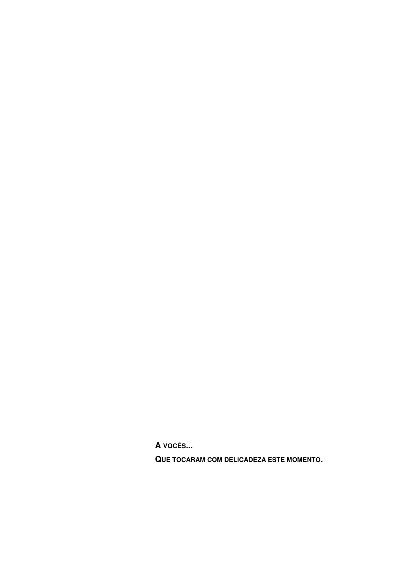**A VOCÊS...**

**QUE TOCARAM COM DELICADEZA ESTE MOMENTO.**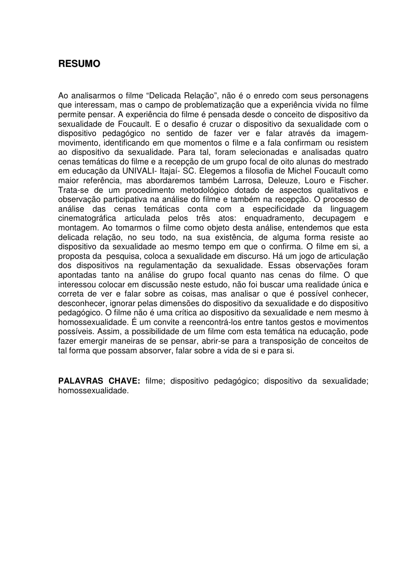## **RESUMO**

Ao analisarmos o filme "Delicada Relação", não é o enredo com seus personagens que interessam, mas o campo de problematização que a experiência vivida no filme permite pensar. A experiência do filme é pensada desde o conceito de dispositivo da sexualidade de Foucault. E o desafio é cruzar o dispositivo da sexualidade com o dispositivo pedagógico no sentido de fazer ver e falar através da imagemmovimento, identificando em que momentos o filme e a fala confirmam ou resistem ao dispositivo da sexualidade. Para tal, foram selecionadas e analisadas quatro cenas temáticas do filme e a recepção de um grupo focal de oito alunas do mestrado em educação da UNIVALI- Itajaí- SC. Elegemos a filosofia de Michel Foucault como maior referência, mas abordaremos também Larrosa, Deleuze, Louro e Fischer. Trata-se de um procedimento metodológico dotado de aspectos qualitativos e observação participativa na análise do filme e também na recepção. O processo de análise das cenas temáticas conta com a especificidade da linguagem cinematográfica articulada pelos três atos: enquadramento, decupagem e montagem. Ao tomarmos o filme como objeto desta análise, entendemos que esta delicada relação, no seu todo, na sua existência, de alguma forma resiste ao dispositivo da sexualidade ao mesmo tempo em que o confirma. O filme em si, a proposta da pesquisa, coloca a sexualidade em discurso. Há um jogo de articulação dos dispositivos na regulamentação da sexualidade. Essas observações foram apontadas tanto na análise do grupo focal quanto nas cenas do filme. O que interessou colocar em discussão neste estudo, não foi buscar uma realidade única e correta de ver e falar sobre as coisas, mas analisar o que é possível conhecer, desconhecer, ignorar pelas dimensões do dispositivo da sexualidade e do dispositivo pedagógico. O filme não é uma crítica ao dispositivo da sexualidade e nem mesmo à homossexualidade. É um convite a reencontrá-los entre tantos gestos e movimentos possíveis. Assim, a possibilidade de um filme com esta temática na educação, pode fazer emergir maneiras de se pensar, abrir-se para a transposição de conceitos de tal forma que possam absorver, falar sobre a vida de si e para si.

**PALAVRAS CHAVE:** filme; dispositivo pedagógico; dispositivo da sexualidade; homossexualidade.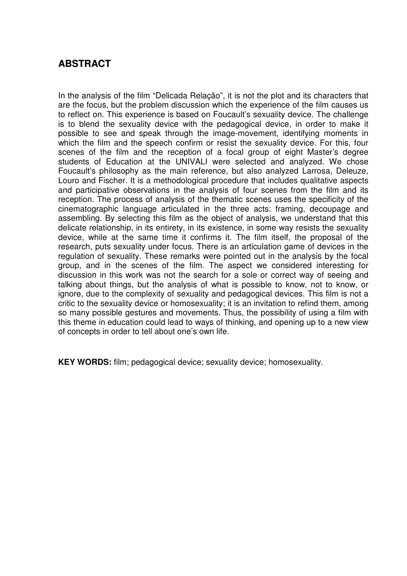## **ABSTRACT**

In the analysis of the film "Delicada Relação", it is not the plot and its characters that are the focus, but the problem discussion which the experience of the film causes us to reflect on. This experience is based on Foucault's sexuality device. The challenge is to blend the sexuality device with the pedagogical device, in order to make it possible to see and speak through the image-movement, identifying moments in which the film and the speech confirm or resist the sexuality device. For this, four scenes of the film and the reception of a focal group of eight Master's degree students of Education at the UNIVALI were selected and analyzed. We chose Foucault's philosophy as the main reference, but also analyzed Larrosa, Deleuze, Louro and Fischer. It is a methodological procedure that includes qualitative aspects and participative observations in the analysis of four scenes from the film and its reception. The process of analysis of the thematic scenes uses the specificity of the cinematographic language articulated in the three acts: framing, decoupage and assembling. By selecting this film as the object of analysis, we understand that this delicate relationship, in its entirety, in its existence, in some way resists the sexuality device, while at the same time it confirms it. The film itself, the proposal of the research, puts sexuality under focus. There is an articulation game of devices in the regulation of sexuality. These remarks were pointed out in the analysis by the focal group, and in the scenes of the film. The aspect we considered interesting for discussion in this work was not the search for a sole or correct way of seeing and talking about things, but the analysis of what is possible to know, not to know, or ignore, due to the complexity of sexuality and pedagogical devices. This film is not a critic to the sexuality device or homosexuality; it is an invitation to refind them, among so many possible gestures and movements. Thus, the possibility of using a film with this theme in education could lead to ways of thinking, and opening up to a new view of concepts in order to tell about one's own life.

**KEY WORDS:** film; pedagogical device; sexuality device; homosexuality.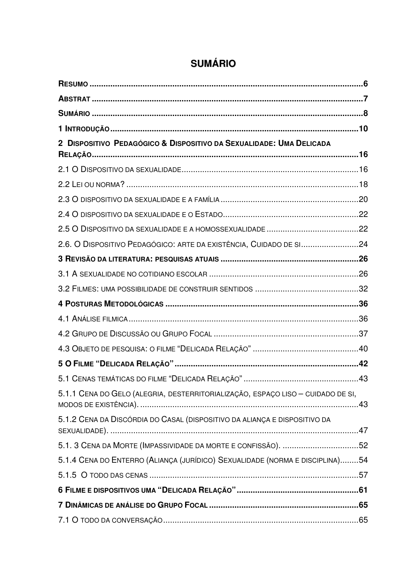| 2 DISPOSITIVO PEDAGÓGICO & DISPOSITIVO DA SEXUALIDADE: UMA DELICADA             |  |
|---------------------------------------------------------------------------------|--|
|                                                                                 |  |
|                                                                                 |  |
|                                                                                 |  |
|                                                                                 |  |
|                                                                                 |  |
| 2.6. O DISPOSITIVO PEDAGÓGICO: ARTE DA EXISTÊNCIA, CUIDADO DE SI24              |  |
|                                                                                 |  |
|                                                                                 |  |
|                                                                                 |  |
|                                                                                 |  |
|                                                                                 |  |
|                                                                                 |  |
|                                                                                 |  |
|                                                                                 |  |
|                                                                                 |  |
| 5.1.1 CENA DO GELO (ALEGRIA, DESTERRITORIALIZAÇÃO, ESPAÇO LISO - CUIDADO DE SI, |  |
| 5.1.2 CENA DA DISCÓRDIA DO CASAL (DISPOSITIVO DA ALIANÇA E DISPOSITIVO DA       |  |
| 5.1. 3 CENA DA MORTE (IMPASSIVIDADE DA MORTE E CONFISSÃO). 52                   |  |
| 5.1.4 CENA DO ENTERRO (ALIANÇA (JURÍDICO) SEXUALIDADE (NORMA E DISCIPLINA)54    |  |
|                                                                                 |  |
|                                                                                 |  |
|                                                                                 |  |
|                                                                                 |  |

# **SUMÁRIO**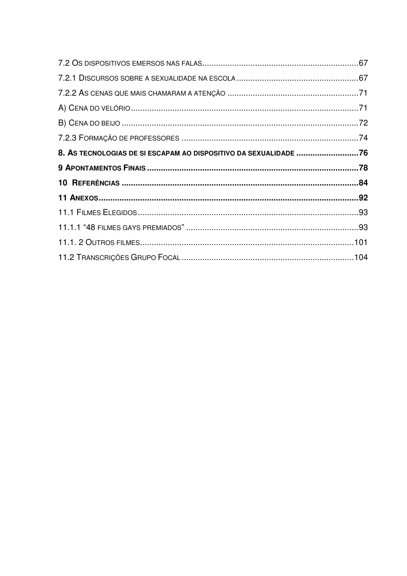| 8. AS TECNOLOGIAS DE SI ESCAPAM AO DISPOSITIVO DA SEXUALIDADE 76 |  |
|------------------------------------------------------------------|--|
|                                                                  |  |
|                                                                  |  |
|                                                                  |  |
|                                                                  |  |
|                                                                  |  |
|                                                                  |  |
|                                                                  |  |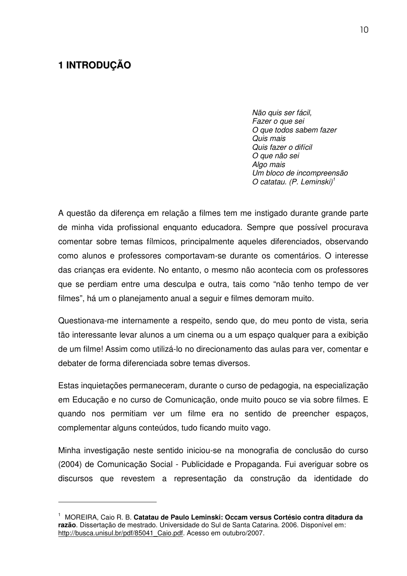## **1 INTRODUÇÃO**

*Não quis ser fácil, Fazer o que sei O que todos sabem fazer Quis mais Quis fazer o difícil O que não sei Algo mais Um bloco de incompreensão O catatau. (P. Leminski) 1*

A questão da diferença em relação a filmes tem me instigado durante grande parte de minha vida profissional enquanto educadora. Sempre que possível procurava comentar sobre temas fílmicos, principalmente aqueles diferenciados, observando como alunos e professores comportavam-se durante os comentários. O interesse das crianças era evidente. No entanto, o mesmo não acontecia com os professores que se perdiam entre uma desculpa e outra, tais como "não tenho tempo de ver filmes", há um o planejamento anual a seguir e filmes demoram muito.

Questionava-me internamente a respeito, sendo que, do meu ponto de vista, seria tão interessante levar alunos a um cinema ou a um espaço qualquer para a exibição de um filme! Assim como utilizá-lo no direcionamento das aulas para ver, comentar e debater de forma diferenciada sobre temas diversos.

Estas inquietações permaneceram, durante o curso de pedagogia, na especialização em Educação e no curso de Comunicação, onde muito pouco se via sobre filmes. E quando nos permitiam ver um filme era no sentido de preencher espaços, complementar alguns conteúdos, tudo ficando muito vago.

Minha investigação neste sentido iniciou-se na monografia de conclusão do curso (2004) de Comunicação Social - Publicidade e Propaganda. Fui averiguar sobre os discursos que revestem a representação da construção da identidade do

<sup>1</sup> MOREIRA, Caio R. B. **Catatau de Paulo Leminski: Occam versus Cortésio contra ditadura da razão**. Dissertação de mestrado. Universidade do Sul de Santa Catarina. 2006. Disponível em: http://busca.unisul.br/pdf/85041\_Caio.pdf. Acesso em outubro/2007.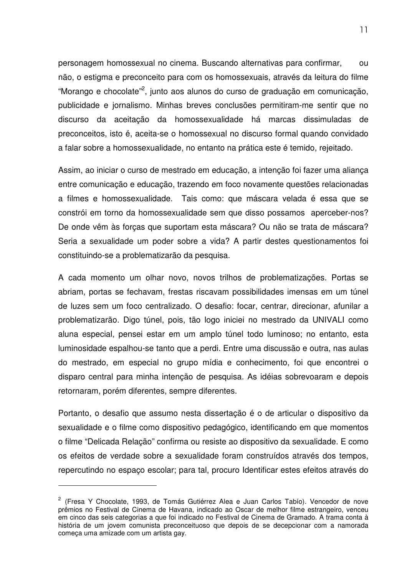personagem homossexual no cinema. Buscando alternativas para confirmar, ou não, o estigma e preconceito para com os homossexuais, através da leitura do filme "Morango e chocolate"<sup>2</sup>, junto aos alunos do curso de graduação em comunicação, publicidade e jornalismo. Minhas breves conclusões permitiram-me sentir que no discurso da aceitação da homossexualidade há marcas dissimuladas de preconceitos, isto é, aceita-se o homossexual no discurso formal quando convidado a falar sobre a homossexualidade, no entanto na prática este é temido, rejeitado.

Assim, ao iniciar o curso de mestrado em educação, a intenção foi fazer uma aliança entre comunicação e educação, trazendo em foco novamente questões relacionadas a filmes e homossexualidade. Tais como: que máscara velada é essa que se constrói em torno da homossexualidade sem que disso possamos aperceber-nos? De onde vêm às forças que suportam esta máscara? Ou não se trata de máscara? Seria a sexualidade um poder sobre a vida? A partir destes questionamentos foi constituindo-se a problematizarão da pesquisa.

A cada momento um olhar novo, novos trilhos de problematizações. Portas se abriam, portas se fechavam, frestas riscavam possibilidades imensas em um túnel de luzes sem um foco centralizado. O desafio: focar, centrar, direcionar, afunilar a problematizarão. Digo túnel, pois, tão logo iniciei no mestrado da UNIVALI como aluna especial, pensei estar em um amplo túnel todo luminoso; no entanto, esta luminosidade espalhou-se tanto que a perdi. Entre uma discussão e outra, nas aulas do mestrado, em especial no grupo mídia e conhecimento, foi que encontrei o disparo central para minha intenção de pesquisa. As idéias sobrevoaram e depois retornaram, porém diferentes, sempre diferentes.

Portanto, o desafio que assumo nesta dissertação é o de articular o dispositivo da sexualidade e o filme como dispositivo pedagógico, identificando em que momentos o filme "Delicada Relação" confirma ou resiste ao dispositivo da sexualidade. E como os efeitos de verdade sobre a sexualidade foram construídos através dos tempos, repercutindo no espaço escolar; para tal, procuro Identificar estes efeitos através do

<sup>&</sup>lt;sup>2</sup> (Fresa Y Chocolate, 1993, de Tomás Gutiérrez Alea e Juan Carlos Tabío). Vencedor de nove prêmios no Festival de Cinema de Havana, indicado ao Oscar de melhor filme estrangeiro, venceu em cinco das seis categorias a que foi indicado no Festival de Cinema de Gramado. A trama conta à história de um jovem comunista preconceituoso que depois de se decepcionar com a namorada começa uma amizade com um artista gay.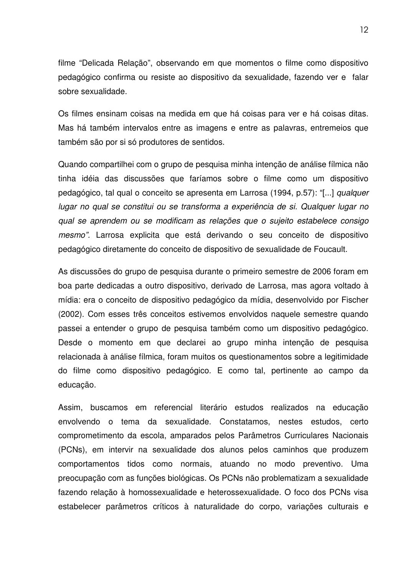filme "Delicada Relação", observando em que momentos o filme como dispositivo pedagógico confirma ou resiste ao dispositivo da sexualidade, fazendo ver e falar sobre sexualidade.

Os filmes ensinam coisas na medida em que há coisas para ver e há coisas ditas. Mas há também intervalos entre as imagens e entre as palavras, entremeios que também são por si só produtores de sentidos.

Quando compartilhei com o grupo de pesquisa minha intenção de análise fílmica não tinha idéia das discussões que faríamos sobre o filme como um dispositivo pedagógico, tal qual o conceito se apresenta em Larrosa (1994, p.57): "[...] *qualquer lugar no qual se constitui ou se transforma a experiência de si. Qualquer lugar no qual se aprendem ou se modificam as relações que o sujeito estabelece consigo mesmo".* Larrosa explicita que está derivando o seu conceito de dispositivo pedagógico diretamente do conceito de dispositivo de sexualidade de Foucault.

As discussões do grupo de pesquisa durante o primeiro semestre de 2006 foram em boa parte dedicadas a outro dispositivo, derivado de Larrosa, mas agora voltado à mídia: era o conceito de dispositivo pedagógico da mídia, desenvolvido por Fischer (2002). Com esses três conceitos estivemos envolvidos naquele semestre quando passei a entender o grupo de pesquisa também como um dispositivo pedagógico. Desde o momento em que declarei ao grupo minha intenção de pesquisa relacionada à análise fílmica, foram muitos os questionamentos sobre a legitimidade do filme como dispositivo pedagógico. E como tal, pertinente ao campo da educação.

Assim, buscamos em referencial literário estudos realizados na educação envolvendo o tema da sexualidade. Constatamos, nestes estudos, certo comprometimento da escola, amparados pelos Parâmetros Curriculares Nacionais (PCNs), em intervir na sexualidade dos alunos pelos caminhos que produzem comportamentos tidos como normais, atuando no modo preventivo. Uma preocupação com as funções biológicas. Os PCNs não problematizam a sexualidade fazendo relação à homossexualidade e heterossexualidade. O foco dos PCNs visa estabelecer parâmetros críticos à naturalidade do corpo, variações culturais e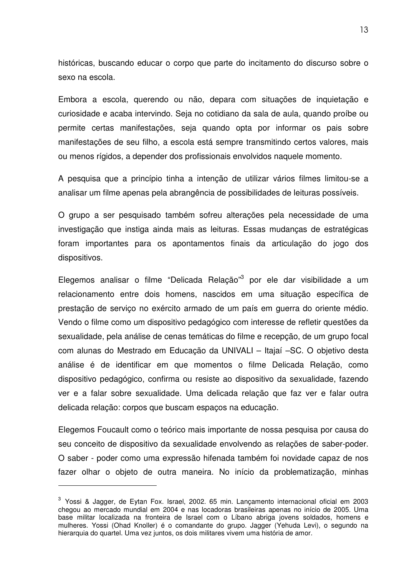históricas, buscando educar o corpo que parte do incitamento do discurso sobre o sexo na escola.

Embora a escola, querendo ou não, depara com situações de inquietação e curiosidade e acaba intervindo. Seja no cotidiano da sala de aula, quando proíbe ou permite certas manifestações, seja quando opta por informar os pais sobre manifestações de seu filho, a escola está sempre transmitindo certos valores, mais ou menos rígidos, a depender dos profissionais envolvidos naquele momento.

A pesquisa que a princípio tinha a intenção de utilizar vários filmes limitou-se a analisar um filme apenas pela abrangência de possibilidades de leituras possíveis.

O grupo a ser pesquisado também sofreu alterações pela necessidade de uma investigação que instiga ainda mais as leituras. Essas mudanças de estratégicas foram importantes para os apontamentos finais da articulação do jogo dos dispositivos.

Elegemos analisar o filme "Delicada Relação"<sup>3</sup> por ele dar visibilidade a um relacionamento entre dois homens, nascidos em uma situação específica de prestação de serviço no exército armado de um país em guerra do oriente médio. Vendo o filme como um dispositivo pedagógico com interesse de refletir questões da sexualidade, pela análise de cenas temáticas do filme e recepção, de um grupo focal com alunas do Mestrado em Educação da UNIVALI – Itajaí –SC. O objetivo desta análise é de identificar em que momentos o filme Delicada Relação, como dispositivo pedagógico, confirma ou resiste ao dispositivo da sexualidade, fazendo ver e a falar sobre sexualidade. Uma delicada relação que faz ver e falar outra delicada relação: corpos que buscam espaços na educação.

Elegemos Foucault como o teórico mais importante de nossa pesquisa por causa do seu conceito de dispositivo da sexualidade envolvendo as relações de saber-poder. O saber - poder como uma expressão hifenada também foi novidade capaz de nos fazer olhar o objeto de outra maneira. No início da problematização, minhas

<sup>&</sup>lt;sup>3</sup> Yossi & Jagger, de Eytan Fox. Israel, 2002. 65 min. Lançamento internacional oficial em 2003 chegou ao mercado mundial em 2004 e nas locadoras brasileiras apenas no início de 2005. Uma base militar localizada na fronteira de Israel com o Líbano abriga jovens soldados, homens e mulheres. Yossi (Ohad Knoller) é o comandante do grupo. Jagger (Yehuda Levi), o segundo na hierarquia do quartel. Uma vez juntos, os dois militares vivem uma história de amor.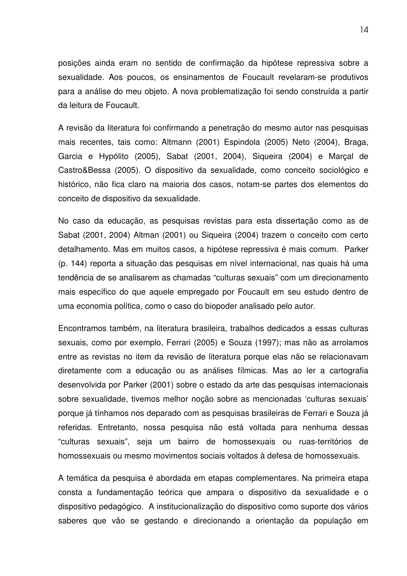posições ainda eram no sentido de confirmação da hipótese repressiva sobre a sexualidade. Aos poucos, os ensinamentos de Foucault revelaram-se produtivos para a análise do meu objeto. A nova problematização foi sendo construída a partir da leitura de Foucault.

A revisão da literatura foi confirmando a penetração do mesmo autor nas pesquisas mais recentes, tais como: Altmann (2001) Espindola (2005) Neto (2004), Braga, Garcia e Hypólito (2005), Sabat (2001, 2004), Siqueira (2004) e Marçal de Castro&Bessa (2005). O dispositivo da sexualidade, como conceito sociológico e histórico, não fica claro na maioria dos casos, notam-se partes dos elementos do conceito de dispositivo da sexualidade.

No caso da educação, as pesquisas revistas para esta dissertação como as de Sabat (2001, 2004) Altman (2001) ou Siqueira (2004) trazem o conceito com certo detalhamento. Mas em muitos casos, a hipótese repressiva é mais comum. Parker (p. 144) reporta a situação das pesquisas em nível internacional, nas quais há uma tendência de se analisarem as chamadas "culturas sexuais" com um direcionamento mais específico do que aquele empregado por Foucault em seu estudo dentro de uma economia política, como o caso do biopoder analisado pelo autor.

Encontramos também, na literatura brasileira, trabalhos dedicados a essas culturas sexuais, como por exemplo, Ferrari (2005) e Souza (1997); mas não as arrolamos entre as revistas no item da revisão de literatura porque elas não se relacionavam diretamente com a educação ou as análises fílmicas. Mas ao ler a cartografia desenvolvida por Parker (2001) sobre o estado da arte das pesquisas internacionais sobre sexualidade, tivemos melhor noção sobre as mencionadas 'culturas sexuais' porque já tínhamos nos deparado com as pesquisas brasileiras de Ferrari e Souza já referidas. Entretanto, nossa pesquisa não está voltada para nenhuma dessas "culturas sexuais", seja um bairro de homossexuais ou ruas-territórios de homossexuais ou mesmo movimentos sociais voltados à defesa de homossexuais.

A temática da pesquisa é abordada em etapas complementares. Na primeira etapa consta a fundamentação teórica que ampara o dispositivo da sexualidade e o dispositivo pedagógico. A institucionalização do dispositivo como suporte dos vários saberes que vão se gestando e direcionando a orientação da população em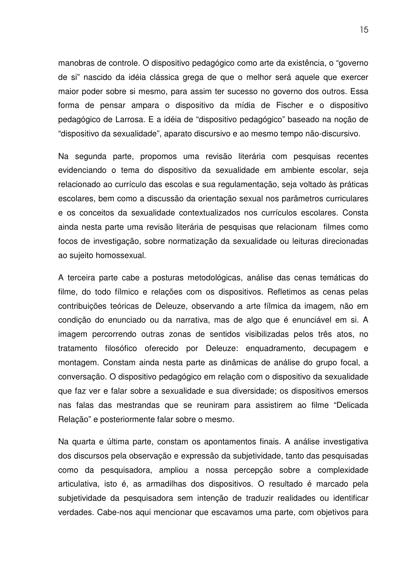manobras de controle. O dispositivo pedagógico como arte da existência, o "governo de si" nascido da idéia clássica grega de que o melhor será aquele que exercer maior poder sobre si mesmo, para assim ter sucesso no governo dos outros. Essa forma de pensar ampara o dispositivo da mídia de Fischer e o dispositivo pedagógico de Larrosa. E a idéia de "dispositivo pedagógico" baseado na noção de "dispositivo da sexualidade", aparato discursivo e ao mesmo tempo não-discursivo.

Na segunda parte, propomos uma revisão literária com pesquisas recentes evidenciando o tema do dispositivo da sexualidade em ambiente escolar, seja relacionado ao currículo das escolas e sua regulamentação, seja voltado às práticas escolares, bem como a discussão da orientação sexual nos parâmetros curriculares e os conceitos da sexualidade contextualizados nos currículos escolares. Consta ainda nesta parte uma revisão literária de pesquisas que relacionam filmes como focos de investigação, sobre normatização da sexualidade ou leituras direcionadas ao sujeito homossexual.

A terceira parte cabe a posturas metodológicas, análise das cenas temáticas do filme, do todo fílmico e relações com os dispositivos. Refletimos as cenas pelas contribuições teóricas de Deleuze, observando a arte fílmica da imagem, não em condição do enunciado ou da narrativa, mas de algo que é enunciável em si. A imagem percorrendo outras zonas de sentidos visibilizadas pelos três atos, no tratamento filosófico oferecido por Deleuze: enquadramento, decupagem e montagem. Constam ainda nesta parte as dinâmicas de análise do grupo focal, a conversação. O dispositivo pedagógico em relação com o dispositivo da sexualidade que faz ver e falar sobre a sexualidade e sua diversidade; os dispositivos emersos nas falas das mestrandas que se reuniram para assistirem ao filme "Delicada Relação" e posteriormente falar sobre o mesmo.

Na quarta e última parte, constam os apontamentos finais. A análise investigativa dos discursos pela observação e expressão da subjetividade, tanto das pesquisadas como da pesquisadora, ampliou a nossa percepção sobre a complexidade articulativa, isto é, as armadilhas dos dispositivos. O resultado é marcado pela subjetividade da pesquisadora sem intenção de traduzir realidades ou identificar verdades. Cabe-nos aqui mencionar que escavamos uma parte, com objetivos para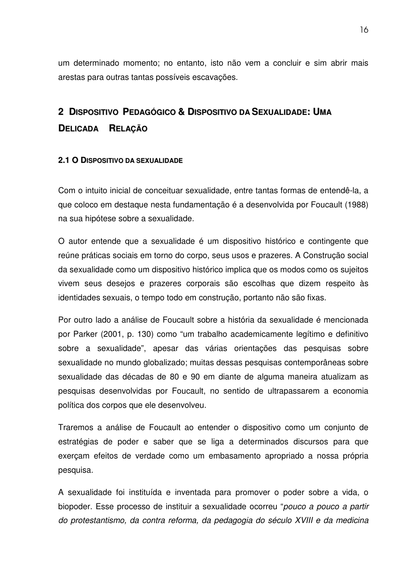um determinado momento; no entanto, isto não vem a concluir e sim abrir mais arestas para outras tantas possíveis escavações.

# **2 DISPOSITIVO PEDAGÓGICO & DISPOSITIVO DA SEXUALIDADE: UMA DELICADA RELAÇÃO**

### **2.1 O DISPOSITIVO DA SEXUALIDADE**

Com o intuito inicial de conceituar sexualidade, entre tantas formas de entendê-la, a que coloco em destaque nesta fundamentação é a desenvolvida por Foucault (1988) na sua hipótese sobre a sexualidade.

O autor entende que a sexualidade é um dispositivo histórico e contingente que reúne práticas sociais em torno do corpo, seus usos e prazeres. A Construção social da sexualidade como um dispositivo histórico implica que os modos como os sujeitos vivem seus desejos e prazeres corporais são escolhas que dizem respeito às identidades sexuais, o tempo todo em construção, portanto não são fixas.

Por outro lado a análise de Foucault sobre a história da sexualidade é mencionada por Parker (2001, p. 130) como "um trabalho academicamente legítimo e definitivo sobre a sexualidade", apesar das várias orientações das pesquisas sobre sexualidade no mundo globalizado; muitas dessas pesquisas contemporâneas sobre sexualidade das décadas de 80 e 90 em diante de alguma maneira atualizam as pesquisas desenvolvidas por Foucault, no sentido de ultrapassarem a economia política dos corpos que ele desenvolveu.

Traremos a análise de Foucault ao entender o dispositivo como um conjunto de estratégias de poder e saber que se liga a determinados discursos para que exerçam efeitos de verdade como um embasamento apropriado a nossa própria pesquisa.

A sexualidade foi instituída e inventada para promover o poder sobre a vida, o biopoder. Esse processo de instituir a sexualidade ocorreu "*pouco a pouco a partir do protestantismo, da contra reforma, da pedagogia do século XVIII e da medicina*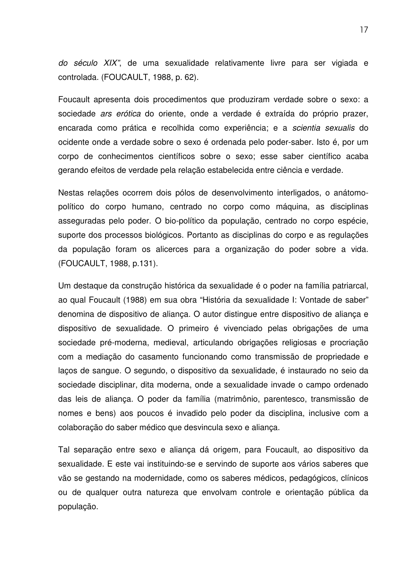*do século XIX"*, de uma sexualidade relativamente livre para ser vigiada e controlada. (FOUCAULT, 1988, p. 62).

Foucault apresenta dois procedimentos que produziram verdade sobre o sexo: a sociedade *ars erótica* do oriente, onde a verdade é extraída do próprio prazer, encarada como prática e recolhida como experiência; e a *scientia sexualis* do ocidente onde a verdade sobre o sexo é ordenada pelo poder-saber. Isto é, por um corpo de conhecimentos científicos sobre o sexo; esse saber científico acaba gerando efeitos de verdade pela relação estabelecida entre ciência e verdade.

Nestas relações ocorrem dois pólos de desenvolvimento interligados, o anátomopolítico do corpo humano, centrado no corpo como máquina, as disciplinas asseguradas pelo poder. O bio-político da população, centrado no corpo espécie, suporte dos processos biológicos. Portanto as disciplinas do corpo e as regulações da população foram os alicerces para a organização do poder sobre a vida. (FOUCAULT, 1988, p.131).

Um destaque da construção histórica da sexualidade é o poder na família patriarcal, ao qual Foucault (1988) em sua obra "História da sexualidade I: Vontade de saber" denomina de dispositivo de aliança. O autor distingue entre dispositivo de aliança e dispositivo de sexualidade. O primeiro é vivenciado pelas obrigações de uma sociedade pré-moderna, medieval, articulando obrigações religiosas e procriação com a mediação do casamento funcionando como transmissão de propriedade e laços de sangue. O segundo, o dispositivo da sexualidade, é instaurado no seio da sociedade disciplinar, dita moderna, onde a sexualidade invade o campo ordenado das leis de aliança. O poder da família (matrimônio, parentesco, transmissão de nomes e bens) aos poucos é invadido pelo poder da disciplina, inclusive com a colaboração do saber médico que desvincula sexo e aliança.

Tal separação entre sexo e aliança dá origem, para Foucault, ao dispositivo da sexualidade. E este vai instituindo-se e servindo de suporte aos vários saberes que vão se gestando na modernidade, como os saberes médicos, pedagógicos, clínicos ou de qualquer outra natureza que envolvam controle e orientação pública da população.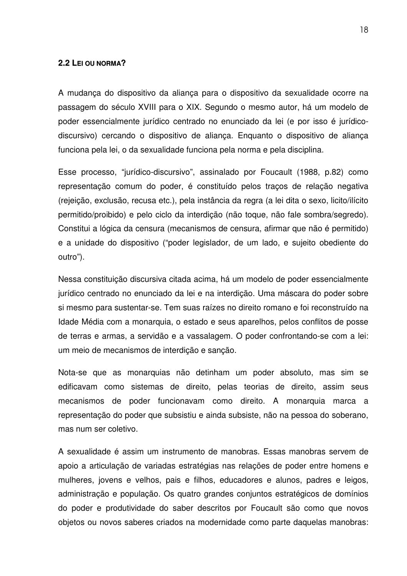#### **2.2 LEI OU NORMA?**

A mudança do dispositivo da aliança para o dispositivo da sexualidade ocorre na passagem do século XVIII para o XIX. Segundo o mesmo autor, há um modelo de poder essencialmente jurídico centrado no enunciado da lei (e por isso é jurídicodiscursivo) cercando o dispositivo de aliança. Enquanto o dispositivo de aliança funciona pela lei, o da sexualidade funciona pela norma e pela disciplina.

Esse processo, "jurídico-discursivo", assinalado por Foucault (1988, p.82) como representação comum do poder, é constituído pelos traços de relação negativa (rejeição, exclusão, recusa etc.), pela instância da regra (a lei dita o sexo, licito/ilícito permitido/proibido) e pelo ciclo da interdição (não toque, não fale sombra/segredo). Constitui a lógica da censura (mecanismos de censura, afirmar que não é permitido) e a unidade do dispositivo ("poder legislador, de um lado, e sujeito obediente do outro").

Nessa constituição discursiva citada acima, há um modelo de poder essencialmente jurídico centrado no enunciado da lei e na interdição. Uma máscara do poder sobre si mesmo para sustentar-se. Tem suas raízes no direito romano e foi reconstruído na Idade Média com a monarquia, o estado e seus aparelhos, pelos conflitos de posse de terras e armas, a servidão e a vassalagem. O poder confrontando-se com a lei: um meio de mecanismos de interdição e sanção.

Nota-se que as monarquias não detinham um poder absoluto, mas sim se edificavam como sistemas de direito, pelas teorias de direito, assim seus mecanismos de poder funcionavam como direito. A monarquia marca a representação do poder que subsistiu e ainda subsiste, não na pessoa do soberano, mas num ser coletivo.

A sexualidade é assim um instrumento de manobras. Essas manobras servem de apoio a articulação de variadas estratégias nas relações de poder entre homens e mulheres, jovens e velhos, pais e filhos, educadores e alunos, padres e leigos, administração e população. Os quatro grandes conjuntos estratégicos de domínios do poder e produtividade do saber descritos por Foucault são como que novos objetos ou novos saberes criados na modernidade como parte daquelas manobras: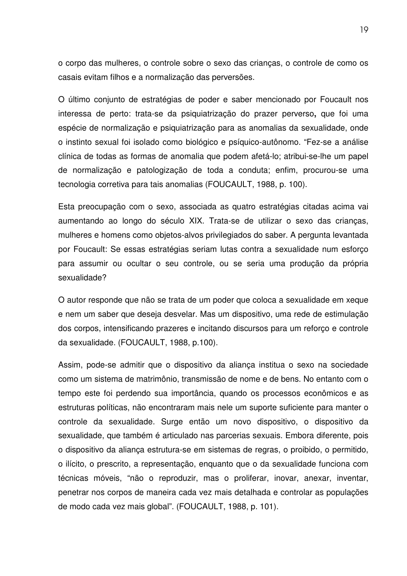o corpo das mulheres, o controle sobre o sexo das crianças, o controle de como os casais evitam filhos e a normalização das perversões.

O último conjunto de estratégias de poder e saber mencionado por Foucault nos interessa de perto: trata-se da psiquiatrização do prazer perverso**,** que foi uma espécie de normalização e psiquiatrização para as anomalias da sexualidade, onde o instinto sexual foi isolado como biológico e psíquico-autônomo. "Fez-se a análise clínica de todas as formas de anomalia que podem afetá-lo; atribui-se-lhe um papel de normalização e patologização de toda a conduta; enfim, procurou-se uma tecnologia corretiva para tais anomalias (FOUCAULT, 1988, p. 100).

Esta preocupação com o sexo, associada as quatro estratégias citadas acima vai aumentando ao longo do século XIX. Trata-se de utilizar o sexo das crianças, mulheres e homens como objetos-alvos privilegiados do saber. A pergunta levantada por Foucault: Se essas estratégias seriam lutas contra a sexualidade num esforço para assumir ou ocultar o seu controle, ou se seria uma produção da própria sexualidade?

O autor responde que não se trata de um poder que coloca a sexualidade em xeque e nem um saber que deseja desvelar. Mas um dispositivo, uma rede de estimulação dos corpos, intensificando prazeres e incitando discursos para um reforço e controle da sexualidade. (FOUCAULT, 1988, p.100).

Assim, pode-se admitir que o dispositivo da aliança institua o sexo na sociedade como um sistema de matrimônio, transmissão de nome e de bens. No entanto com o tempo este foi perdendo sua importância, quando os processos econômicos e as estruturas políticas, não encontraram mais nele um suporte suficiente para manter o controle da sexualidade. Surge então um novo dispositivo, o dispositivo da sexualidade, que também é articulado nas parcerias sexuais. Embora diferente, pois o dispositivo da aliança estrutura-se em sistemas de regras, o proibido, o permitido, o ilícito, o prescrito, a representação, enquanto que o da sexualidade funciona com técnicas móveis, "não o reproduzir, mas o proliferar, inovar, anexar, inventar, penetrar nos corpos de maneira cada vez mais detalhada e controlar as populações de modo cada vez mais global". (FOUCAULT, 1988, p. 101).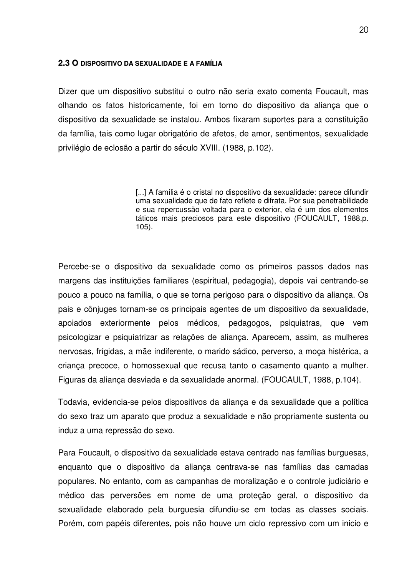#### **2.3 O DISPOSITIVO DA SEXUALIDADE E A FAMÍLIA**

Dizer que um dispositivo substitui o outro não seria exato comenta Foucault, mas olhando os fatos historicamente, foi em torno do dispositivo da aliança que o dispositivo da sexualidade se instalou. Ambos fixaram suportes para a constituição da família, tais como lugar obrigatório de afetos, de amor, sentimentos, sexualidade privilégio de eclosão a partir do século XVIII. (1988, p.102).

> [...] A família é o cristal no dispositivo da sexualidade: parece difundir uma sexualidade que de fato reflete e difrata. Por sua penetrabilidade e sua repercussão voltada para o exterior, ela é um dos elementos táticos mais preciosos para este dispositivo (FOUCAULT, 1988.p. 105).

Percebe-se o dispositivo da sexualidade como os primeiros passos dados nas margens das instituições familiares (espiritual, pedagogia), depois vai centrando-se pouco a pouco na família, o que se torna perigoso para o dispositivo da aliança. Os pais e cônjuges tornam-se os principais agentes de um dispositivo da sexualidade, apoiados exteriormente pelos médicos, pedagogos, psiquiatras, que vem psicologizar e psiquiatrizar as relações de aliança. Aparecem, assim, as mulheres nervosas, frígidas, a mãe indiferente, o marido sádico, perverso, a moça histérica, a criança precoce, o homossexual que recusa tanto o casamento quanto a mulher. Figuras da aliança desviada e da sexualidade anormal. (FOUCAULT, 1988, p.104).

Todavia, evidencia-se pelos dispositivos da aliança e da sexualidade que a política do sexo traz um aparato que produz a sexualidade e não propriamente sustenta ou induz a uma repressão do sexo.

Para Foucault, o dispositivo da sexualidade estava centrado nas famílias burguesas, enquanto que o dispositivo da aliança centrava-se nas famílias das camadas populares. No entanto, com as campanhas de moralização e o controle judiciário e médico das perversões em nome de uma proteção geral, o dispositivo da sexualidade elaborado pela burguesia difundiu-se em todas as classes sociais. Porém, com papéis diferentes, pois não houve um ciclo repressivo com um inicio e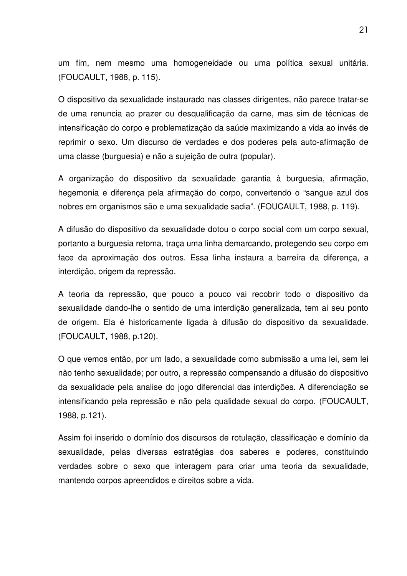um fim, nem mesmo uma homogeneidade ou uma política sexual unitária. (FOUCAULT, 1988, p. 115).

O dispositivo da sexualidade instaurado nas classes dirigentes, não parece tratar-se de uma renuncia ao prazer ou desqualificação da carne, mas sim de técnicas de intensificação do corpo e problematização da saúde maximizando a vida ao invés de reprimir o sexo. Um discurso de verdades e dos poderes pela auto-afirmação de uma classe (burguesia) e não a sujeição de outra (popular).

A organização do dispositivo da sexualidade garantia à burguesia, afirmação, hegemonia e diferença pela afirmação do corpo, convertendo o "sangue azul dos nobres em organismos são e uma sexualidade sadia". (FOUCAULT, 1988, p. 119).

A difusão do dispositivo da sexualidade dotou o corpo social com um corpo sexual, portanto a burguesia retoma, traça uma linha demarcando, protegendo seu corpo em face da aproximação dos outros. Essa linha instaura a barreira da diferença, a interdição, origem da repressão.

A teoria da repressão, que pouco a pouco vai recobrir todo o dispositivo da sexualidade dando-lhe o sentido de uma interdição generalizada, tem ai seu ponto de origem. Ela é historicamente ligada à difusão do dispositivo da sexualidade. (FOUCAULT, 1988, p.120).

O que vemos então, por um lado, a sexualidade como submissão a uma lei, sem lei não tenho sexualidade; por outro, a repressão compensando a difusão do dispositivo da sexualidade pela analise do jogo diferencial das interdições. A diferenciação se intensificando pela repressão e não pela qualidade sexual do corpo. (FOUCAULT, 1988, p.121).

Assim foi inserido o domínio dos discursos de rotulação, classificação e domínio da sexualidade, pelas diversas estratégias dos saberes e poderes, constituindo verdades sobre o sexo que interagem para criar uma teoria da sexualidade, mantendo corpos apreendidos e direitos sobre a vida.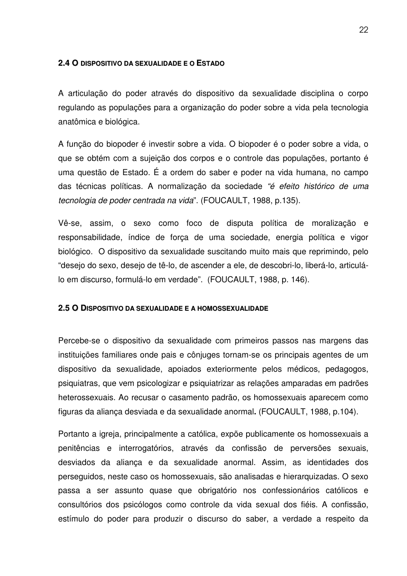### **2.4 O DISPOSITIVO DA SEXUALIDADE E O ESTADO**

A articulação do poder através do dispositivo da sexualidade disciplina o corpo regulando as populações para a organização do poder sobre a vida pela tecnologia anatômica e biológica.

A função do biopoder é investir sobre a vida. O biopoder é o poder sobre a vida, o que se obtém com a sujeição dos corpos e o controle das populações, portanto é uma questão de Estado. É a ordem do saber e poder na vida humana, no campo das técnicas políticas. A normalização da sociedade *"é efeito histórico de uma tecnologia de poder centrada na vida*". (FOUCAULT, 1988, p.135).

Vê-se, assim, o sexo como foco de disputa política de moralização e responsabilidade, índice de força de uma sociedade, energia política e vigor biológico. O dispositivo da sexualidade suscitando muito mais que reprimindo, pelo "desejo do sexo, desejo de tê-lo, de ascender a ele, de descobri-lo, liberá-lo, articulálo em discurso, formulá-lo em verdade". (FOUCAULT, 1988, p. 146).

### **2.5 O DISPOSITIVO DA SEXUALIDADE E A HOMOSSEXUALIDADE**

Percebe-se o dispositivo da sexualidade com primeiros passos nas margens das instituições familiares onde pais e cônjuges tornam-se os principais agentes de um dispositivo da sexualidade, apoiados exteriormente pelos médicos, pedagogos, psiquiatras, que vem psicologizar e psiquiatrizar as relações amparadas em padrões heterossexuais. Ao recusar o casamento padrão, os homossexuais aparecem como figuras da aliança desviada e da sexualidade anormal**.** (FOUCAULT, 1988, p.104).

Portanto a igreja, principalmente a católica, expõe publicamente os homossexuais a penitências e interrogatórios, através da confissão de perversões sexuais, desviados da aliança e da sexualidade anormal. Assim, as identidades dos perseguidos, neste caso os homossexuais, são analisadas e hierarquizadas. O sexo passa a ser assunto quase que obrigatório nos confessionários católicos e consultórios dos psicólogos como controle da vida sexual dos fiéis. A confissão, estímulo do poder para produzir o discurso do saber, a verdade a respeito da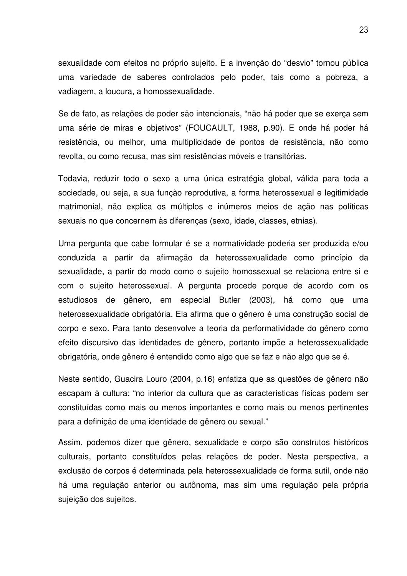sexualidade com efeitos no próprio sujeito. E a invenção do "desvio" tornou pública uma variedade de saberes controlados pelo poder, tais como a pobreza, a vadiagem, a loucura, a homossexualidade.

Se de fato, as relações de poder são intencionais, "não há poder que se exerça sem uma série de miras e objetivos" (FOUCAULT, 1988, p.90). E onde há poder há resistência, ou melhor, uma multiplicidade de pontos de resistência, não como revolta, ou como recusa, mas sim resistências móveis e transitórias.

Todavia, reduzir todo o sexo a uma única estratégia global, válida para toda a sociedade, ou seja, a sua função reprodutiva, a forma heterossexual e legitimidade matrimonial, não explica os múltiplos e inúmeros meios de ação nas políticas sexuais no que concernem às diferenças (sexo, idade, classes, etnias).

Uma pergunta que cabe formular é se a normatividade poderia ser produzida e/ou conduzida a partir da afirmação da heterossexualidade como princípio da sexualidade, a partir do modo como o sujeito homossexual se relaciona entre si e com o sujeito heterossexual. A pergunta procede porque de acordo com os estudiosos de gênero, em especial Butler (2003), há como que uma heterossexualidade obrigatória. Ela afirma que o gênero é uma construção social de corpo e sexo. Para tanto desenvolve a teoria da performatividade do gênero como efeito discursivo das identidades de gênero, portanto impõe a heterossexualidade obrigatória, onde gênero é entendido como algo que se faz e não algo que se é.

Neste sentido, Guacira Louro (2004, p.16) enfatiza que as questões de gênero não escapam à cultura: "no interior da cultura que as características físicas podem ser constituídas como mais ou menos importantes e como mais ou menos pertinentes para a definição de uma identidade de gênero ou sexual."

Assim, podemos dizer que gênero, sexualidade e corpo são construtos históricos culturais, portanto constituídos pelas relações de poder. Nesta perspectiva, a exclusão de corpos é determinada pela heterossexualidade de forma sutil, onde não há uma regulação anterior ou autônoma, mas sim uma regulação pela própria sujeição dos sujeitos.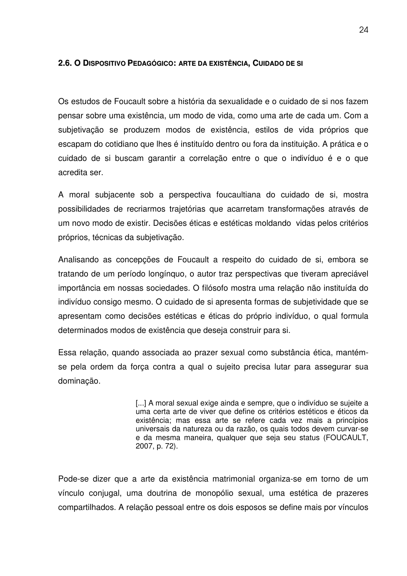### **2.6. O DISPOSITIVO PEDAGÓGICO: ARTE DA EXISTÊNCIA, CUIDADO DE SI**

Os estudos de Foucault sobre a história da sexualidade e o cuidado de si nos fazem pensar sobre uma existência, um modo de vida, como uma arte de cada um. Com a subjetivação se produzem modos de existência, estilos de vida próprios que escapam do cotidiano que lhes é instituído dentro ou fora da instituição. A prática e o cuidado de si buscam garantir a correlação entre o que o indivíduo é e o que acredita ser.

A moral subjacente sob a perspectiva foucaultiana do cuidado de si, mostra possibilidades de recriarmos trajetórias que acarretam transformações através de um novo modo de existir. Decisões éticas e estéticas moldando vidas pelos critérios próprios, técnicas da subjetivação.

Analisando as concepções de Foucault a respeito do cuidado de si, embora se tratando de um período longínquo, o autor traz perspectivas que tiveram apreciável importância em nossas sociedades. O filósofo mostra uma relação não instituída do indivíduo consigo mesmo. O cuidado de si apresenta formas de subjetividade que se apresentam como decisões estéticas e éticas do próprio indivíduo, o qual formula determinados modos de existência que deseja construir para si.

Essa relação, quando associada ao prazer sexual como substância ética, mantémse pela ordem da força contra a qual o sujeito precisa lutar para assegurar sua dominação.

> [...] A moral sexual exige ainda e sempre, que o indivíduo se sujeite a uma certa arte de viver que define os critérios estéticos e éticos da existência; mas essa arte se refere cada vez mais a princípios universais da natureza ou da razão, os quais todos devem curvar-se e da mesma maneira, qualquer que seja seu status (FOUCAULT, 2007, p. 72).

Pode-se dizer que a arte da existência matrimonial organiza-se em torno de um vínculo conjugal, uma doutrina de monopólio sexual, uma estética de prazeres compartilhados. A relação pessoal entre os dois esposos se define mais por vínculos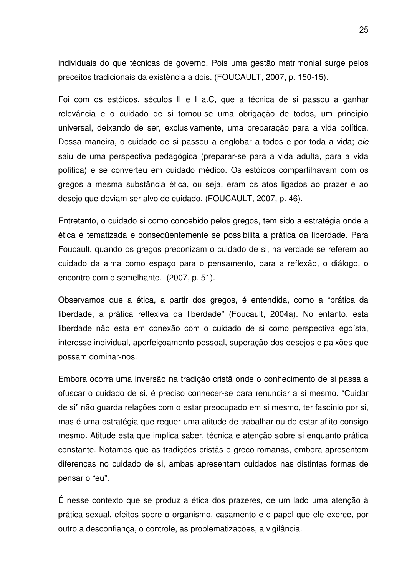individuais do que técnicas de governo. Pois uma gestão matrimonial surge pelos preceitos tradicionais da existência a dois. (FOUCAULT, 2007, p. 150-15).

Foi com os estóicos, séculos II e I a.C, que a técnica de si passou a ganhar relevância e o cuidado de si tornou-se uma obrigação de todos, um princípio universal, deixando de ser, exclusivamente, uma preparação para a vida política. Dessa maneira, o cuidado de si passou a englobar a todos e por toda a vida; *ele* saiu de uma perspectiva pedagógica (preparar-se para a vida adulta, para a vida política) e se converteu em cuidado médico. Os estóicos compartilhavam com os gregos a mesma substância ética, ou seja, eram os atos ligados ao prazer e ao desejo que deviam ser alvo de cuidado. (FOUCAULT, 2007, p. 46).

Entretanto, o cuidado si como concebido pelos gregos, tem sido a estratégia onde a ética é tematizada e conseqüentemente se possibilita a prática da liberdade. Para Foucault, quando os gregos preconizam o cuidado de si, na verdade se referem ao cuidado da alma como espaço para o pensamento, para a reflexão, o diálogo, o encontro com o semelhante. (2007, p. 51).

Observamos que a ética, a partir dos gregos, é entendida, como a "prática da liberdade, a prática reflexiva da liberdade" (Foucault, 2004a). No entanto, esta liberdade não esta em conexão com o cuidado de si como perspectiva egoísta, interesse individual, aperfeiçoamento pessoal, superação dos desejos e paixões que possam dominar-nos.

Embora ocorra uma inversão na tradição cristã onde o conhecimento de si passa a ofuscar o cuidado de si, é preciso conhecer-se para renunciar a si mesmo. "Cuidar de si" não guarda relações com o estar preocupado em si mesmo, ter fascínio por si, mas é uma estratégia que requer uma atitude de trabalhar ou de estar aflito consigo mesmo. Atitude esta que implica saber, técnica e atenção sobre si enquanto prática constante. Notamos que as tradições cristãs e greco-romanas, embora apresentem diferenças no cuidado de si, ambas apresentam cuidados nas distintas formas de pensar o "eu".

É nesse contexto que se produz a ética dos prazeres, de um lado uma atenção à prática sexual, efeitos sobre o organismo, casamento e o papel que ele exerce, por outro a desconfiança, o controle, as problematizações, a vigilância.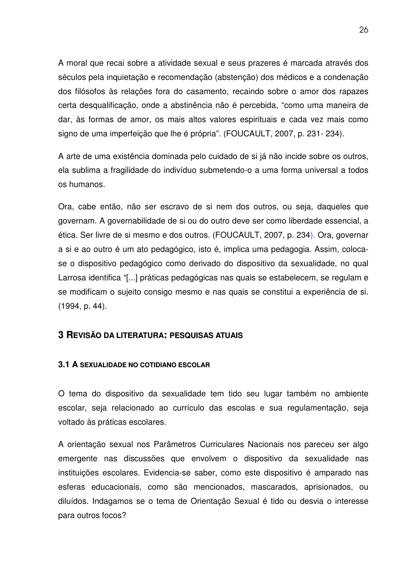A moral que recai sobre a atividade sexual e seus prazeres é marcada através dos séculos pela inquietação e recomendação (abstenção) dos médicos e a condenação dos filósofos às relações fora do casamento, recaindo sobre o amor dos rapazes certa desqualificação, onde a abstinência não é percebida, "como uma maneira de dar, às formas de amor, os mais altos valores espirituais e cada vez mais como signo de uma imperfeição que lhe é própria". (FOUCAULT, 2007, p. 231- 234).

A arte de uma existência dominada pelo cuidado de si já não incide sobre os outros, ela sublima a fragilidade do indivíduo submetendo-o a uma forma universal a todos os humanos.

Ora, cabe então, não ser escravo de si nem dos outros, ou seja, daqueles que governam. A governabilidade de si ou do outro deve ser como liberdade essencial, a ética. Ser livre de si mesmo e dos outros. (FOUCAULT, 2007, p. 234). Ora, governar a si e ao outro é um ato pedagógico, isto é, implica uma pedagogia. Assim, colocase o dispositivo pedagógico como derivado do dispositivo da sexualidade, no qual Larrosa identifica "[...] práticas pedagógicas nas quais se estabelecem, se regulam e se modificam o sujeito consigo mesmo e nas quais se constitui a experiência de si. (1994, p. 44).

### **3 REVISÃO DA LITERATURA: PESQUISAS ATUAIS**

### **3.1 A SEXUALIDADE NO COTIDIANO ESCOLAR**

O tema do dispositivo da sexualidade tem tido seu lugar também no ambiente escolar, seja relacionado ao currículo das escolas e sua regulamentação, seja voltado às práticas escolares.

A orientação sexual nos Parâmetros Curriculares Nacionais nos pareceu ser algo emergente nas discussões que envolvem o dispositivo da sexualidade nas instituições escolares. Evidencia-se saber, como este dispositivo é amparado nas esferas educacionais, como são mencionados, mascarados, aprisionados, ou diluídos. Indagamos se o tema de Orientação Sexual é tido ou desvia o interesse para outros focos?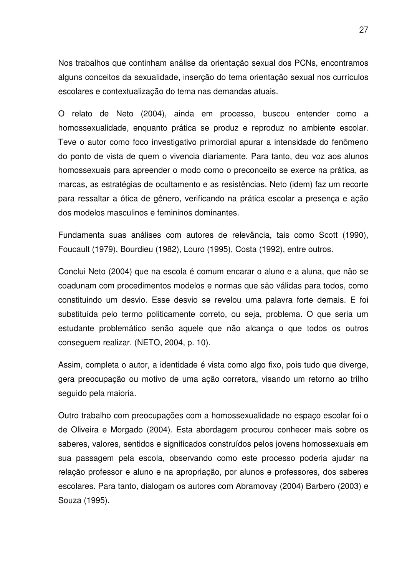Nos trabalhos que continham análise da orientação sexual dos PCNs, encontramos alguns conceitos da sexualidade, inserção do tema orientação sexual nos currículos escolares e contextualização do tema nas demandas atuais.

O relato de Neto (2004), ainda em processo, buscou entender como a homossexualidade, enquanto prática se produz e reproduz no ambiente escolar. Teve o autor como foco investigativo primordial apurar a intensidade do fenômeno do ponto de vista de quem o vivencia diariamente. Para tanto, deu voz aos alunos homossexuais para apreender o modo como o preconceito se exerce na prática, as marcas, as estratégias de ocultamento e as resistências. Neto (idem) faz um recorte para ressaltar a ótica de gênero, verificando na prática escolar a presença e ação dos modelos masculinos e femininos dominantes.

Fundamenta suas análises com autores de relevância, tais como Scott (1990), Foucault (1979), Bourdieu (1982), Louro (1995), Costa (1992), entre outros.

Conclui Neto (2004) que na escola é comum encarar o aluno e a aluna, que não se coadunam com procedimentos modelos e normas que são válidas para todos, como constituindo um desvio. Esse desvio se revelou uma palavra forte demais. E foi substituída pelo termo politicamente correto, ou seja, problema. O que seria um estudante problemático senão aquele que não alcança o que todos os outros conseguem realizar. (NETO, 2004, p. 10).

Assim, completa o autor, a identidade é vista como algo fixo, pois tudo que diverge, gera preocupação ou motivo de uma ação corretora, visando um retorno ao trilho seguido pela maioria.

Outro trabalho com preocupações com a homossexualidade no espaço escolar foi o de Oliveira e Morgado (2004). Esta abordagem procurou conhecer mais sobre os saberes, valores, sentidos e significados construídos pelos jovens homossexuais em sua passagem pela escola, observando como este processo poderia ajudar na relação professor e aluno e na apropriação, por alunos e professores, dos saberes escolares. Para tanto, dialogam os autores com Abramovay (2004) Barbero (2003) e Souza (1995).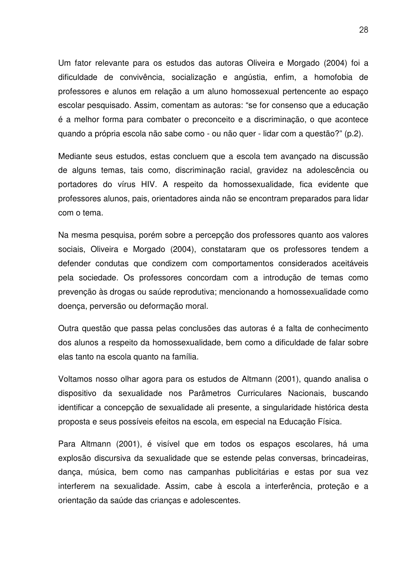Um fator relevante para os estudos das autoras Oliveira e Morgado (2004) foi a dificuldade de convivência, socialização e angústia, enfim, a homofobia de professores e alunos em relação a um aluno homossexual pertencente ao espaço escolar pesquisado. Assim, comentam as autoras: "se for consenso que a educação é a melhor forma para combater o preconceito e a discriminação, o que acontece quando a própria escola não sabe como - ou não quer - lidar com a questão?" (p.2).

Mediante seus estudos, estas concluem que a escola tem avançado na discussão de alguns temas, tais como, discriminação racial, gravidez na adolescência ou portadores do vírus HIV. A respeito da homossexualidade, fica evidente que professores alunos, pais, orientadores ainda não se encontram preparados para lidar com o tema.

Na mesma pesquisa, porém sobre a percepção dos professores quanto aos valores sociais, Oliveira e Morgado (2004), constataram que os professores tendem a defender condutas que condizem com comportamentos considerados aceitáveis pela sociedade. Os professores concordam com a introdução de temas como prevenção às drogas ou saúde reprodutiva; mencionando a homossexualidade como doença, perversão ou deformação moral.

Outra questão que passa pelas conclusões das autoras é a falta de conhecimento dos alunos a respeito da homossexualidade, bem como a dificuldade de falar sobre elas tanto na escola quanto na família.

Voltamos nosso olhar agora para os estudos de Altmann (2001), quando analisa o dispositivo da sexualidade nos Parâmetros Curriculares Nacionais, buscando identificar a concepção de sexualidade ali presente, a singularidade histórica desta proposta e seus possíveis efeitos na escola, em especial na Educação Física.

Para Altmann (2001), é visível que em todos os espaços escolares, há uma explosão discursiva da sexualidade que se estende pelas conversas, brincadeiras, dança, música, bem como nas campanhas publicitárias e estas por sua vez interferem na sexualidade. Assim, cabe à escola a interferência, proteção e a orientação da saúde das crianças e adolescentes.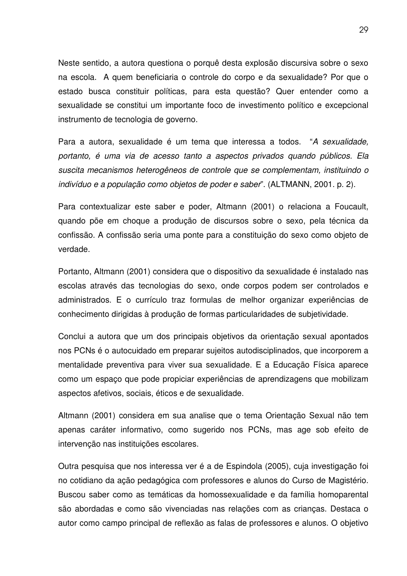Neste sentido, a autora questiona o porquê desta explosão discursiva sobre o sexo na escola. A quem beneficiaria o controle do corpo e da sexualidade? Por que o estado busca constituir políticas, para esta questão? Quer entender como a sexualidade se constitui um importante foco de investimento político e excepcional instrumento de tecnologia de governo.

Para a autora, sexualidade é um tema que interessa a todos. "*A sexualidade, portanto, é uma via de acesso tanto a aspectos privados quando públicos. Ela suscita mecanismos heterogêneos de controle que se complementam, instituindo o indivíduo e a população como objetos de poder e saber*". (ALTMANN, 2001. p. 2).

Para contextualizar este saber e poder, Altmann (2001) o relaciona a Foucault, quando põe em choque a produção de discursos sobre o sexo, pela técnica da confissão. A confissão seria uma ponte para a constituição do sexo como objeto de verdade.

Portanto, Altmann (2001) considera que o dispositivo da sexualidade é instalado nas escolas através das tecnologias do sexo, onde corpos podem ser controlados e administrados. E o currículo traz formulas de melhor organizar experiências de conhecimento dirigidas à produção de formas particularidades de subjetividade.

Conclui a autora que um dos principais objetivos da orientação sexual apontados nos PCNs é o autocuidado em preparar sujeitos autodisciplinados, que incorporem a mentalidade preventiva para viver sua sexualidade. E a Educação Física aparece como um espaço que pode propiciar experiências de aprendizagens que mobilizam aspectos afetivos, sociais, éticos e de sexualidade.

Altmann (2001) considera em sua analise que o tema Orientação Sexual não tem apenas caráter informativo, como sugerido nos PCNs, mas age sob efeito de intervenção nas instituições escolares.

Outra pesquisa que nos interessa ver é a de Espindola (2005), cuja investigação foi no cotidiano da ação pedagógica com professores e alunos do Curso de Magistério. Buscou saber como as temáticas da homossexualidade e da família homoparental são abordadas e como são vivenciadas nas relações com as crianças. Destaca o autor como campo principal de reflexão as falas de professores e alunos. O objetivo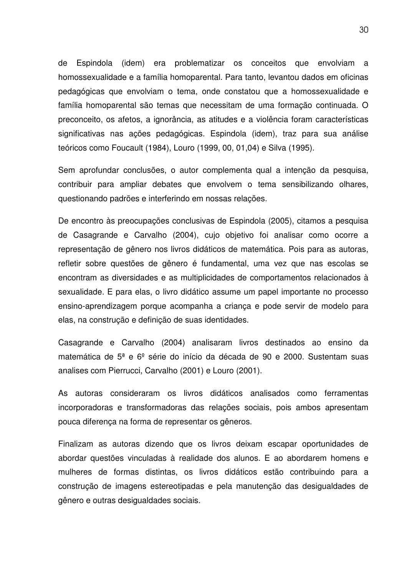de Espindola (idem) era problematizar os conceitos que envolviam a homossexualidade e a família homoparental. Para tanto, levantou dados em oficinas pedagógicas que envolviam o tema, onde constatou que a homossexualidade e família homoparental são temas que necessitam de uma formação continuada. O preconceito, os afetos, a ignorância, as atitudes e a violência foram características significativas nas ações pedagógicas. Espindola (idem), traz para sua análise teóricos como Foucault (1984), Louro (1999, 00, 01,04) e Silva (1995).

Sem aprofundar conclusões, o autor complementa qual a intenção da pesquisa, contribuir para ampliar debates que envolvem o tema sensibilizando olhares, questionando padrões e interferindo em nossas relações.

De encontro às preocupações conclusivas de Espindola (2005), citamos a pesquisa de Casagrande e Carvalho (2004), cujo objetivo foi analisar como ocorre a representação de gênero nos livros didáticos de matemática. Pois para as autoras, refletir sobre questões de gênero é fundamental, uma vez que nas escolas se encontram as diversidades e as multiplicidades de comportamentos relacionados à sexualidade. E para elas, o livro didático assume um papel importante no processo ensino-aprendizagem porque acompanha a criança e pode servir de modelo para elas, na construção e definição de suas identidades.

Casagrande e Carvalho (2004) analisaram livros destinados ao ensino da matemática de 5ª e 6º série do início da década de 90 e 2000. Sustentam suas analises com Pierrucci, Carvalho (2001) e Louro (2001).

As autoras consideraram os livros didáticos analisados como ferramentas incorporadoras e transformadoras das relações sociais, pois ambos apresentam pouca diferença na forma de representar os gêneros.

Finalizam as autoras dizendo que os livros deixam escapar oportunidades de abordar questões vinculadas à realidade dos alunos. E ao abordarem homens e mulheres de formas distintas, os livros didáticos estão contribuindo para a construção de imagens estereotipadas e pela manutenção das desigualdades de gênero e outras desigualdades sociais.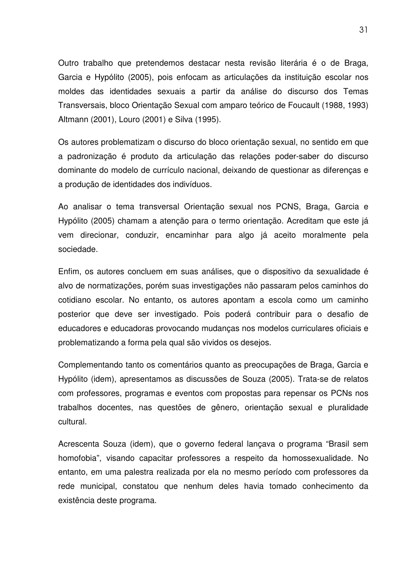Outro trabalho que pretendemos destacar nesta revisão literária é o de Braga, Garcia e Hypólito (2005), pois enfocam as articulações da instituição escolar nos moldes das identidades sexuais a partir da análise do discurso dos Temas Transversais, bloco Orientação Sexual com amparo teórico de Foucault (1988, 1993) Altmann (2001), Louro (2001) e Silva (1995).

Os autores problematizam o discurso do bloco orientação sexual, no sentido em que a padronização é produto da articulação das relações poder-saber do discurso dominante do modelo de currículo nacional, deixando de questionar as diferenças e a produção de identidades dos indivíduos.

Ao analisar o tema transversal Orientação sexual nos PCNS, Braga, Garcia e Hypólito (2005) chamam a atenção para o termo orientação. Acreditam que este já vem direcionar, conduzir, encaminhar para algo já aceito moralmente pela sociedade.

Enfim, os autores concluem em suas análises, que o dispositivo da sexualidade é alvo de normatizações, porém suas investigações não passaram pelos caminhos do cotidiano escolar. No entanto, os autores apontam a escola como um caminho posterior que deve ser investigado. Pois poderá contribuir para o desafio de educadores e educadoras provocando mudanças nos modelos curriculares oficiais e problematizando a forma pela qual são vividos os desejos.

Complementando tanto os comentários quanto as preocupações de Braga, Garcia e Hypólito (idem), apresentamos as discussões de Souza (2005). Trata-se de relatos com professores, programas e eventos com propostas para repensar os PCNs nos trabalhos docentes, nas questões de gênero, orientação sexual e pluralidade cultural.

Acrescenta Souza (idem), que o governo federal lançava o programa "Brasil sem homofobia", visando capacitar professores a respeito da homossexualidade. No entanto, em uma palestra realizada por ela no mesmo período com professores da rede municipal, constatou que nenhum deles havia tomado conhecimento da existência deste programa.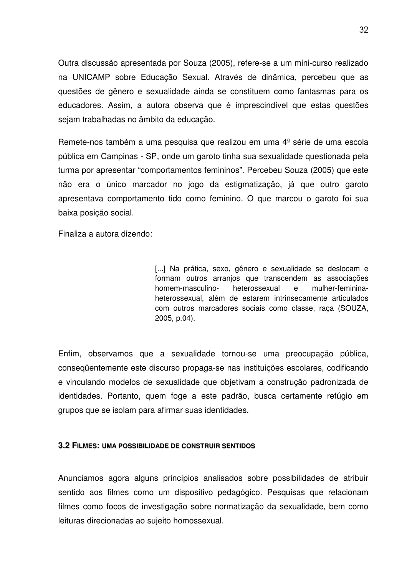Outra discussão apresentada por Souza (2005), refere-se a um mini-curso realizado na UNICAMP sobre Educação Sexual. Através de dinâmica, percebeu que as questões de gênero e sexualidade ainda se constituem como fantasmas para os educadores. Assim, a autora observa que é imprescindível que estas questões sejam trabalhadas no âmbito da educação.

Remete-nos também a uma pesquisa que realizou em uma 4ª série de uma escola pública em Campinas - SP, onde um garoto tinha sua sexualidade questionada pela turma por apresentar "comportamentos femininos". Percebeu Souza (2005) que este não era o único marcador no jogo da estigmatização, já que outro garoto apresentava comportamento tido como feminino. O que marcou o garoto foi sua baixa posição social.

Finaliza a autora dizendo:

[...] Na prática, sexo, gênero e sexualidade se deslocam e formam outros arranjos que transcendem as associações homem-masculino- heterossexual e mulher-femininaheterossexual, além de estarem intrinsecamente articulados com outros marcadores sociais como classe, raça (SOUZA, 2005, p.04).

Enfim, observamos que a sexualidade tornou-se uma preocupação pública, conseqüentemente este discurso propaga-se nas instituições escolares, codificando e vinculando modelos de sexualidade que objetivam a construção padronizada de identidades. Portanto, quem foge a este padrão, busca certamente refúgio em grupos que se isolam para afirmar suas identidades.

### **3.2 FILMES: UMA POSSIBILIDADE DE CONSTRUIR SENTIDOS**

Anunciamos agora alguns princípios analisados sobre possibilidades de atribuir sentido aos filmes como um dispositivo pedagógico. Pesquisas que relacionam filmes como focos de investigação sobre normatização da sexualidade, bem como leituras direcionadas ao sujeito homossexual.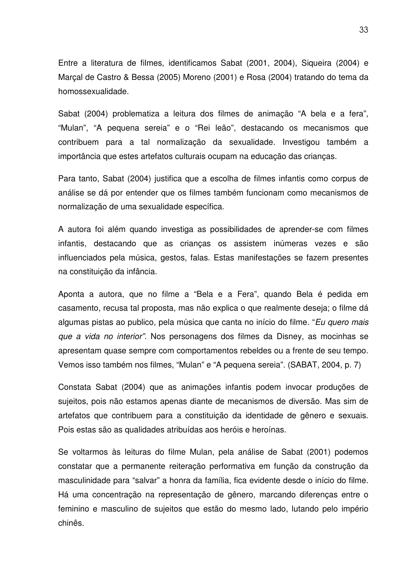Entre a literatura de filmes, identificamos Sabat (2001, 2004), Siqueira (2004) e Marçal de Castro & Bessa (2005) Moreno (2001) e Rosa (2004) tratando do tema da homossexualidade.

Sabat (2004) problematiza a leitura dos filmes de animação "A bela e a fera", "Mulan", "A pequena sereia" e o "Rei leão", destacando os mecanismos que contribuem para a tal normalização da sexualidade. Investigou também a importância que estes artefatos culturais ocupam na educação das crianças.

Para tanto, Sabat (2004) justifica que a escolha de filmes infantis como corpus de análise se dá por entender que os filmes também funcionam como mecanismos de normalização de uma sexualidade específica.

A autora foi além quando investiga as possibilidades de aprender-se com filmes infantis, destacando que as crianças os assistem inúmeras vezes e são influenciados pela música, gestos, falas. Estas manifestações se fazem presentes na constituição da infância.

Aponta a autora, que no filme a "Bela e a Fera", quando Bela é pedida em casamento, recusa tal proposta, mas não explica o que realmente deseja; o filme dá algumas pistas ao publico, pela música que canta no início do filme. "*Eu quero mais que a vida no interior".* Nos personagens dos filmes da Disney, as mocinhas se apresentam quase sempre com comportamentos rebeldes ou a frente de seu tempo. Vemos isso também nos filmes, "Mulan" e "A pequena sereia". (SABAT, 2004, p. 7)

Constata Sabat (2004) que as animações infantis podem invocar produções de sujeitos, pois não estamos apenas diante de mecanismos de diversão. Mas sim de artefatos que contribuem para a constituição da identidade de gênero e sexuais. Pois estas são as qualidades atribuídas aos heróis e heroínas.

Se voltarmos às leituras do filme Mulan, pela análise de Sabat (2001) podemos constatar que a permanente reiteração performativa em função da construção da masculinidade para "salvar" a honra da família, fica evidente desde o início do filme. Há uma concentração na representação de gênero, marcando diferenças entre o feminino e masculino de sujeitos que estão do mesmo lado, lutando pelo império chinês.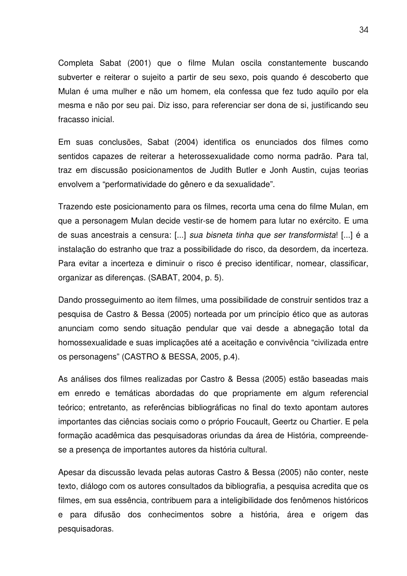Completa Sabat (2001) que o filme Mulan oscila constantemente buscando subverter e reiterar o sujeito a partir de seu sexo, pois quando é descoberto que Mulan é uma mulher e não um homem, ela confessa que fez tudo aquilo por ela mesma e não por seu pai. Diz isso, para referenciar ser dona de si, justificando seu fracasso inicial.

Em suas conclusões, Sabat (2004) identifica os enunciados dos filmes como sentidos capazes de reiterar a heterossexualidade como norma padrão. Para tal, traz em discussão posicionamentos de Judith Butler e Jonh Austin, cujas teorias envolvem a "performatividade do gênero e da sexualidade".

Trazendo este posicionamento para os filmes, recorta uma cena do filme Mulan, em que a personagem Mulan decide vestir-se de homem para lutar no exército. E uma de suas ancestrais a censura: [...] *sua bisneta tinha que ser transformista*! [...] é a instalação do estranho que traz a possibilidade do risco, da desordem, da incerteza. Para evitar a incerteza e diminuir o risco é preciso identificar, nomear, classificar, organizar as diferenças. (SABAT, 2004, p. 5).

Dando prosseguimento ao item filmes, uma possibilidade de construir sentidos traz a pesquisa de Castro & Bessa (2005) norteada por um princípio ético que as autoras anunciam como sendo situação pendular que vai desde a abnegação total da homossexualidade e suas implicações até a aceitação e convivência "civilizada entre os personagens" (CASTRO & BESSA, 2005, p.4).

As análises dos filmes realizadas por Castro & Bessa (2005) estão baseadas mais em enredo e temáticas abordadas do que propriamente em algum referencial teórico; entretanto, as referências bibliográficas no final do texto apontam autores importantes das ciências sociais como o próprio Foucault, Geertz ou Chartier. E pela formação acadêmica das pesquisadoras oriundas da área de História, compreendese a presença de importantes autores da história cultural.

Apesar da discussão levada pelas autoras Castro & Bessa (2005) não conter, neste texto, diálogo com os autores consultados da bibliografia, a pesquisa acredita que os filmes, em sua essência, contribuem para a inteligibilidade dos fenômenos históricos e para difusão dos conhecimentos sobre a história, área e origem das pesquisadoras.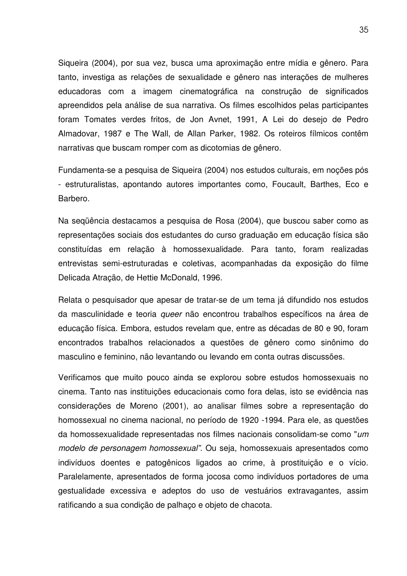Siqueira (2004), por sua vez, busca uma aproximação entre mídia e gênero. Para tanto, investiga as relações de sexualidade e gênero nas interações de mulheres educadoras com a imagem cinematográfica na construção de significados apreendidos pela análise de sua narrativa. Os filmes escolhidos pelas participantes foram Tomates verdes fritos, de Jon Avnet, 1991, A Lei do desejo de Pedro Almadovar, 1987 e The Wall, de Allan Parker, 1982. Os roteiros fílmicos contêm narrativas que buscam romper com as dicotomias de gênero.

Fundamenta-se a pesquisa de Siqueira (2004) nos estudos culturais, em noções pós - estruturalistas, apontando autores importantes como, Foucault, Barthes, Eco e Barbero.

Na seqüência destacamos a pesquisa de Rosa (2004), que buscou saber como as representações sociais dos estudantes do curso graduação em educação física são constituídas em relação à homossexualidade. Para tanto, foram realizadas entrevistas semi-estruturadas e coletivas, acompanhadas da exposição do filme Delicada Atração, de Hettie McDonald, 1996.

Relata o pesquisador que apesar de tratar-se de um tema já difundido nos estudos da masculinidade e teoria *queer* não encontrou trabalhos específicos na área de educação física. Embora, estudos revelam que, entre as décadas de 80 e 90, foram encontrados trabalhos relacionados a questões de gênero como sinônimo do masculino e feminino, não levantando ou levando em conta outras discussões.

Verificamos que muito pouco ainda se explorou sobre estudos homossexuais no cinema. Tanto nas instituições educacionais como fora delas, isto se evidência nas considerações de Moreno (2001), ao analisar filmes sobre a representação do homossexual no cinema nacional, no período de 1920 -1994. Para ele, as questões da homossexualidade representadas nos filmes nacionais consolidam-se como "*um modelo de personagem homossexual".* Ou seja, homossexuais apresentados como indivíduos doentes e patogênicos ligados ao crime, à prostituição e o vício. Paralelamente, apresentados de forma jocosa como indivíduos portadores de uma gestualidade excessiva e adeptos do uso de vestuários extravagantes, assim ratificando a sua condição de palhaço e objeto de chacota.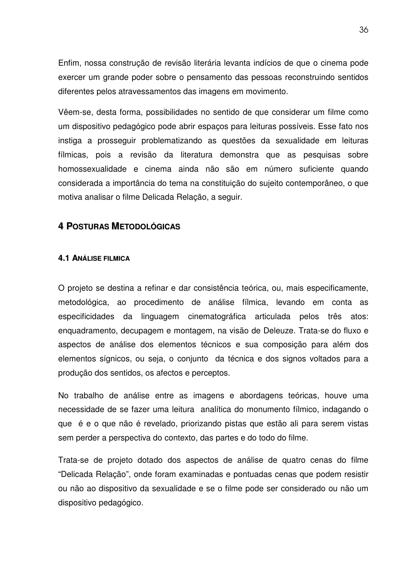Enfim, nossa construção de revisão literária levanta indícios de que o cinema pode exercer um grande poder sobre o pensamento das pessoas reconstruindo sentidos diferentes pelos atravessamentos das imagens em movimento.

Vêem-se, desta forma, possibilidades no sentido de que considerar um filme como um dispositivo pedagógico pode abrir espaços para leituras possíveis. Esse fato nos instiga a prosseguir problematizando as questões da sexualidade em leituras fílmicas, pois a revisão da literatura demonstra que as pesquisas sobre homossexualidade e cinema ainda não são em número suficiente quando considerada a importância do tema na constituição do sujeito contemporâneo, o que motiva analisar o filme Delicada Relação, a seguir.

### **4 POSTURAS METODOLÓGICAS**

### **4.1 ANÁLISE FILMICA**

O projeto se destina a refinar e dar consistência teórica, ou, mais especificamente, metodológica, ao procedimento de análise fílmica, levando em conta as especificidades da linguagem cinematográfica articulada pelos três atos: enquadramento, decupagem e montagem, na visão de Deleuze. Trata-se do fluxo e aspectos de análise dos elementos técnicos e sua composição para além dos elementos sígnicos, ou seja, o conjunto da técnica e dos signos voltados para a produção dos sentidos, os afectos e perceptos.

No trabalho de análise entre as imagens e abordagens teóricas, houve uma necessidade de se fazer uma leitura analítica do monumento fílmico, indagando o que é e o que não é revelado, priorizando pistas que estão ali para serem vistas sem perder a perspectiva do contexto, das partes e do todo do filme.

Trata-se de projeto dotado dos aspectos de análise de quatro cenas do filme "Delicada Relação", onde foram examinadas e pontuadas cenas que podem resistir ou não ao dispositivo da sexualidade e se o filme pode ser considerado ou não um dispositivo pedagógico.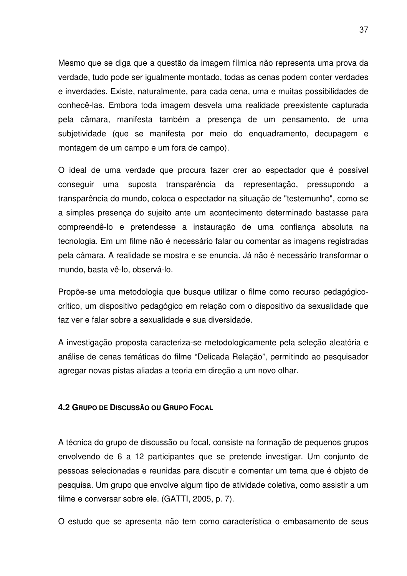Mesmo que se diga que a questão da imagem fílmica não representa uma prova da verdade, tudo pode ser igualmente montado, todas as cenas podem conter verdades e inverdades. Existe, naturalmente, para cada cena, uma e muitas possibilidades de conhecê-las. Embora toda imagem desvela uma realidade preexistente capturada pela câmara, manifesta também a presença de um pensamento, de uma subjetividade (que se manifesta por meio do enquadramento, decupagem e montagem de um campo e um fora de campo).

O ideal de uma verdade que procura fazer crer ao espectador que é possível conseguir uma suposta transparência da representação, pressupondo a transparência do mundo, coloca o espectador na situação de "testemunho", como se a simples presença do sujeito ante um acontecimento determinado bastasse para compreendê-lo e pretendesse a instauração de uma confiança absoluta na tecnologia. Em um filme não é necessário falar ou comentar as imagens registradas pela câmara. A realidade se mostra e se enuncia. Já não é necessário transformar o mundo, basta vê-lo, observá-lo.

Propõe-se uma metodologia que busque utilizar o filme como recurso pedagógicocrítico, um dispositivo pedagógico em relação com o dispositivo da sexualidade que faz ver e falar sobre a sexualidade e sua diversidade.

A investigação proposta caracteriza-se metodologicamente pela seleção aleatória e análise de cenas temáticas do filme "Delicada Relação", permitindo ao pesquisador agregar novas pistas aliadas a teoria em direção a um novo olhar.

## **4.2 GRUPO DE DISCUSSÃO OU GRUPO FOCAL**

A técnica do grupo de discussão ou focal, consiste na formação de pequenos grupos envolvendo de 6 a 12 participantes que se pretende investigar. Um conjunto de pessoas selecionadas e reunidas para discutir e comentar um tema que é objeto de pesquisa. Um grupo que envolve algum tipo de atividade coletiva, como assistir a um filme e conversar sobre ele. (GATTI, 2005, p. 7).

O estudo que se apresenta não tem como característica o embasamento de seus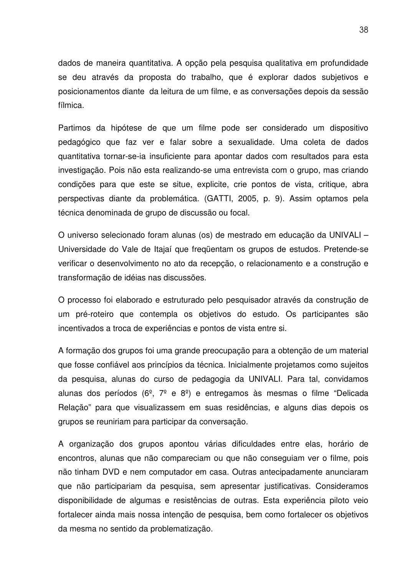dados de maneira quantitativa. A opção pela pesquisa qualitativa em profundidade se deu através da proposta do trabalho, que é explorar dados subjetivos e posicionamentos diante da leitura de um filme, e as conversações depois da sessão fílmica.

Partimos da hipótese de que um filme pode ser considerado um dispositivo pedagógico que faz ver e falar sobre a sexualidade. Uma coleta de dados quantitativa tornar-se-ia insuficiente para apontar dados com resultados para esta investigação. Pois não esta realizando-se uma entrevista com o grupo, mas criando condições para que este se situe, explicite, crie pontos de vista, critique, abra perspectivas diante da problemática. (GATTI, 2005, p. 9). Assim optamos pela técnica denominada de grupo de discussão ou focal.

O universo selecionado foram alunas (os) de mestrado em educação da UNIVALI – Universidade do Vale de Itajaí que freqüentam os grupos de estudos. Pretende-se verificar o desenvolvimento no ato da recepção, o relacionamento e a construção e transformação de idéias nas discussões.

O processo foi elaborado e estruturado pelo pesquisador através da construção de um pré-roteiro que contempla os objetivos do estudo. Os participantes são incentivados a troca de experiências e pontos de vista entre si.

A formação dos grupos foi uma grande preocupação para a obtenção de um material que fosse confiável aos princípios da técnica. Inicialmente projetamos como sujeitos da pesquisa, alunas do curso de pedagogia da UNIVALI. Para tal, convidamos alunas dos períodos  $(6^{\circ}, 7^{\circ} \text{ e } 8^{\circ})$  e entregamos às mesmas o filme "Delicada Relação" para que visualizassem em suas residências, e alguns dias depois os grupos se reuniriam para participar da conversação.

A organização dos grupos apontou várias dificuldades entre elas, horário de encontros, alunas que não compareciam ou que não conseguiam ver o filme, pois não tinham DVD e nem computador em casa. Outras antecipadamente anunciaram que não participariam da pesquisa, sem apresentar justificativas. Consideramos disponibilidade de algumas e resistências de outras. Esta experiência piloto veio fortalecer ainda mais nossa intenção de pesquisa, bem como fortalecer os objetivos da mesma no sentido da problematização.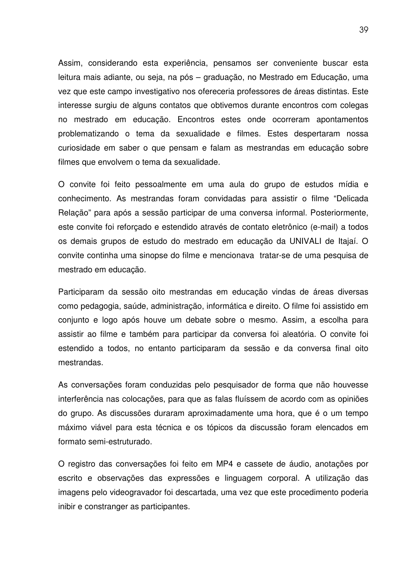Assim, considerando esta experiência, pensamos ser conveniente buscar esta leitura mais adiante, ou seja, na pós – graduação, no Mestrado em Educação, uma vez que este campo investigativo nos ofereceria professores de áreas distintas. Este interesse surgiu de alguns contatos que obtivemos durante encontros com colegas no mestrado em educação. Encontros estes onde ocorreram apontamentos problematizando o tema da sexualidade e filmes. Estes despertaram nossa curiosidade em saber o que pensam e falam as mestrandas em educação sobre filmes que envolvem o tema da sexualidade.

O convite foi feito pessoalmente em uma aula do grupo de estudos mídia e conhecimento. As mestrandas foram convidadas para assistir o filme "Delicada Relação" para após a sessão participar de uma conversa informal. Posteriormente, este convite foi reforçado e estendido através de contato eletrônico (e-mail) a todos os demais grupos de estudo do mestrado em educação da UNIVALI de Itajaí. O convite continha uma sinopse do filme e mencionava tratar-se de uma pesquisa de mestrado em educação.

Participaram da sessão oito mestrandas em educação vindas de áreas diversas como pedagogia, saúde, administração, informática e direito. O filme foi assistido em conjunto e logo após houve um debate sobre o mesmo. Assim, a escolha para assistir ao filme e também para participar da conversa foi aleatória. O convite foi estendido a todos, no entanto participaram da sessão e da conversa final oito mestrandas.

As conversações foram conduzidas pelo pesquisador de forma que não houvesse interferência nas colocações, para que as falas fluíssem de acordo com as opiniões do grupo. As discussões duraram aproximadamente uma hora, que é o um tempo máximo viável para esta técnica e os tópicos da discussão foram elencados em formato semi-estruturado.

O registro das conversações foi feito em MP4 e cassete de áudio, anotações por escrito e observações das expressões e linguagem corporal. A utilização das imagens pelo videogravador foi descartada, uma vez que este procedimento poderia inibir e constranger as participantes.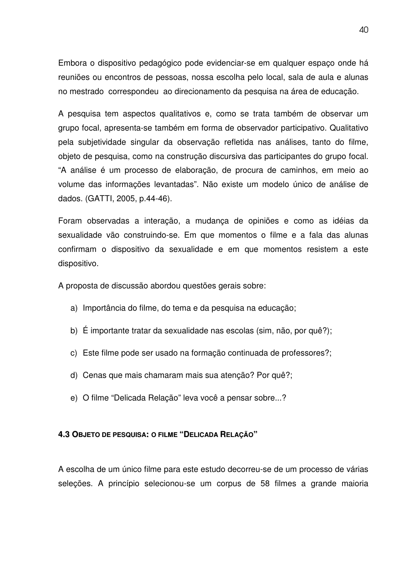Embora o dispositivo pedagógico pode evidenciar-se em qualquer espaço onde há reuniões ou encontros de pessoas, nossa escolha pelo local, sala de aula e alunas no mestrado correspondeu ao direcionamento da pesquisa na área de educação.

A pesquisa tem aspectos qualitativos e, como se trata também de observar um grupo focal, apresenta-se também em forma de observador participativo. Qualitativo pela subjetividade singular da observação refletida nas análises, tanto do filme, objeto de pesquisa, como na construção discursiva das participantes do grupo focal. "A análise é um processo de elaboração, de procura de caminhos, em meio ao volume das informações levantadas". Não existe um modelo único de análise de dados. (GATTI, 2005, p.44-46).

Foram observadas a interação, a mudança de opiniões e como as idéias da sexualidade vão construindo-se. Em que momentos o filme e a fala das alunas confirmam o dispositivo da sexualidade e em que momentos resistem a este dispositivo.

A proposta de discussão abordou questões gerais sobre:

- a) Importância do filme, do tema e da pesquisa na educação;
- b) É importante tratar da sexualidade nas escolas (sim, não, por quê?);
- c) Este filme pode ser usado na formação continuada de professores?;
- d) Cenas que mais chamaram mais sua atenção? Por quê?;
- e) O filme "Delicada Relação" leva você a pensar sobre...?

## **4.3 OBJETO DE PESQUISA: O FILME "DELICADA RELAÇÃO"**

A escolha de um único filme para este estudo decorreu-se de um processo de várias seleções. A princípio selecionou-se um corpus de 58 filmes a grande maioria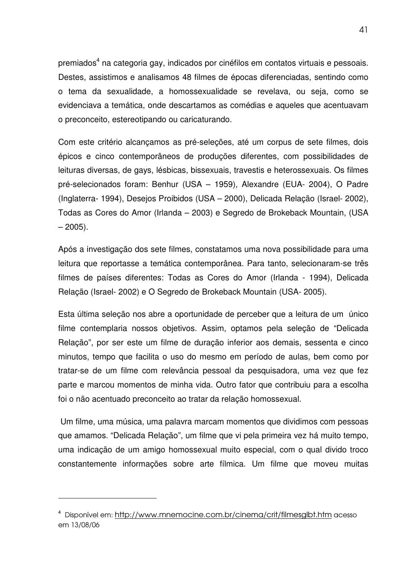premiados<sup>4</sup> na categoria gay, indicados por cinéfilos em contatos virtuais e pessoais. Destes, assistimos e analisamos 48 filmes de épocas diferenciadas, sentindo como o tema da sexualidade, a homossexualidade se revelava, ou seja, como se evidenciava a temática, onde descartamos as comédias e aqueles que acentuavam o preconceito, estereotipando ou caricaturando.

Com este critério alcançamos as pré-seleções, até um corpus de sete filmes, dois épicos e cinco contemporâneos de produções diferentes, com possibilidades de leituras diversas, de gays, lésbicas, bissexuais, travestis e heterossexuais. Os filmes pré-selecionados foram: Benhur (USA – 1959), Alexandre (EUA- 2004), O Padre (Inglaterra- 1994), Desejos Proibidos (USA – 2000), Delicada Relação (Israel- 2002), Todas as Cores do Amor (Irlanda – 2003) e Segredo de Brokeback Mountain, (USA  $-2005$ ).

Após a investigação dos sete filmes, constatamos uma nova possibilidade para uma leitura que reportasse a temática contemporânea. Para tanto, selecionaram-se três filmes de países diferentes: Todas as Cores do Amor (Irlanda - 1994), Delicada Relação (Israel- 2002) e O Segredo de Brokeback Mountain (USA- 2005).

Esta última seleção nos abre a oportunidade de perceber que a leitura de um único filme contemplaria nossos objetivos. Assim, optamos pela seleção de "Delicada Relação", por ser este um filme de duração inferior aos demais, sessenta e cinco minutos, tempo que facilita o uso do mesmo em período de aulas, bem como por tratar-se de um filme com relevância pessoal da pesquisadora, uma vez que fez parte e marcou momentos de minha vida. Outro fator que contribuiu para a escolha foi o não acentuado preconceito ao tratar da relação homossexual.

Um filme, uma música, uma palavra marcam momentos que dividimos com pessoas que amamos. "Delicada Relação", um filme que vi pela primeira vez há muito tempo, uma indicação de um amigo homossexual muito especial, com o qual divido troco constantemente informações sobre arte fílmica. Um filme que moveu muitas

<sup>4</sup> Disponível em: http://www.mnemocine.com.br/cinema/crit/filmesglbt.htm acesso em 13/08/06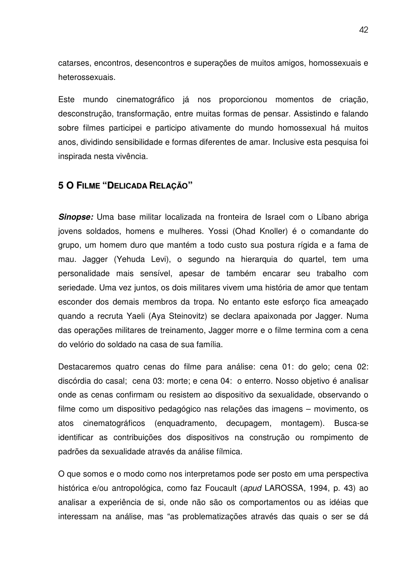catarses, encontros, desencontros e superações de muitos amigos, homossexuais e heterossexuais.

Este mundo cinematográfico já nos proporcionou momentos de criação, desconstrução, transformação, entre muitas formas de pensar. Assistindo e falando sobre filmes participei e participo ativamente do mundo homossexual há muitos anos, dividindo sensibilidade e formas diferentes de amar. Inclusive esta pesquisa foi inspirada nesta vivência.

## **5 O FILME "DELICADA RELAÇÃO"**

*Sinopse:* Uma base militar localizada na fronteira de Israel com o Líbano abriga jovens soldados, homens e mulheres. Yossi (Ohad Knoller) é o comandante do grupo, um homem duro que mantém a todo custo sua postura rígida e a fama de mau. Jagger (Yehuda Levi), o segundo na hierarquia do quartel, tem uma personalidade mais sensível, apesar de também encarar seu trabalho com seriedade. Uma vez juntos, os dois militares vivem uma história de amor que tentam esconder dos demais membros da tropa. No entanto este esforço fica ameaçado quando a recruta Yaeli (Aya Steinovitz) se declara apaixonada por Jagger. Numa das operações militares de treinamento, Jagger morre e o filme termina com a cena do velório do soldado na casa de sua família.

Destacaremos quatro cenas do filme para análise: cena 01: do gelo; cena 02: discórdia do casal; cena 03: morte; e cena 04: o enterro. Nosso objetivo é analisar onde as cenas confirmam ou resistem ao dispositivo da sexualidade, observando o filme como um dispositivo pedagógico nas relações das imagens – movimento, os atos cinematográficos (enquadramento, decupagem, montagem). Busca-se identificar as contribuições dos dispositivos na construção ou rompimento de padrões da sexualidade através da análise fílmica.

O que somos e o modo como nos interpretamos pode ser posto em uma perspectiva histórica e/ou antropológica, como faz Foucault (*apud* LAROSSA, 1994, p. 43) ao analisar a experiência de si, onde não são os comportamentos ou as idéias que interessam na análise, mas "as problematizações através das quais o ser se dá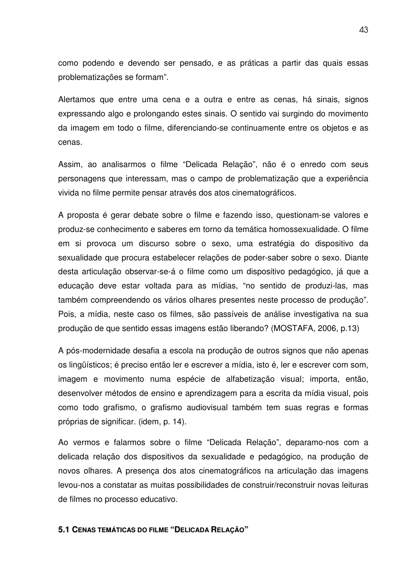como podendo e devendo ser pensado, e as práticas a partir das quais essas problematizações se formam".

Alertamos que entre uma cena e a outra e entre as cenas, há sinais, signos expressando algo e prolongando estes sinais. O sentido vai surgindo do movimento da imagem em todo o filme, diferenciando-se continuamente entre os objetos e as cenas.

Assim, ao analisarmos o filme "Delicada Relação", não é o enredo com seus personagens que interessam, mas o campo de problematização que a experiência vivida no filme permite pensar através dos atos cinematográficos.

A proposta é gerar debate sobre o filme e fazendo isso, questionam-se valores e produz-se conhecimento e saberes em torno da temática homossexualidade. O filme em si provoca um discurso sobre o sexo, uma estratégia do dispositivo da sexualidade que procura estabelecer relações de poder-saber sobre o sexo. Diante desta articulação observar-se-á o filme como um dispositivo pedagógico, já que a educação deve estar voltada para as mídias, "no sentido de produzi-las, mas também compreendendo os vários olhares presentes neste processo de produção". Pois, a mídia, neste caso os filmes, são passíveis de análise investigativa na sua produção de que sentido essas imagens estão liberando? (MOSTAFA, 2006, p.13)

A pós-modernidade desafia a escola na produção de outros signos que não apenas os lingüísticos; é preciso então ler e escrever a mídia, isto é, ler e escrever com som, imagem e movimento numa espécie de alfabetização visual; importa, então, desenvolver métodos de ensino e aprendizagem para a escrita da mídia visual, pois como todo grafismo, o grafismo audiovisual também tem suas regras e formas próprias de significar. (idem, p. 14).

Ao vermos e falarmos sobre o filme "Delicada Relação", deparamo-nos com a delicada relação dos dispositivos da sexualidade e pedagógico, na produção de novos olhares. A presença dos atos cinematográficos na articulação das imagens levou-nos a constatar as muitas possibilidades de construir/reconstruir novas leituras de filmes no processo educativo.

### **5.1 CENAS TEMÁTICAS DO FILME "DELICADA RELAÇÃO"**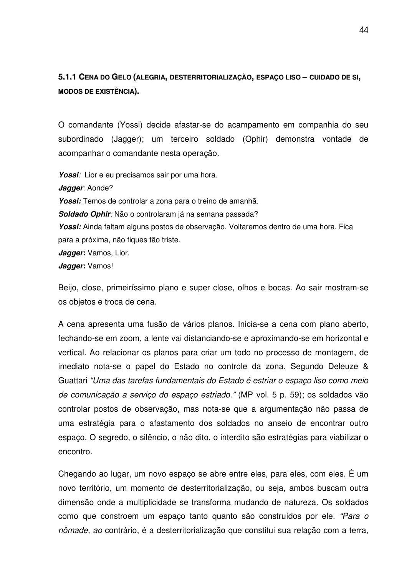**5.1.1 CENA DO GELO (ALEGRIA, DESTERRITORIALIZAÇÃO, ESPAÇO LISO – CUIDADO DE SI, MODOS DE EXISTÊNCIA).**

O comandante (Yossi) decide afastar-se do acampamento em companhia do seu subordinado (Jagger); um terceiro soldado (Ophir) demonstra vontade de acompanhar o comandante nesta operação.

*Yossi:* Lior e eu precisamos sair por uma hora. *Jagger:* Aonde? *Yossi:* Temos de controlar a zona para o treino de amanhã*. Soldado Ophir:* Não o controlaram já na semana passada? *Yossi:* Ainda faltam alguns postos de observação. Voltaremos dentro de uma hora. Fica para a próxima, não fiques tão triste. *Jagger***:** Vamos, Lior. *Jagger***:** Vamos!

Beijo, close, primeiríssimo plano e super close, olhos e bocas. Ao sair mostram-se os objetos e troca de cena.

A cena apresenta uma fusão de vários planos. Inicia-se a cena com plano aberto, fechando-se em zoom, a lente vai distanciando-se e aproximando-se em horizontal e vertical. Ao relacionar os planos para criar um todo no processo de montagem, de imediato nota-se o papel do Estado no controle da zona. Segundo Deleuze & Guattari *"Uma das tarefas fundamentais do Estado é estriar o espaço liso como meio de comunicação a serviço do espaço estriado."* (MP vol. 5 p. 59); os soldados vão controlar postos de observação, mas nota-se que a argumentação não passa de uma estratégia para o afastamento dos soldados no anseio de encontrar outro espaço. O segredo, o silêncio, o não dito, o interdito são estratégias para viabilizar o encontro.

Chegando ao lugar, um novo espaço se abre entre eles, para eles, com eles. É um novo território, um momento de desterritorialização, ou seja, ambos buscam outra dimensão onde a multiplicidade se transforma mudando de natureza. Os soldados como que constroem um espaço tanto quanto são construídos por ele. *"Para o nômade, ao* contrário, é a desterritorialização que constitui sua relação com a terra,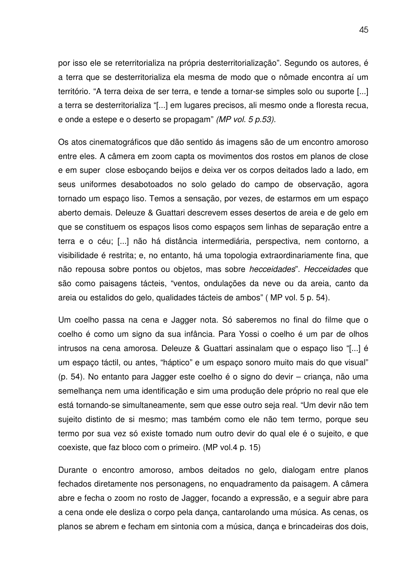por isso ele se reterritorializa na própria desterritorialização". Segundo os autores, é a terra que se desterritorializa ela mesma de modo que o nômade encontra aí um território. "A terra deixa de ser terra, e tende a tornar-se simples solo ou suporte [...] a terra se desterritorializa "[...] em lugares precisos, ali mesmo onde a floresta recua, e onde a estepe e o deserto se propagam" *(MP vol. 5 p.53).*

Os atos cinematográficos que dão sentido ás imagens são de um encontro amoroso entre eles. A câmera em zoom capta os movimentos dos rostos em planos de close e em super close esboçando beijos e deixa ver os corpos deitados lado a lado, em seus uniformes desabotoados no solo gelado do campo de observação, agora tornado um espaço liso. Temos a sensação, por vezes, de estarmos em um espaço aberto demais. Deleuze & Guattari descrevem esses desertos de areia e de gelo em que se constituem os espaços lisos como espaços sem linhas de separação entre a terra e o céu; [...] não há distância intermediária, perspectiva, nem contorno, a visibilidade é restrita; e, no entanto, há uma topologia extraordinariamente fina, que não repousa sobre pontos ou objetos, mas sobre *hecceidades*". *Hecceidades* que são como paisagens tácteis, "ventos, ondulações da neve ou da areia, canto da areia ou estalidos do gelo, qualidades tácteis de ambos" ( MP vol. 5 p. 54).

Um coelho passa na cena e Jagger nota. Só saberemos no final do filme que o coelho é como um signo da sua infância. Para Yossi o coelho é um par de olhos intrusos na cena amorosa. Deleuze & Guattari assinalam que o espaço liso "[...] é um espaço táctil, ou antes, "háptico" e um espaço sonoro muito mais do que visual" (p. 54). No entanto para Jagger este coelho é o signo do devir – criança, não uma semelhança nem uma identificação e sim uma produção dele próprio no real que ele está tornando-se simultaneamente, sem que esse outro seja real. "Um devir não tem sujeito distinto de si mesmo; mas também como ele não tem termo, porque seu termo por sua vez só existe tomado num outro devir do qual ele é o sujeito, e que coexiste, que faz bloco com o primeiro. (MP vol.4 p. 15)

Durante o encontro amoroso, ambos deitados no gelo, dialogam entre planos fechados diretamente nos personagens, no enquadramento da paisagem. A câmera abre e fecha o zoom no rosto de Jagger, focando a expressão, e a seguir abre para a cena onde ele desliza o corpo pela dança, cantarolando uma música. As cenas, os planos se abrem e fecham em sintonia com a música, dança e brincadeiras dos dois,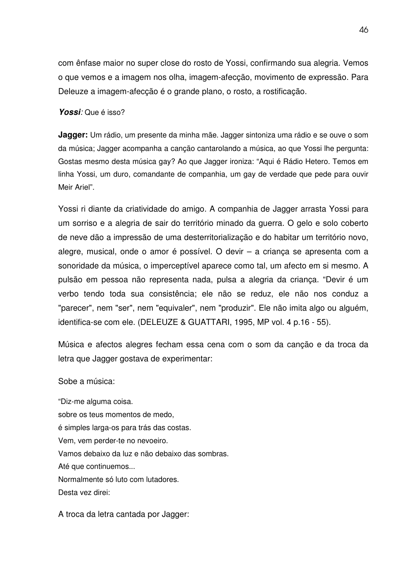com ênfase maior no super close do rosto de Yossi, confirmando sua alegria. Vemos o que vemos e a imagem nos olha, imagem-afecção, movimento de expressão. Para Deleuze a imagem-afecção é o grande plano, o rosto, a rostificação.

*Yossi:* Que é isso?

**Jagger:** Um rádio, um presente da minha mãe. Jagger sintoniza uma rádio e se ouve o som da música; Jagger acompanha a canção cantarolando a música, ao que Yossi lhe pergunta: Gostas mesmo desta música gay? Ao que Jagger ironiza: "Aqui é Rádio Hetero. Temos em linha Yossi, um duro, comandante de companhia, um gay de verdade que pede para ouvir Meir Ariel".

Yossi ri diante da criatividade do amigo. A companhia de Jagger arrasta Yossi para um sorriso e a alegria de sair do território minado da guerra. O gelo e solo coberto de neve dão a impressão de uma desterritorialização e do habitar um território novo, alegre, musical, onde o amor é possível. O devir – a criança se apresenta com a sonoridade da música, o imperceptível aparece como tal, um afecto em si mesmo. A pulsão em pessoa não representa nada, pulsa a alegria da criança. "Devir é um verbo tendo toda sua consistência; ele não se reduz, ele não nos conduz a "parecer", nem "ser", nem "equivaler", nem "produzir". Ele não imita algo ou alguém, identifica-se com ele. (DELEUZE & GUATTARI, 1995, MP vol. 4 p.16 - 55).

Música e afectos alegres fecham essa cena com o som da canção e da troca da letra que Jagger gostava de experimentar:

Sobe a música:

"Diz-me alguma coisa. sobre os teus momentos de medo, é simples larga-os para trás das costas. Vem, vem perder-te no nevoeiro. Vamos debaixo da luz e não debaixo das sombras. Até que continuemos... Normalmente só luto com lutadores. Desta vez direi:

A troca da letra cantada por Jagger: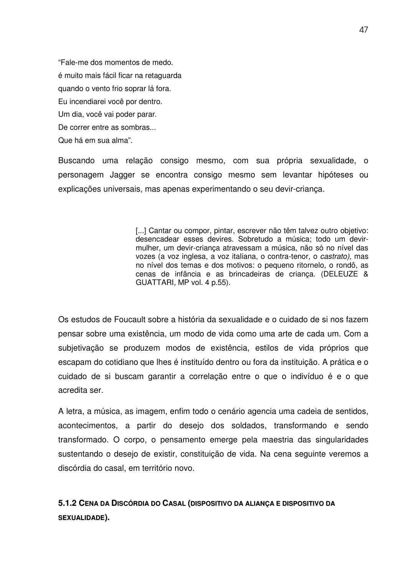"Fale-me dos momentos de medo. é muito mais fácil ficar na retaguarda quando o vento frio soprar lá fora. Eu incendiarei você por dentro. Um dia, você vai poder parar. De correr entre as sombras... Que há em sua alma".

Buscando uma relação consigo mesmo, com sua própria sexualidade, o personagem Jagger se encontra consigo mesmo sem levantar hipóteses ou explicações universais, mas apenas experimentando o seu devir-criança.

> [...] Cantar ou compor, pintar, escrever não têm talvez outro objetivo: desencadear esses devires. Sobretudo a música; todo um devirmulher, um devir-criança atravessam a música, não só no nível das vozes (a voz inglesa, a voz italiana, o contra-tenor, o *castrato),* mas no nível dos temas e dos motivos: o pequeno ritornelo, o rondô, as cenas de infância e as brincadeiras de criança. (DELEUZE & GUATTARI, MP vol. 4 p.55).

Os estudos de Foucault sobre a história da sexualidade e o cuidado de si nos fazem pensar sobre uma existência, um modo de vida como uma arte de cada um. Com a subjetivação se produzem modos de existência, estilos de vida próprios que escapam do cotidiano que lhes é instituído dentro ou fora da instituição. A prática e o cuidado de si buscam garantir a correlação entre o que o indivíduo é e o que acredita ser.

A letra, a música, as imagem, enfim todo o cenário agencia uma cadeia de sentidos, acontecimentos, a partir do desejo dos soldados, transformando e sendo transformado. O corpo, o pensamento emerge pela maestria das singularidades sustentando o desejo de existir, constituição de vida. Na cena seguinte veremos a discórdia do casal, em território novo.

# **5.1.2 CENA DA DISCÓRDIA DO CASAL (DISPOSITIVO DA ALIANÇA E DISPOSITIVO DA SEXUALIDADE).**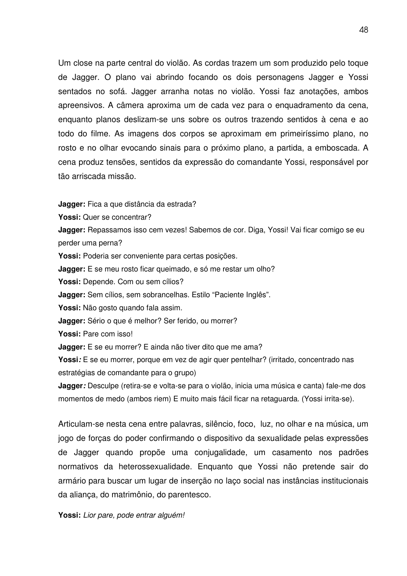Um close na parte central do violão. As cordas trazem um som produzido pelo toque de Jagger. O plano vai abrindo focando os dois personagens Jagger e Yossi sentados no sofá. Jagger arranha notas no violão. Yossi faz anotações, ambos apreensivos. A câmera aproxima um de cada vez para o enquadramento da cena, enquanto planos deslizam-se uns sobre os outros trazendo sentidos à cena e ao todo do filme. As imagens dos corpos se aproximam em primeiríssimo plano, no rosto e no olhar evocando sinais para o próximo plano, a partida, a emboscada. A cena produz tensões, sentidos da expressão do comandante Yossi, responsável por tão arriscada missão.

**Jagger:** Fica a que distância da estrada?

**Yossi:** Quer se concentrar?

**Jagger:** Repassamos isso cem vezes! Sabemos de cor. Diga, Yossi! Vai ficar comigo se eu perder uma perna?

**Yossi:** Poderia ser conveniente para certas posições*.*

**Jagger:** E se meu rosto ficar queimado, e só me restar um olho?

**Yossi:** Depende. Com ou sem cílios?

**Jagger:** Sem cílios, sem sobrancelhas. Estilo "Paciente Inglês".

**Yossi:** Não gosto quando fala assim.

**Jagger:** Sério o que é melhor? Ser ferido, ou morrer?

**Yossi:** Pare com isso!

**Jagger:** E se eu morrer? E ainda não tiver dito que me ama?

**Yossi***:* E se eu morrer, porque em vez de agir quer pentelhar? (irritado, concentrado nas estratégias de comandante para o grupo)

**Jagger***:* Desculpe (retira-se e volta-se para o violão, inicia uma música e canta) fale-me dos momentos de medo (ambos riem) E muito mais fácil ficar na retaguarda. (Yossi irrita-se).

Articulam-se nesta cena entre palavras, silêncio, foco, luz, no olhar e na música, um jogo de forças do poder confirmando o dispositivo da sexualidade pelas expressões de Jagger quando propõe uma conjugalidade, um casamento nos padrões normativos da heterossexualidade. Enquanto que Yossi não pretende sair do armário para buscar um lugar de inserção no laço social nas instâncias institucionais da aliança, do matrimônio, do parentesco.

**Yossi:** *Lior pare, pode entrar alguém!*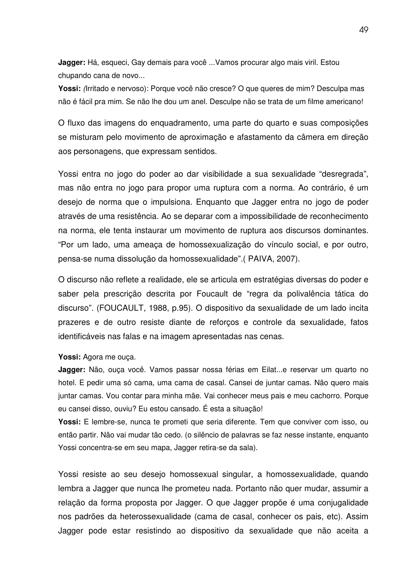**Jagger:** Há, esqueci, Gay demais para você ...Vamos procurar algo mais viril. Estou chupando cana de novo...

**Yossi:** *(*Irritado e nervoso): Porque você não cresce? O que queres de mim? Desculpa mas não é fácil pra mim. Se não lhe dou um anel. Desculpe não se trata de um filme americano!

O fluxo das imagens do enquadramento, uma parte do quarto e suas composições se misturam pelo movimento de aproximação e afastamento da câmera em direção aos personagens, que expressam sentidos.

Yossi entra no jogo do poder ao dar visibilidade a sua sexualidade "desregrada", mas não entra no jogo para propor uma ruptura com a norma. Ao contrário, é um desejo de norma que o impulsiona. Enquanto que Jagger entra no jogo de poder através de uma resistência. Ao se deparar com a impossibilidade de reconhecimento na norma, ele tenta instaurar um movimento de ruptura aos discursos dominantes. "Por um lado, uma ameaça de homossexualização do vínculo social, e por outro, pensa-se numa dissolução da homossexualidade".( PAIVA, 2007).

O discurso não reflete a realidade, ele se articula em estratégias diversas do poder e saber pela prescrição descrita por Foucault de "regra da polivalência tática do discurso". (FOUCAULT, 1988, p.95). O dispositivo da sexualidade de um lado incita prazeres e de outro resiste diante de reforços e controle da sexualidade, fatos identificáveis nas falas e na imagem apresentadas nas cenas.

#### **Yossi:** Agora me ouça.

**Jagger:** Não, ouça você. Vamos passar nossa férias em Eilat...e reservar um quarto no hotel. E pedir uma só cama, uma cama de casal. Cansei de juntar camas. Não quero mais juntar camas. Vou contar para minha mãe. Vai conhecer meus pais e meu cachorro. Porque eu cansei disso, ouviu? Eu estou cansado. É esta a situação!

**Yossi:** E lembre-se, nunca te prometi que seria diferente. Tem que conviver com isso, ou então partir. Não vai mudar tão cedo. (o silêncio de palavras se faz nesse instante, enquanto Yossi concentra-se em seu mapa, Jagger retira-se da sala).

Yossi resiste ao seu desejo homossexual singular, a homossexualidade, quando lembra a Jagger que nunca lhe prometeu nada. Portanto não quer mudar, assumir a relação da forma proposta por Jagger. O que Jagger propõe é uma conjugalidade nos padrões da heterossexualidade (cama de casal, conhecer os pais, etc). Assim Jagger pode estar resistindo ao dispositivo da sexualidade que não aceita a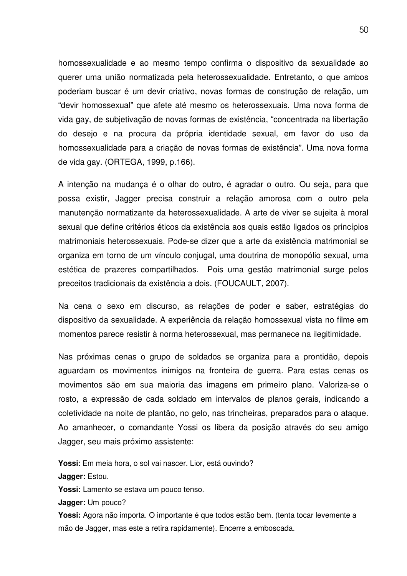homossexualidade e ao mesmo tempo confirma o dispositivo da sexualidade ao querer uma união normatizada pela heterossexualidade. Entretanto, o que ambos poderiam buscar é um devir criativo, novas formas de construção de relação, um "devir homossexual" que afete até mesmo os heterossexuais. Uma nova forma de vida gay, de subjetivação de novas formas de existência, "concentrada na libertação do desejo e na procura da própria identidade sexual, em favor do uso da homossexualidade para a criação de novas formas de existência". Uma nova forma de vida gay. (ORTEGA, 1999, p.166).

A intenção na mudança é o olhar do outro, é agradar o outro. Ou seja, para que possa existir, Jagger precisa construir a relação amorosa com o outro pela manutenção normatizante da heterossexualidade. A arte de viver se sujeita à moral sexual que define critérios éticos da existência aos quais estão ligados os princípios matrimoniais heterossexuais. Pode-se dizer que a arte da existência matrimonial se organiza em torno de um vínculo conjugal, uma doutrina de monopólio sexual, uma estética de prazeres compartilhados. Pois uma gestão matrimonial surge pelos preceitos tradicionais da existência a dois. (FOUCAULT, 2007).

Na cena o sexo em discurso, as relações de poder e saber, estratégias do dispositivo da sexualidade. A experiência da relação homossexual vista no filme em momentos parece resistir à norma heterossexual, mas permanece na ilegitimidade.

Nas próximas cenas o grupo de soldados se organiza para a prontidão, depois aguardam os movimentos inimigos na fronteira de guerra. Para estas cenas os movimentos são em sua maioria das imagens em primeiro plano. Valoriza-se o rosto, a expressão de cada soldado em intervalos de planos gerais, indicando a coletividade na noite de plantão, no gelo, nas trincheiras, preparados para o ataque. Ao amanhecer, o comandante Yossi os libera da posição através do seu amigo Jagger, seu mais próximo assistente:

**Yossi**: Em meia hora, o sol vai nascer. Lior, está ouvindo? **Jagger:** Estou. **Yossi:** Lamento se estava um pouco tenso. **Jagger:** Um pouco?

**Yossi:** Agora não importa. O importante é que todos estão bem. (tenta tocar levemente a mão de Jagger, mas este a retira rapidamente). Encerre a emboscada.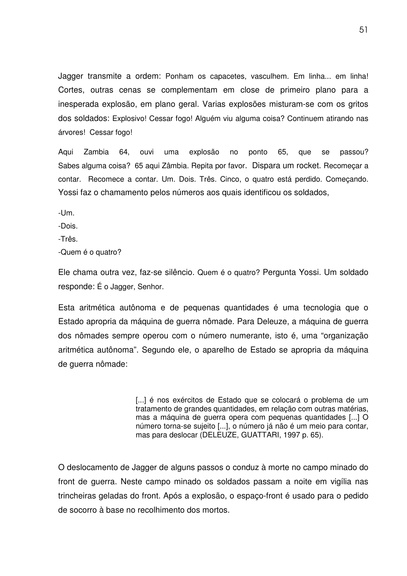Jagger transmite a ordem: Ponham os capacetes, vasculhem. Em linha... em linha! Cortes, outras cenas se complementam em close de primeiro plano para a inesperada explosão, em plano geral. Varias explosões misturam-se com os gritos dos soldados: Explosivo! Cessar fogo! Alguém viu alguma coisa? Continuem atirando nas árvores! Cessar fogo!

Aqui Zambia 64, ouvi uma explosão no ponto 65, que se passou? Sabes alguma coisa? 65 aqui Zâmbia. Repita por favor. Dispara um rocket. Recomeçar a contar. Recomece a contar. Um. Dois. Três. Cinco, o quatro está perdido. Começando. Yossi faz o chamamento pelos números aos quais identificou os soldados,

-Um.

-Dois.

-Três.

-Quem é o quatro?

Ele chama outra vez, faz-se silêncio. Quem é o quatro? Pergunta Yossi. Um soldado responde: É o Jagger, Senhor.

Esta aritmética autônoma e de pequenas quantidades é uma tecnologia que o Estado apropria da máquina de guerra nômade. Para Deleuze, a máquina de guerra dos nômades sempre operou com o número numerante, isto é, uma "organização aritmética autônoma". Segundo ele, o aparelho de Estado se apropria da máquina de guerra nômade:

> [...] é nos exércitos de Estado que se colocará o problema de um tratamento de grandes quantidades, em relação com outras matérias, mas a máquina de guerra opera com pequenas quantidades [...] O número torna-se sujeito [...], o número já não é um meio para contar, mas para deslocar (DELEUZE, GUATTARI, 1997 p. 65).

O deslocamento de Jagger de alguns passos o conduz à morte no campo minado do front de guerra. Neste campo minado os soldados passam a noite em vigília nas trincheiras geladas do front. Após a explosão, o espaço-front é usado para o pedido de socorro à base no recolhimento dos mortos.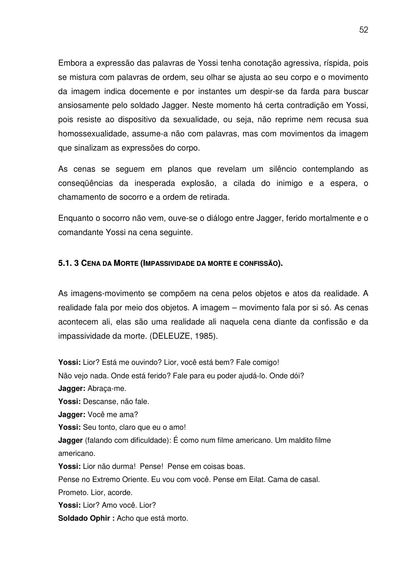Embora a expressão das palavras de Yossi tenha conotação agressiva, ríspida, pois se mistura com palavras de ordem, seu olhar se ajusta ao seu corpo e o movimento da imagem indica docemente e por instantes um despir-se da farda para buscar ansiosamente pelo soldado Jagger. Neste momento há certa contradição em Yossi, pois resiste ao dispositivo da sexualidade, ou seja, não reprime nem recusa sua homossexualidade, assume-a não com palavras, mas com movimentos da imagem que sinalizam as expressões do corpo.

As cenas se seguem em planos que revelam um silêncio contemplando as conseqüências da inesperada explosão, a cilada do inimigo e a espera, o chamamento de socorro e a ordem de retirada.

Enquanto o socorro não vem, ouve-se o diálogo entre Jagger, ferido mortalmente e o comandante Yossi na cena seguinte.

## **5.1. 3 CENA DA MORTE (IMPASSIVIDADE DA MORTE E CONFISSÃO).**

As imagens-movimento se compõem na cena pelos objetos e atos da realidade. A realidade fala por meio dos objetos. A imagem – movimento fala por si só. As cenas acontecem ali, elas são uma realidade ali naquela cena diante da confissão e da impassividade da morte. (DELEUZE, 1985).

**Yossi:** Lior? Está me ouvindo? Lior, você está bem? Fale comigo! Não vejo nada. Onde está ferido? Fale para eu poder ajudá-lo. Onde dói? **Jagger:** Abraça-me. **Yossi:** Descanse, não fale. **Jagger:** Você me ama? **Yossi:** Seu tonto, claro que eu o amo! **Jagger** (falando com dificuldade): É como num filme americano. Um maldito filme americano. **Yossi:** Lior não durma! Pense! Pense em coisas boas. Pense no Extremo Oriente. Eu vou com você. Pense em Eilat. Cama de casal. Prometo. Lior, acorde. **Yossi:** Lior? Amo você. Lior?

**Soldado Ophir :** Acho que está morto.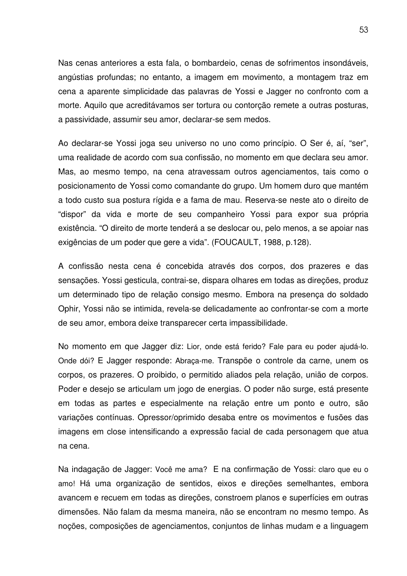Nas cenas anteriores a esta fala, o bombardeio, cenas de sofrimentos insondáveis, angústias profundas; no entanto, a imagem em movimento, a montagem traz em cena a aparente simplicidade das palavras de Yossi e Jagger no confronto com a morte. Aquilo que acreditávamos ser tortura ou contorção remete a outras posturas, a passividade, assumir seu amor, declarar-se sem medos.

Ao declarar-se Yossi joga seu universo no uno como princípio. O Ser é, aí, "ser", uma realidade de acordo com sua confissão, no momento em que declara seu amor. Mas, ao mesmo tempo, na cena atravessam outros agenciamentos, tais como o posicionamento de Yossi como comandante do grupo. Um homem duro que mantém a todo custo sua postura rígida e a fama de mau. Reserva-se neste ato o direito de "dispor" da vida e morte de seu companheiro Yossi para expor sua própria existência. "O direito de morte tenderá a se deslocar ou, pelo menos, a se apoiar nas exigências de um poder que gere a vida". (FOUCAULT, 1988, p.128).

A confissão nesta cena é concebida através dos corpos, dos prazeres e das sensações. Yossi gesticula, contrai-se, dispara olhares em todas as direções, produz um determinado tipo de relação consigo mesmo. Embora na presença do soldado Ophir, Yossi não se intimida, revela-se delicadamente ao confrontar-se com a morte de seu amor, embora deixe transparecer certa impassibilidade.

No momento em que Jagger diz: Lior, onde está ferido? Fale para eu poder ajudá-lo. Onde dói? E Jagger responde: Abraça-me. Transpõe o controle da carne, unem os corpos, os prazeres. O proibido, o permitido aliados pela relação, união de corpos. Poder e desejo se articulam um jogo de energias. O poder não surge, está presente em todas as partes e especialmente na relação entre um ponto e outro, são variações contínuas. Opressor/oprimido desaba entre os movimentos e fusões das imagens em close intensificando a expressão facial de cada personagem que atua na cena.

Na indagação de Jagger: Você me ama? E na confirmação de Yossi: claro que eu o amo! Há uma organização de sentidos, eixos e direções semelhantes, embora avancem e recuem em todas as direções, constroem planos e superfícies em outras dimensões. Não falam da mesma maneira, não se encontram no mesmo tempo. As noções, composições de agenciamentos, conjuntos de linhas mudam e a linguagem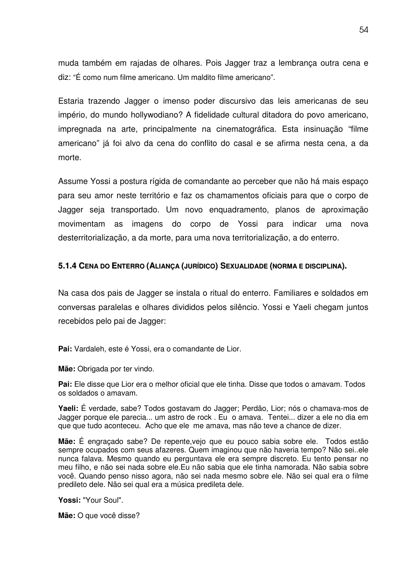muda também em rajadas de olhares. Pois Jagger traz a lembrança outra cena e diz: "É como num filme americano. Um maldito filme americano".

Estaria trazendo Jagger o imenso poder discursivo das leis americanas de seu império, do mundo hollywodiano? A fidelidade cultural ditadora do povo americano, impregnada na arte, principalmente na cinematográfica. Esta insinuação "filme americano" já foi alvo da cena do conflito do casal e se afirma nesta cena, a da morte.

Assume Yossi a postura rígida de comandante ao perceber que não há mais espaço para seu amor neste território e faz os chamamentos oficiais para que o corpo de Jagger seja transportado. Um novo enquadramento, planos de aproximação movimentam as imagens do corpo de Yossi para indicar uma nova desterritorialização, a da morte, para uma nova territorialização, a do enterro.

## **5.1.4 CENA DO ENTERRO (ALIANÇA (JURÍDICO) SEXUALIDADE (NORMA E DISCIPLINA).**

Na casa dos pais de Jagger se instala o ritual do enterro. Familiares e soldados em conversas paralelas e olhares divididos pelos silêncio. Yossi e Yaeli chegam juntos recebidos pelo pai de Jagger:

**Pai:** Vardaleh, este é Yossi, era o comandante de Lior.

**Mãe:** Obrigada por ter vindo.

**Pai:** Ele disse que Lior era o melhor oficial que ele tinha. Disse que todos o amavam. Todos os soldados o amavam.

**Yaeli:** É verdade, sabe? Todos gostavam do Jagger; Perdão, Lior; nós o chamava-mos de Jagger porque ele parecia... um astro de rock . Eu o amava. Tentei... dizer a ele no dia em que que tudo aconteceu. Acho que ele me amava, mas não teve a chance de dizer.

**Mãe:** É engraçado sabe? De repente,vejo que eu pouco sabia sobre ele. Todos estão sempre ocupados com seus afazeres. Quem imaginou que não haveria tempo? Não sei..ele nunca falava. Mesmo quando eu perguntava ele era sempre discreto. Eu tento pensar no meu filho, e não sei nada sobre ele.Eu não sabia que ele tinha namorada. Não sabia sobre você. Quando penso nisso agora, não sei nada mesmo sobre ele. Não sei qual era o filme predileto dele. Não sei qual era a música predileta dele.

**Yossi:** "Your Soul".

**Mãe:** O que você disse?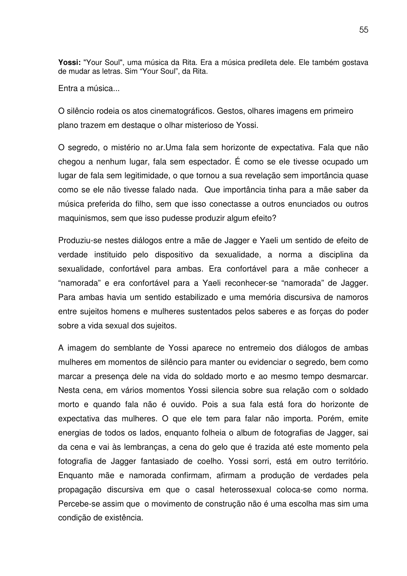**Yossi:** "Your Soul", uma música da Rita. Era a música predileta dele. Ele também gostava de mudar as letras. Sim "Your Soul", da Rita.

Entra a música...

O silêncio rodeia os atos cinematográficos. Gestos, olhares imagens em primeiro plano trazem em destaque o olhar misterioso de Yossi.

O segredo, o mistério no ar.Uma fala sem horizonte de expectativa. Fala que não chegou a nenhum lugar, fala sem espectador. É como se ele tivesse ocupado um lugar de fala sem legitimidade, o que tornou a sua revelação sem importância quase como se ele não tivesse falado nada. Que importância tinha para a mãe saber da música preferida do filho, sem que isso conectasse a outros enunciados ou outros maquinismos, sem que isso pudesse produzir algum efeito?

Produziu-se nestes diálogos entre a mãe de Jagger e Yaeli um sentido de efeito de verdade instituido pelo dispositivo da sexualidade, a norma a disciplina da sexualidade, confortável para ambas. Era confortável para a mãe conhecer a "namorada" e era confortável para a Yaeli reconhecer-se "namorada" de Jagger. Para ambas havia um sentido estabilizado e uma memória discursiva de namoros entre sujeitos homens e mulheres sustentados pelos saberes e as forças do poder sobre a vida sexual dos sujeitos.

A imagem do semblante de Yossi aparece no entremeio dos diálogos de ambas mulheres em momentos de silêncio para manter ou evidenciar o segredo, bem como marcar a presença dele na vida do soldado morto e ao mesmo tempo desmarcar. Nesta cena, em vários momentos Yossi silencia sobre sua relação com o soldado morto e quando fala não é ouvido. Pois a sua fala está fora do horizonte de expectativa das mulheres. O que ele tem para falar não importa. Porém, emite energias de todos os lados, enquanto folheia o album de fotografias de Jagger, sai da cena e vai às lembranças, a cena do gelo que é trazida até este momento pela fotografia de Jagger fantasiado de coelho. Yossi sorri, está em outro território. Enquanto mãe e namorada confirmam, afirmam a produção de verdades pela propagação discursiva em que o casal heterossexual coloca-se como norma. Percebe-se assim que o movimento de construção não é uma escolha mas sim uma condição de existência.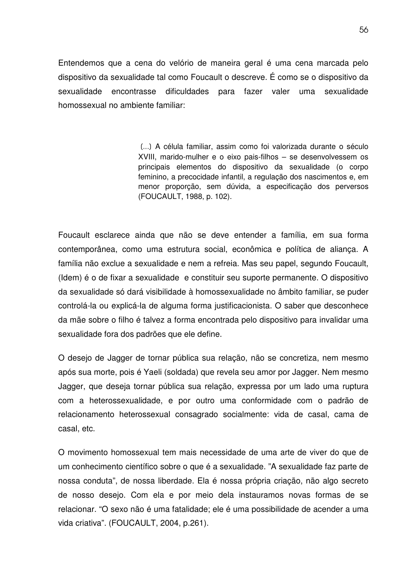Entendemos que a cena do velório de maneira geral é uma cena marcada pelo dispositivo da sexualidade tal como Foucault o descreve. É como se o dispositivo da sexualidade encontrasse dificuldades para fazer valer uma sexualidade homossexual no ambiente familiar:

> [...] A célula familiar, assim como foi valorizada durante o século XVIII, marido-mulher e o eixo pais-filhos – se desenvolvessem os principais elementos do dispositivo da sexualidade (o corpo feminino, a precocidade infantil, a regulação dos nascimentos e, em menor proporção, sem dúvida, a especificação dos perversos (FOUCAULT, 1988, p. 102).

Foucault esclarece ainda que não se deve entender a família, em sua forma contemporânea, como uma estrutura social, econômica e política de aliança. A família não exclue a sexualidade e nem a refreia. Mas seu papel, segundo Foucault, (Idem) é o de fixar a sexualidade e constituir seu suporte permanente. O dispositivo da sexualidade só dará visibilidade à homossexualidade no âmbito familiar, se puder controlá-la ou explicá-la de alguma forma justificacionista. O saber que desconhece da mãe sobre o filho é talvez a forma encontrada pelo dispositivo para invalidar uma sexualidade fora dos padrões que ele define.

O desejo de Jagger de tornar pública sua relação, não se concretiza, nem mesmo após sua morte, pois é Yaeli (soldada) que revela seu amor por Jagger. Nem mesmo Jagger, que deseja tornar pública sua relação, expressa por um lado uma ruptura com a heterossexualidade, e por outro uma conformidade com o padrão de relacionamento heterossexual consagrado socialmente: vida de casal, cama de casal, etc.

O movimento homossexual tem mais necessidade de uma arte de viver do que de um conhecimento científico sobre o que é a sexualidade. "A sexualidade faz parte de nossa conduta", de nossa liberdade. Ela é nossa própria criação, não algo secreto de nosso desejo. Com ela e por meio dela instauramos novas formas de se relacionar. "O sexo não é uma fatalidade; ele é uma possibilidade de acender a uma vida criativa". (FOUCAULT, 2004, p.261).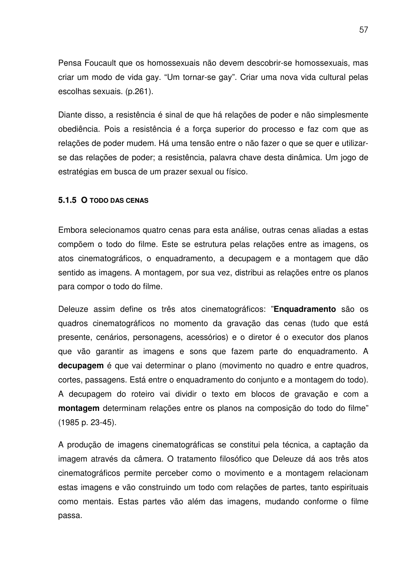Pensa Foucault que os homossexuais não devem descobrir-se homossexuais, mas criar um modo de vida gay. "Um tornar-se gay". Criar uma nova vida cultural pelas escolhas sexuais. (p.261).

Diante disso, a resistência é sinal de que há relações de poder e não simplesmente obediência. Pois a resistência é a força superior do processo e faz com que as relações de poder mudem. Há uma tensão entre o não fazer o que se quer e utilizarse das relações de poder; a resistência, palavra chave desta dinâmica. Um jogo de estratégias em busca de um prazer sexual ou físico.

### **5.1.5 O TODO DAS CENAS**

Embora selecionamos quatro cenas para esta análise, outras cenas aliadas a estas compõem o todo do filme. Este se estrutura pelas relações entre as imagens, os atos cinematográficos, o enquadramento, a decupagem e a montagem que dão sentido as imagens. A montagem, por sua vez, distribui as relações entre os planos para compor o todo do filme.

Deleuze assim define os três atos cinematográficos: "**Enquadramento** são os quadros cinematográficos no momento da gravação das cenas (tudo que está presente, cenários, personagens, acessórios) e o diretor é o executor dos planos que vão garantir as imagens e sons que fazem parte do enquadramento. A decupagem é que vai determinar o plano (movimento no quadro e entre quadros, cortes, passagens. Está entre o enquadramento do conjunto e a montagem do todo). A decupagem do roteiro vai dividir o texto em blocos de gravação e com a **montagem** determinam relações entre os planos na composição do todo do filme" (1985 p. 23-45).

A produção de imagens cinematográficas se constitui pela técnica, a captação da imagem através da câmera. O tratamento filosófico que Deleuze dá aos três atos cinematográficos permite perceber como o movimento e a montagem relacionam estas imagens e vão construindo um todo com relações de partes, tanto espirituais como mentais. Estas partes vão além das imagens, mudando conforme o filme passa.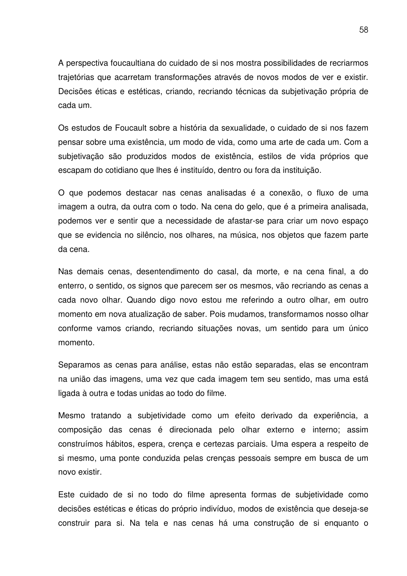A perspectiva foucaultiana do cuidado de si nos mostra possibilidades de recriarmos trajetórias que acarretam transformações através de novos modos de ver e existir. Decisões éticas e estéticas, criando, recriando técnicas da subjetivação própria de cada um.

Os estudos de Foucault sobre a história da sexualidade, o cuidado de si nos fazem pensar sobre uma existência, um modo de vida, como uma arte de cada um. Com a subjetivação são produzidos modos de existência, estilos de vida próprios que escapam do cotidiano que lhes é instituído, dentro ou fora da instituição.

O que podemos destacar nas cenas analisadas é a conexão, o fluxo de uma imagem a outra, da outra com o todo. Na cena do gelo, que é a primeira analisada, podemos ver e sentir que a necessidade de afastar-se para criar um novo espaço que se evidencia no silêncio, nos olhares, na música, nos objetos que fazem parte da cena.

Nas demais cenas, desentendimento do casal, da morte, e na cena final, a do enterro, o sentido, os signos que parecem ser os mesmos, vão recriando as cenas a cada novo olhar. Quando digo novo estou me referindo a outro olhar, em outro momento em nova atualização de saber. Pois mudamos, transformamos nosso olhar conforme vamos criando, recriando situações novas, um sentido para um único momento.

Separamos as cenas para análise, estas não estão separadas, elas se encontram na união das imagens, uma vez que cada imagem tem seu sentido, mas uma está ligada à outra e todas unidas ao todo do filme.

Mesmo tratando a subjetividade como um efeito derivado da experiência, a composição das cenas é direcionada pelo olhar externo e interno; assim construímos hábitos, espera, crença e certezas parciais. Uma espera a respeito de si mesmo, uma ponte conduzida pelas crenças pessoais sempre em busca de um novo existir.

Este cuidado de si no todo do filme apresenta formas de subjetividade como decisões estéticas e éticas do próprio indivíduo, modos de existência que deseja-se construir para si. Na tela e nas cenas há uma construção de si enquanto o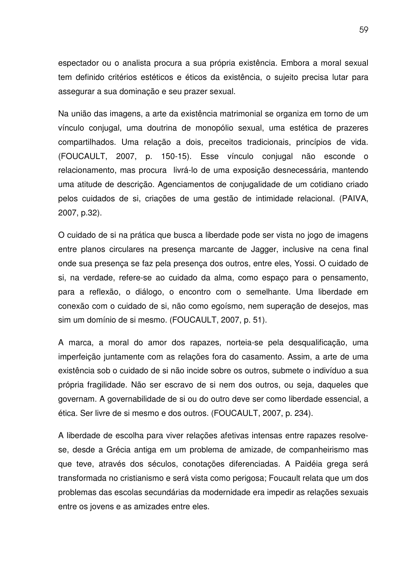espectador ou o analista procura a sua própria existência. Embora a moral sexual tem definido critérios estéticos e éticos da existência, o sujeito precisa lutar para assegurar a sua dominação e seu prazer sexual.

Na união das imagens, a arte da existência matrimonial se organiza em torno de um vínculo conjugal, uma doutrina de monopólio sexual, uma estética de prazeres compartilhados. Uma relação a dois, preceitos tradicionais, princípios de vida. (FOUCAULT, 2007, p. 150-15). Esse vínculo conjugal não esconde o relacionamento, mas procura livrá-lo de uma exposição desnecessária, mantendo uma atitude de descrição. Agenciamentos de conjugalidade de um cotidiano criado pelos cuidados de si, criações de uma gestão de intimidade relacional. (PAIVA, 2007, p.32).

O cuidado de si na prática que busca a liberdade pode ser vista no jogo de imagens entre planos circulares na presença marcante de Jagger, inclusive na cena final onde sua presença se faz pela presença dos outros, entre eles, Yossi. O cuidado de si, na verdade, refere-se ao cuidado da alma, como espaço para o pensamento, para a reflexão, o diálogo, o encontro com o semelhante. Uma liberdade em conexão com o cuidado de si, não como egoísmo, nem superação de desejos, mas sim um domínio de si mesmo. (FOUCAULT, 2007, p. 51).

A marca, a moral do amor dos rapazes, norteia-se pela desqualificação, uma imperfeição juntamente com as relações fora do casamento. Assim, a arte de uma existência sob o cuidado de si não incide sobre os outros, submete o indivíduo a sua própria fragilidade. Não ser escravo de si nem dos outros, ou seja, daqueles que governam. A governabilidade de si ou do outro deve ser como liberdade essencial, a ética. Ser livre de si mesmo e dos outros. (FOUCAULT, 2007, p. 234).

A liberdade de escolha para viver relações afetivas intensas entre rapazes resolvese, desde a Grécia antiga em um problema de amizade, de companheirismo mas que teve, através dos séculos, conotações diferenciadas. A Paidéia grega será transformada no cristianismo e será vista como perigosa; Foucault relata que um dos problemas das escolas secundárias da modernidade era impedir as relações sexuais entre os jovens e as amizades entre eles.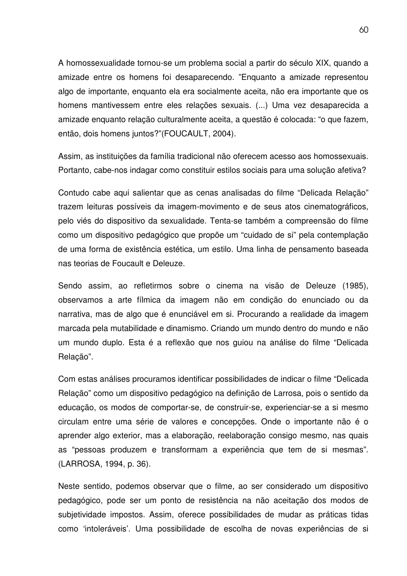A homossexualidade tornou-se um problema social a partir do século XIX, quando a amizade entre os homens foi desaparecendo. "Enquanto a amizade representou algo de importante, enquanto ela era socialmente aceita, não era importante que os homens mantivessem entre eles relações sexuais. (...) Uma vez desaparecida a amizade enquanto relação culturalmente aceita, a questão é colocada: "o que fazem, então, dois homens juntos?"(FOUCAULT, 2004).

Assim, as instituições da família tradicional não oferecem acesso aos homossexuais. Portanto, cabe-nos indagar como constituir estilos sociais para uma solução afetiva?

Contudo cabe aqui salientar que as cenas analisadas do filme "Delicada Relação" trazem leituras possíveis da imagem-movimento e de seus atos cinematográficos, pelo viés do dispositivo da sexualidade. Tenta-se também a compreensão do filme como um dispositivo pedagógico que propõe um "cuidado de si" pela contemplação de uma forma de existência estética, um estilo. Uma linha de pensamento baseada nas teorias de Foucault e Deleuze.

Sendo assim, ao refletirmos sobre o cinema na visão de Deleuze (1985), observamos a arte fílmica da imagem não em condição do enunciado ou da narrativa, mas de algo que é enunciável em si. Procurando a realidade da imagem marcada pela mutabilidade e dinamismo. Criando um mundo dentro do mundo e não um mundo duplo. Esta é a reflexão que nos guiou na análise do filme "Delicada Relação".

Com estas análises procuramos identificar possibilidades de indicar o filme "Delicada Relação" como um dispositivo pedagógico na definição de Larrosa, pois o sentido da educação, os modos de comportar-se, de construir-se, experienciar-se a si mesmo circulam entre uma série de valores e concepções. Onde o importante não é o aprender algo exterior, mas a elaboração, reelaboração consigo mesmo, nas quais as "pessoas produzem e transformam a experiência que tem de si mesmas". (LARROSA, 1994, p. 36).

Neste sentido, podemos observar que o filme, ao ser considerado um dispositivo pedagógico, pode ser um ponto de resistência na não aceitação dos modos de subjetividade impostos. Assim, oferece possibilidades de mudar as práticas tidas como 'intoleráveis'. Uma possibilidade de escolha de novas experiências de si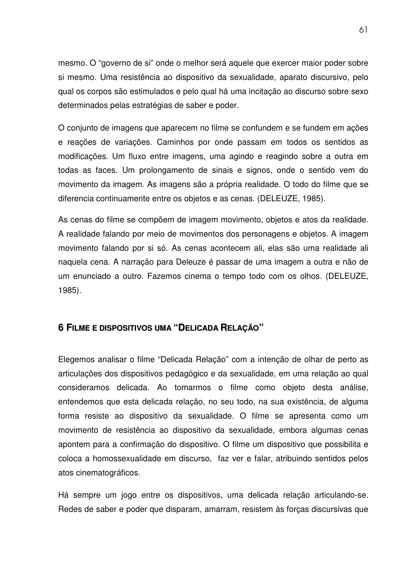mesmo. O "governo de si" onde o melhor será aquele que exercer maior poder sobre si mesmo. Uma resistência ao dispositivo da sexualidade, aparato discursivo, pelo qual os corpos são estimulados e pelo qual há uma incitação ao discurso sobre sexo determinados pelas estratégias de saber e poder.

O conjunto de imagens que aparecem no filme se confundem e se fundem em ações e reações de variações. Caminhos por onde passam em todos os sentidos as modificações. Um fluxo entre imagens, uma agindo e reagindo sobre a outra em todas as faces. Um prolongamento de sinais e signos, onde o sentido vem do movimento da imagem. As imagens são a própria realidade. O todo do filme que se diferencia continuamente entre os objetos e as cenas. (DELEUZE, 1985).

As cenas do filme se compõem de imagem movimento, objetos e atos da realidade. A realidade falando por meio de movimentos dos personagens e objetos. A imagem movimento falando por si só. As cenas acontecem ali, elas são uma realidade ali naquela cena. A narração para Deleuze é passar de uma imagem a outra e não de um enunciado a outro. Fazemos cinema o tempo todo com os olhos. (DELEUZE, 1985).

## **6 FILME E DISPOSITIVOS UMA "DELICADA RELAÇÃO"**

Elegemos analisar o filme "Delicada Relação" com a intenção de olhar de perto as articulações dos dispositivos pedagógico e da sexualidade, em uma relação ao qual consideramos delicada. Ao tomarmos o filme como objeto desta análise, entendemos que esta delicada relação, no seu todo, na sua existência, de alguma forma resiste ao dispositivo da sexualidade. O filme se apresenta como um movimento de resistência ao dispositivo da sexualidade, embora algumas cenas apontem para a confirmação do dispositivo. O filme um dispositivo que possibilita e coloca a homossexualidade em discurso, faz ver e falar, atribuindo sentidos pelos atos cinematográficos.

Há sempre um jogo entre os dispositivos, uma delicada relação articulando-se. Redes de saber e poder que disparam, amarram, resistem às forças discursivas que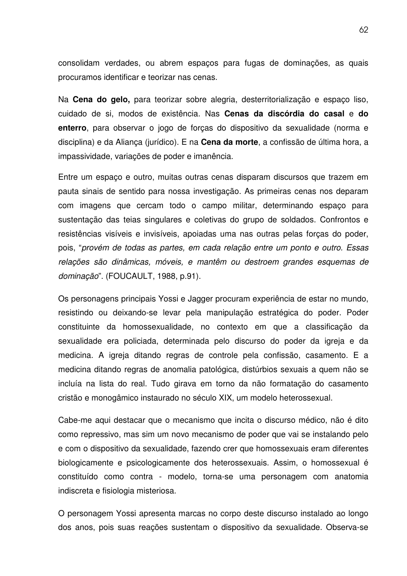consolidam verdades, ou abrem espaços para fugas de dominações, as quais procuramos identificar e teorizar nas cenas.

Na **Cena do gelo,** para teorizar sobre alegria, desterritorialização e espaço liso, cuidado de si, modos de existência. Nas **Cenas da discórdia do casal** e **do enterro**, para observar o jogo de forças do dispositivo da sexualidade (norma e disciplina) e da Aliança (jurídico). E na **Cena da morte**, a confissão de última hora, a impassividade, variações de poder e imanência.

Entre um espaço e outro, muitas outras cenas disparam discursos que trazem em pauta sinais de sentido para nossa investigação. As primeiras cenas nos deparam com imagens que cercam todo o campo militar, determinando espaço para sustentação das teias singulares e coletivas do grupo de soldados. Confrontos e resistências visíveis e invisíveis, apoiadas uma nas outras pelas forças do poder, pois, "*provém de todas as partes, em cada relação entre um ponto e outro. Essas relações são dinâmicas, móveis, e mantêm ou destroem grandes esquemas de dominação*". (FOUCAULT, 1988, p.91).

Os personagens principais Yossi e Jagger procuram experiência de estar no mundo, resistindo ou deixando-se levar pela manipulação estratégica do poder. Poder constituinte da homossexualidade, no contexto em que a classificação da sexualidade era policiada, determinada pelo discurso do poder da igreja e da medicina. A igreja ditando regras de controle pela confissão, casamento. E a medicina ditando regras de anomalia patológica, distúrbios sexuais a quem não se incluía na lista do real. Tudo girava em torno da não formatação do casamento cristão e monogâmico instaurado no século XIX, um modelo heterossexual.

Cabe-me aqui destacar que o mecanismo que incita o discurso médico, não é dito como repressivo, mas sim um novo mecanismo de poder que vai se instalando pelo e com o dispositivo da sexualidade, fazendo crer que homossexuais eram diferentes biologicamente e psicologicamente dos heterossexuais. Assim, o homossexual é constituído como contra - modelo, torna-se uma personagem com anatomia indiscreta e fisiologia misteriosa.

O personagem Yossi apresenta marcas no corpo deste discurso instalado ao longo dos anos, pois suas reações sustentam o dispositivo da sexualidade. Observa-se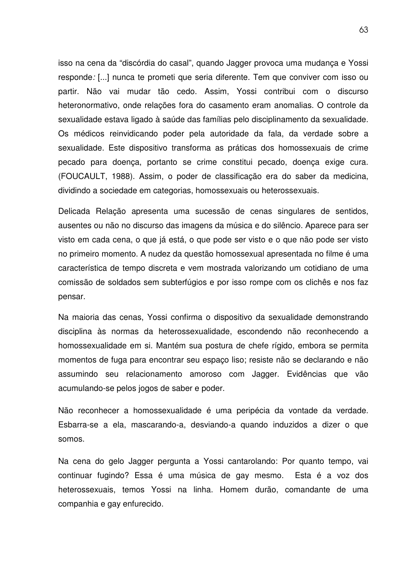isso na cena da "discórdia do casal", quando Jagger provoca uma mudança e Yossi responde*:* [...] nunca te prometi que seria diferente. Tem que conviver com isso ou partir. Não vai mudar tão cedo. Assim, Yossi contribui com o discurso heteronormativo, onde relações fora do casamento eram anomalias. O controle da sexualidade estava ligado à saúde das famílias pelo disciplinamento da sexualidade. Os médicos reinvidicando poder pela autoridade da fala, da verdade sobre a sexualidade. Este dispositivo transforma as práticas dos homossexuais de crime pecado para doença, portanto se crime constitui pecado, doença exige cura. (FOUCAULT, 1988). Assim, o poder de classificação era do saber da medicina, dividindo a sociedade em categorias, homossexuais ou heterossexuais.

Delicada Relação apresenta uma sucessão de cenas singulares de sentidos, ausentes ou não no discurso das imagens da música e do silêncio. Aparece para ser visto em cada cena, o que já está, o que pode ser visto e o que não pode ser visto no primeiro momento. A nudez da questão homossexual apresentada no filme é uma característica de tempo discreta e vem mostrada valorizando um cotidiano de uma comissão de soldados sem subterfúgios e por isso rompe com os clichês e nos faz pensar.

Na maioria das cenas, Yossi confirma o dispositivo da sexualidade demonstrando disciplina às normas da heterossexualidade, escondendo não reconhecendo a homossexualidade em si. Mantém sua postura de chefe rígido, embora se permita momentos de fuga para encontrar seu espaço liso; resiste não se declarando e não assumindo seu relacionamento amoroso com Jagger. Evidências que vão acumulando-se pelos jogos de saber e poder.

Não reconhecer a homossexualidade é uma peripécia da vontade da verdade. Esbarra-se a ela, mascarando-a, desviando-a quando induzidos a dizer o que somos.

Na cena do gelo Jagger pergunta a Yossi cantarolando: Por quanto tempo, vai continuar fugindo? Essa é uma música de gay mesmo. Esta é a voz dos heterossexuais, temos Yossi na linha. Homem durão, comandante de uma companhia e gay enfurecido.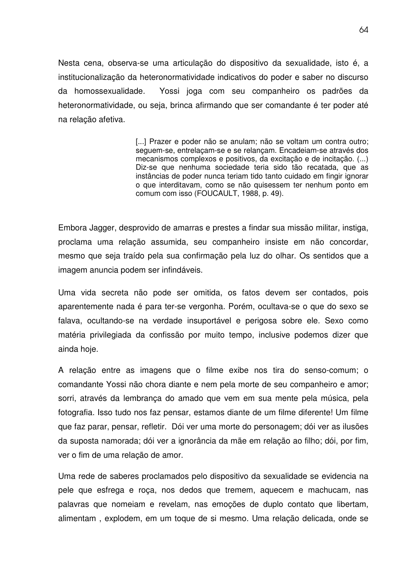Nesta cena, observa-se uma articulação do dispositivo da sexualidade, isto é, a institucionalização da heteronormatividade indicativos do poder e saber no discurso da homossexualidade*.* Yossi joga com seu companheiro os padrões da heteronormatividade, ou seja, brinca afirmando que ser comandante é ter poder até na relação afetiva.

> [...] Prazer e poder não se anulam; não se voltam um contra outro; seguem-se, entrelaçam-se e se relançam. Encadeiam-se através dos mecanismos complexos e positivos, da excitação e de incitação. (...) Diz-se que nenhuma sociedade teria sido tão recatada, que as instâncias de poder nunca teriam tido tanto cuidado em fingir ignorar o que interditavam, como se não quisessem ter nenhum ponto em comum com isso (FOUCAULT, 1988, p. 49).

Embora Jagger, desprovido de amarras e prestes a findar sua missão militar, instiga, proclama uma relação assumida, seu companheiro insiste em não concordar, mesmo que seja traído pela sua confirmação pela luz do olhar. Os sentidos que a imagem anuncia podem ser infindáveis.

Uma vida secreta não pode ser omitida, os fatos devem ser contados, pois aparentemente nada é para ter-se vergonha. Porém, ocultava-se o que do sexo se falava, ocultando-se na verdade insuportável e perigosa sobre ele. Sexo como matéria privilegiada da confissão por muito tempo, inclusive podemos dizer que ainda hoje.

A relação entre as imagens que o filme exibe nos tira do senso-comum; o comandante Yossi não chora diante e nem pela morte de seu companheiro e amor; sorri, através da lembrança do amado que vem em sua mente pela música, pela fotografia. Isso tudo nos faz pensar, estamos diante de um filme diferente! Um filme que faz parar, pensar, refletir. Dói ver uma morte do personagem; dói ver as ilusões da suposta namorada; dói ver a ignorância da mãe em relação ao filho; dói, por fim, ver o fim de uma relação de amor.

Uma rede de saberes proclamados pelo dispositivo da sexualidade se evidencia na pele que esfrega e roça, nos dedos que tremem, aquecem e machucam, nas palavras que nomeiam e revelam, nas emoções de duplo contato que libertam, alimentam , explodem, em um toque de si mesmo. Uma relação delicada, onde se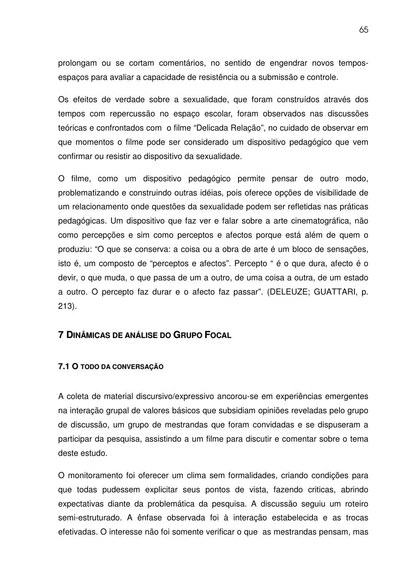prolongam ou se cortam comentários, no sentido de engendrar novos temposespaços para avaliar a capacidade de resistência ou a submissão e controle.

Os efeitos de verdade sobre a sexualidade, que foram construídos através dos tempos com repercussão no espaço escolar, foram observados nas discussões teóricas e confrontados com o filme "Delicada Relação", no cuidado de observar em que momentos o filme pode ser considerado um dispositivo pedagógico que vem confirmar ou resistir ao dispositivo da sexualidade.

O filme, como um dispositivo pedagógico permite pensar de outro modo, problematizando e construindo outras idéias, pois oferece opções de visibilidade de um relacionamento onde questões da sexualidade podem ser refletidas nas práticas pedagógicas. Um dispositivo que faz ver e falar sobre a arte cinematográfica, não como percepções e sim como perceptos e afectos porque está além de quem o produziu: "O que se conserva: a coisa ou a obra de arte é um bloco de sensações, isto é, um composto de "perceptos e afectos". Percepto " é o que dura, afecto é o devir, o que muda, o que passa de um a outro, de uma coisa a outra, de um estado a outro. O percepto faz durar e o afecto faz passar". (DELEUZE; GUATTARI, p. 213).

## **7 DINÂMICAS DE ANÁLISE DO GRUPO FOCAL**

### **7.1 O TODO DA CONVERSAÇÃO**

A coleta de material discursivo/expressivo ancorou-se em experiências emergentes na interação grupal de valores básicos que subsidiam opiniões reveladas pelo grupo de discussão, um grupo de mestrandas que foram convidadas e se dispuseram a participar da pesquisa, assistindo a um filme para discutir e comentar sobre o tema deste estudo.

O monitoramento foi oferecer um clima sem formalidades, criando condições para que todas pudessem explicitar seus pontos de vista, fazendo criticas, abrindo expectativas diante da problemática da pesquisa. A discussão seguiu um roteiro semi-estruturado. A ênfase observada foi à interação estabelecida e as trocas efetivadas. O interesse não foi somente verificar o que as mestrandas pensam, mas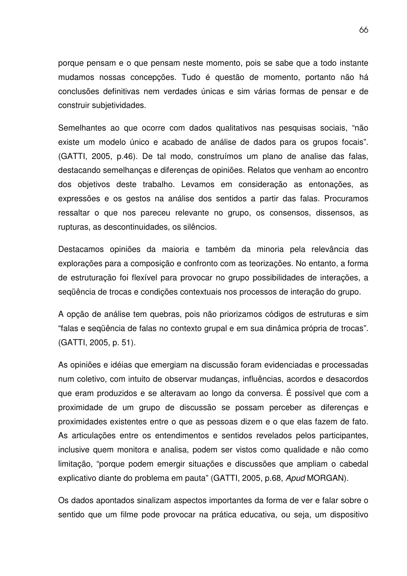porque pensam e o que pensam neste momento, pois se sabe que a todo instante mudamos nossas concepções. Tudo é questão de momento, portanto não há conclusões definitivas nem verdades únicas e sim várias formas de pensar e de construir subjetividades.

Semelhantes ao que ocorre com dados qualitativos nas pesquisas sociais, "não existe um modelo único e acabado de análise de dados para os grupos focais". (GATTI, 2005, p.46). De tal modo, construímos um plano de analise das falas, destacando semelhanças e diferenças de opiniões. Relatos que venham ao encontro dos objetivos deste trabalho. Levamos em consideração as entonações, as expressões e os gestos na análise dos sentidos a partir das falas. Procuramos ressaltar o que nos pareceu relevante no grupo, os consensos, dissensos, as rupturas, as descontinuidades, os silêncios.

Destacamos opiniões da maioria e também da minoria pela relevância das explorações para a composição e confronto com as teorizações. No entanto, a forma de estruturação foi flexível para provocar no grupo possibilidades de interações, a seqüência de trocas e condições contextuais nos processos de interação do grupo.

A opção de análise tem quebras, pois não priorizamos códigos de estruturas e sim "falas e seqüência de falas no contexto grupal e em sua dinâmica própria de trocas". (GATTI, 2005, p. 51).

As opiniões e idéias que emergiam na discussão foram evidenciadas e processadas num coletivo, com intuito de observar mudanças, influências, acordos e desacordos que eram produzidos e se alteravam ao longo da conversa. É possível que com a proximidade de um grupo de discussão se possam perceber as diferenças e proximidades existentes entre o que as pessoas dizem e o que elas fazem de fato. As articulações entre os entendimentos e sentidos revelados pelos participantes, inclusive quem monitora e analisa, podem ser vistos como qualidade e não como limitação, "porque podem emergir situações e discussões que ampliam o cabedal explicativo diante do problema em pauta" (GATTI, 2005, p.68, *Apud* MORGAN).

Os dados apontados sinalizam aspectos importantes da forma de ver e falar sobre o sentido que um filme pode provocar na prática educativa, ou seja, um dispositivo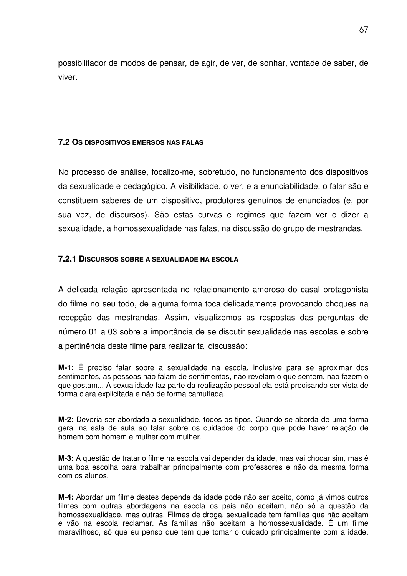possibilitador de modos de pensar, de agir, de ver, de sonhar, vontade de saber, de viver.

## **7.2 OS DISPOSITIVOS EMERSOS NAS FALAS**

No processo de análise, focalizo-me, sobretudo, no funcionamento dos dispositivos da sexualidade e pedagógico. A visibilidade, o ver, e a enunciabilidade, o falar são e constituem saberes de um dispositivo, produtores genuínos de enunciados (e, por sua vez, de discursos). São estas curvas e regimes que fazem ver e dizer a sexualidade, a homossexualidade nas falas, na discussão do grupo de mestrandas.

## **7.2.1 DISCURSOS SOBRE A SEXUALIDADE NA ESCOLA**

A delicada relação apresentada no relacionamento amoroso do casal protagonista do filme no seu todo, de alguma forma toca delicadamente provocando choques na recepção das mestrandas. Assim, visualizemos as respostas das perguntas de número 01 a 03 sobre a importância de se discutir sexualidade nas escolas e sobre a pertinência deste filme para realizar tal discussão:

**M-1:** É preciso falar sobre a sexualidade na escola, inclusive para se aproximar dos sentimentos, as pessoas não falam de sentimentos, não revelam o que sentem, não fazem o que gostam... A sexualidade faz parte da realização pessoal ela está precisando ser vista de forma clara explicitada e não de forma camuflada.

**M-2:** Deveria ser abordada a sexualidade, todos os tipos. Quando se aborda de uma forma geral na sala de aula ao falar sobre os cuidados do corpo que pode haver relação de homem com homem e mulher com mulher.

**M-3:** A questão de tratar o filme na escola vai depender da idade, mas vai chocar sim, mas é uma boa escolha para trabalhar principalmente com professores e não da mesma forma com os alunos.

**M-4:** Abordar um filme destes depende da idade pode não ser aceito, como já vimos outros filmes com outras abordagens na escola os pais não aceitam, não só a questão da homossexualidade, mas outras. Filmes de droga, sexualidade tem famílias que não aceitam e vão na escola reclamar. As famílias não aceitam a homossexualidade. É um filme maravilhoso, só que eu penso que tem que tomar o cuidado principalmente com a idade.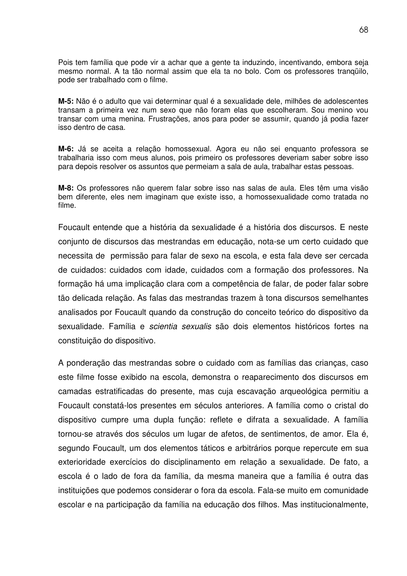Pois tem família que pode vir a achar que a gente ta induzindo, incentivando, embora seja mesmo normal. A ta tão normal assim que ela ta no bolo. Com os professores tranqüilo, pode ser trabalhado com o filme.

**M-5:** Não é o adulto que vai determinar qual é a sexualidade dele, milhões de adolescentes transam a primeira vez num sexo que não foram elas que escolheram. Sou menino vou transar com uma menina. Frustrações, anos para poder se assumir, quando já podia fazer isso dentro de casa.

**M-6:** Já se aceita a relação homossexual. Agora eu não sei enquanto professora se trabalharia isso com meus alunos, pois primeiro os professores deveriam saber sobre isso para depois resolver os assuntos que permeiam a sala de aula, trabalhar estas pessoas.

**M-8:** Os professores não querem falar sobre isso nas salas de aula. Eles têm uma visão bem diferente, eles nem imaginam que existe isso, a homossexualidade como tratada no filme.

Foucault entende que a história da sexualidade é a história dos discursos. E neste conjunto de discursos das mestrandas em educação, nota-se um certo cuidado que necessita de permissão para falar de sexo na escola, e esta fala deve ser cercada de cuidados: cuidados com idade, cuidados com a formação dos professores. Na formação há uma implicação clara com a competência de falar, de poder falar sobre tão delicada relação. As falas das mestrandas trazem à tona discursos semelhantes analisados por Foucault quando da construção do conceito teórico do dispositivo da sexualidade. Família e *scientia sexualis* são dois elementos históricos fortes na constituição do dispositivo.

A ponderação das mestrandas sobre o cuidado com as famílias das crianças, caso este filme fosse exibido na escola, demonstra o reaparecimento dos discursos em camadas estratificadas do presente, mas cuja escavação arqueológica permitiu a Foucault constatá-los presentes em séculos anteriores. A família como o cristal do dispositivo cumpre uma dupla função: reflete e difrata a sexualidade. A família tornou-se através dos séculos um lugar de afetos, de sentimentos, de amor. Ela é, segundo Foucault, um dos elementos táticos e arbitrários porque repercute em sua exterioridade exercícios do disciplinamento em relação a sexualidade. De fato, a escola é o lado de fora da família, da mesma maneira que a família é outra das instituições que podemos considerar o fora da escola. Fala-se muito em comunidade escolar e na participação da família na educação dos filhos. Mas institucionalmente,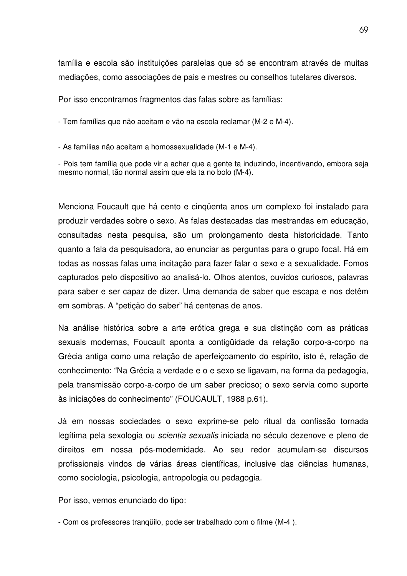família e escola são instituições paralelas que só se encontram através de muitas mediações, como associações de pais e mestres ou conselhos tutelares diversos.

Por isso encontramos fragmentos das falas sobre as famílias:

- Tem famílias que não aceitam e vão na escola reclamar (M-2 e M-4).

- As famílias não aceitam a homossexualidade (M-1 e M-4).

- Pois tem família que pode vir a achar que a gente ta induzindo, incentivando, embora seja mesmo normal, tão normal assim que ela ta no bolo (M-4).

Menciona Foucault que há cento e cinqüenta anos um complexo foi instalado para produzir verdades sobre o sexo. As falas destacadas das mestrandas em educação, consultadas nesta pesquisa, são um prolongamento desta historicidade. Tanto quanto a fala da pesquisadora, ao enunciar as perguntas para o grupo focal. Há em todas as nossas falas uma incitação para fazer falar o sexo e a sexualidade. Fomos capturados pelo dispositivo ao analisá-lo. Olhos atentos, ouvidos curiosos, palavras para saber e ser capaz de dizer. Uma demanda de saber que escapa e nos detêm em sombras. A "petição do saber" há centenas de anos.

Na análise histórica sobre a arte erótica grega e sua distinção com as práticas sexuais modernas, Foucault aponta a contigüidade da relação corpo-a-corpo na Grécia antiga como uma relação de aperfeiçoamento do espírito, isto é, relação de conhecimento: "Na Grécia a verdade e o e sexo se ligavam, na forma da pedagogia, pela transmissão corpo-a-corpo de um saber precioso; o sexo servia como suporte às iniciações do conhecimento" (FOUCAULT, 1988 p.61).

Já em nossas sociedades o sexo exprime-se pelo ritual da confissão tornada legítima pela sexologia ou *scientia sexualis* iniciada no século dezenove e pleno de direitos em nossa pós-modernidade. Ao seu redor acumulam-se discursos profissionais vindos de várias áreas científicas, inclusive das ciências humanas, como sociologia, psicologia, antropologia ou pedagogia.

Por isso, vemos enunciado do tipo:

- Com os professores tranqüilo, pode ser trabalhado com o filme (M-4 ).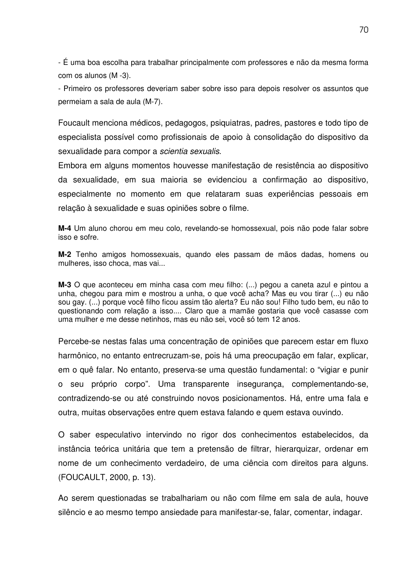- É uma boa escolha para trabalhar principalmente com professores e não da mesma forma com os alunos (M -3).

- Primeiro os professores deveriam saber sobre isso para depois resolver os assuntos que permeiam a sala de aula (M-7).

Foucault menciona médicos, pedagogos, psiquiatras, padres, pastores e todo tipo de especialista possível como profissionais de apoio à consolidação do dispositivo da sexualidade para compor a *scientia sexualis*.

Embora em alguns momentos houvesse manifestação de resistência ao dispositivo da sexualidade, em sua maioria se evidenciou a confirmação ao dispositivo, especialmente no momento em que relataram suas experiências pessoais em relação à sexualidade e suas opiniões sobre o filme.

**M-4** Um aluno chorou em meu colo, revelando-se homossexual, pois não pode falar sobre isso e sofre.

**M-2** Tenho amigos homossexuais, quando eles passam de mãos dadas, homens ou mulheres, isso choca, mas vai...

**M-3** O que aconteceu em minha casa com meu filho: (...) pegou a caneta azul e pintou a unha, chegou para mim e mostrou a unha, o que você acha? Mas eu vou tirar (...) eu não sou gay. (...) porque você filho ficou assim tão alerta? Eu não sou! Filho tudo bem, eu não to questionando com relação a isso.... Claro que a mamãe gostaria que você casasse com uma mulher e me desse netinhos, mas eu não sei, você só tem 12 anos.

Percebe-se nestas falas uma concentração de opiniões que parecem estar em fluxo harmônico, no entanto entrecruzam-se, pois há uma preocupação em falar, explicar, em o quê falar. No entanto, preserva-se uma questão fundamental: o "vigiar e punir o seu próprio corpo". Uma transparente insegurança, complementando-se, contradizendo-se ou até construindo novos posicionamentos. Há, entre uma fala e outra, muitas observações entre quem estava falando e quem estava ouvindo.

O saber especulativo intervindo no rigor dos conhecimentos estabelecidos, da instância teórica unitária que tem a pretensão de filtrar, hierarquizar, ordenar em nome de um conhecimento verdadeiro, de uma ciência com direitos para alguns. (FOUCAULT, 2000, p. 13).

Ao serem questionadas se trabalhariam ou não com filme em sala de aula, houve silêncio e ao mesmo tempo ansiedade para manifestar-se, falar, comentar, indagar.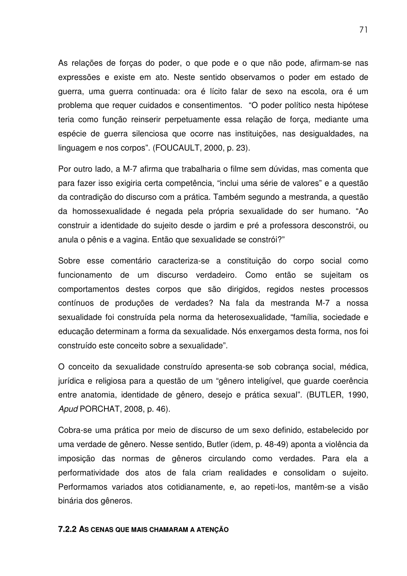As relações de forças do poder, o que pode e o que não pode, afirmam-se nas expressões e existe em ato. Neste sentido observamos o poder em estado de guerra, uma guerra continuada: ora é lícito falar de sexo na escola, ora é um problema que requer cuidados e consentimentos. "O poder político nesta hipótese teria como função reinserir perpetuamente essa relação de força, mediante uma espécie de guerra silenciosa que ocorre nas instituições, nas desigualdades, na linguagem e nos corpos". (FOUCAULT, 2000, p. 23).

Por outro lado, a M-7 afirma que trabalharia o filme sem dúvidas, mas comenta que para fazer isso exigiria certa competência, "inclui uma série de valores" e a questão da contradição do discurso com a prática. Também segundo a mestranda, a questão da homossexualidade é negada pela própria sexualidade do ser humano. "Ao construir a identidade do sujeito desde o jardim e pré a professora desconstrói, ou anula o pênis e a vagina. Então que sexualidade se constrói?"

Sobre esse comentário caracteriza-se a constituição do corpo social como funcionamento de um discurso verdadeiro. Como então se sujeitam os comportamentos destes corpos que são dirigidos, regidos nestes processos contínuos de produções de verdades? Na fala da mestranda M-7 a nossa sexualidade foi construída pela norma da heterosexualidade, "família, sociedade e educação determinam a forma da sexualidade. Nós enxergamos desta forma, nos foi construído este conceito sobre a sexualidade".

O conceito da sexualidade construído apresenta-se sob cobrança social, médica, jurídica e religiosa para a questão de um "gênero inteligível, que guarde coerência entre anatomia, identidade de gênero, desejo e prática sexual". (BUTLER, 1990, *Apud* PORCHAT, 2008, p. 46).

Cobra-se uma prática por meio de discurso de um sexo definido, estabelecido por uma verdade de gênero. Nesse sentido, Butler (idem, p. 48-49) aponta a violência da imposição das normas de gêneros circulando como verdades. Para ela a performatividade dos atos de fala criam realidades e consolidam o sujeito. Performamos variados atos cotidianamente, e, ao repeti-los, mantêm-se a visão binária dos gêneros.

#### **7.2.2 AS CENAS QUE MAIS CHAMARAM A ATENÇÃO**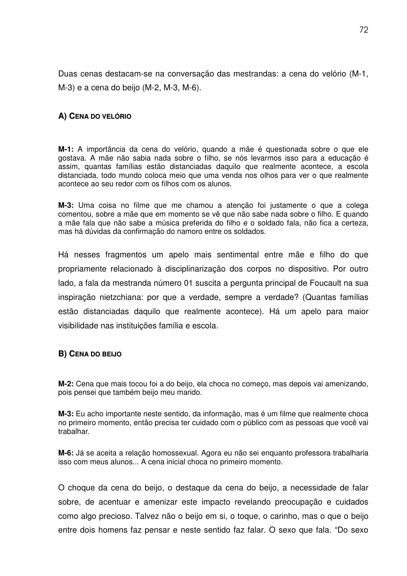Duas cenas destacam-se na conversação das mestrandas: a cena do velório (M-1, M-3) e a cena do beijo (M-2, M-3, M-6).

## **A) CENA DO VELÓRIO**

**M-1:** A importância da cena do velório, quando a mãe é questionada sobre o que ele gostava. A mãe não sabia nada sobre o filho, se nós levarmos isso para a educação é assim, quantas famílias estão distanciadas daquilo que realmente acontece, a escola distanciada, todo mundo coloca meio que uma venda nos olhos para ver o que realmente acontece ao seu redor com os filhos com os alunos.

**M-3:** Uma coisa no filme que me chamou a atenção foi justamente o que a colega comentou, sobre a mãe que em momento se vê que não sabe nada sobre o filho. E quando a mãe fala que não sabe a música preferida do filho e o soldado fala, não fica a certeza, mas há dúvidas da confirmação do namoro entre os soldados.

Há nesses fragmentos um apelo mais sentimental entre mãe e filho do que propriamente relacionado à disciplinarização dos corpos no dispositivo. Por outro lado, a fala da mestranda número 01 suscita a pergunta principal de Foucault na sua inspiração nietzchiana: por que a verdade, sempre a verdade? (Quantas famílias estão distanciadas daquilo que realmente acontece). Há um apelo para maior visibilidade nas instituições família e escola.

## **B) CENA DO BEIJO**

**M-2:** Cena que mais tocou foi a do beijo, ela choca no começo, mas depois vai amenizando, pois pensei que também beijo meu marido.

**M-3:** Eu acho importante neste sentido, da informação, mas é um filme que realmente choca no primeiro momento, então precisa ter cuidado com o público com as pessoas que você vai trabalhar.

**M-6:** Já se aceita a relação homossexual. Agora eu não sei enquanto professora trabalharia isso com meus alunos... A cena inicial choca no primeiro momento.

O choque da cena do beijo, o destaque da cena do beijo, a necessidade de falar sobre, de acentuar e amenizar este impacto revelando preocupação e cuidados como algo precioso. Talvez não o beijo em si, o toque, o carinho, mas o que o beijo entre dois homens faz pensar e neste sentido faz falar. O sexo que fala. "Do sexo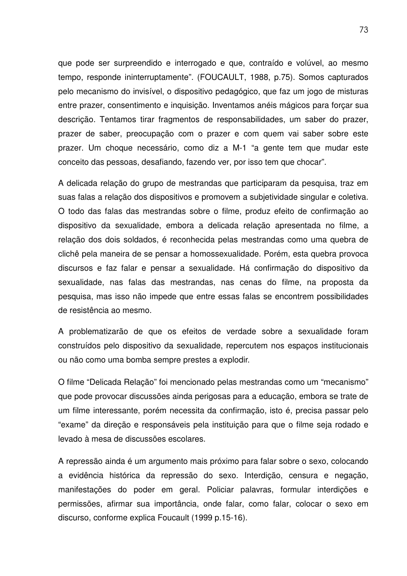que pode ser surpreendido e interrogado e que, contraído e volúvel, ao mesmo tempo, responde ininterruptamente". (FOUCAULT, 1988, p.75). Somos capturados pelo mecanismo do invisível, o dispositivo pedagógico, que faz um jogo de misturas entre prazer, consentimento e inquisição. Inventamos anéis mágicos para forçar sua descrição. Tentamos tirar fragmentos de responsabilidades, um saber do prazer, prazer de saber, preocupação com o prazer e com quem vai saber sobre este prazer. Um choque necessário, como diz a M-1 "a gente tem que mudar este conceito das pessoas, desafiando, fazendo ver, por isso tem que chocar".

A delicada relação do grupo de mestrandas que participaram da pesquisa, traz em suas falas a relação dos dispositivos e promovem a subjetividade singular e coletiva. O todo das falas das mestrandas sobre o filme, produz efeito de confirmação ao dispositivo da sexualidade, embora a delicada relação apresentada no filme, a relação dos dois soldados, é reconhecida pelas mestrandas como uma quebra de clichê pela maneira de se pensar a homossexualidade. Porém, esta quebra provoca discursos e faz falar e pensar a sexualidade. Há confirmação do dispositivo da sexualidade, nas falas das mestrandas, nas cenas do filme, na proposta da pesquisa, mas isso não impede que entre essas falas se encontrem possibilidades de resistência ao mesmo.

A problematizarão de que os efeitos de verdade sobre a sexualidade foram construídos pelo dispositivo da sexualidade, repercutem nos espaços institucionais ou não como uma bomba sempre prestes a explodir.

O filme "Delicada Relação" foi mencionado pelas mestrandas como um "mecanismo" que pode provocar discussões ainda perigosas para a educação, embora se trate de um filme interessante, porém necessita da confirmação, isto é, precisa passar pelo "exame" da direção e responsáveis pela instituição para que o filme seja rodado e levado à mesa de discussões escolares.

A repressão ainda é um argumento mais próximo para falar sobre o sexo, colocando a evidência histórica da repressão do sexo. Interdição, censura e negação, manifestações do poder em geral. Policiar palavras, formular interdições e permissões, afirmar sua importância, onde falar, como falar, colocar o sexo em discurso, conforme explica Foucault (1999 p.15-16).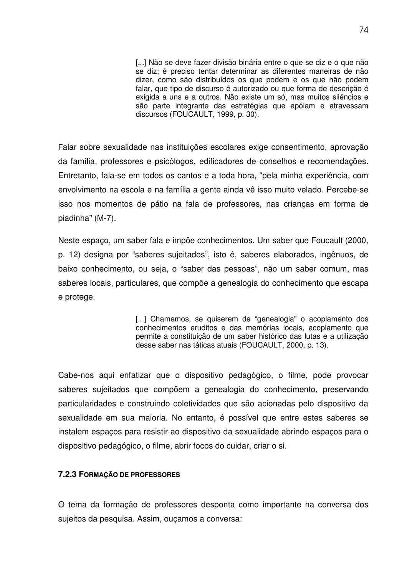[...] Não se deve fazer divisão binária entre o que se diz e o que não se diz; é preciso tentar determinar as diferentes maneiras de não dizer, como são distribuídos os que podem e os que não podem falar, que tipo de discurso é autorizado ou que forma de descrição é exigida a uns e a outros. Não existe um só, mas muitos silêncios e são parte integrante das estratégias que apóiam e atravessam discursos (FOUCAULT, 1999, p. 30).

Falar sobre sexualidade nas instituições escolares exige consentimento, aprovação da família, professores e psicólogos, edificadores de conselhos e recomendações. Entretanto, fala-se em todos os cantos e a toda hora, "pela minha experiência, com envolvimento na escola e na família a gente ainda vê isso muito velado. Percebe-se isso nos momentos de pátio na fala de professores, nas crianças em forma de piadinha" (M-7).

Neste espaço, um saber fala e impõe conhecimentos. Um saber que Foucault (2000, p. 12) designa por "saberes sujeitados", isto é, saberes elaborados, ingênuos, de baixo conhecimento, ou seja, o "saber das pessoas", não um saber comum, mas saberes locais, particulares, que compõe a genealogia do conhecimento que escapa e protege.

> [...] Chamemos, se quiserem de "genealogia" o acoplamento dos conhecimentos eruditos e das memórias locais, acoplamento que permite a constituição de um saber histórico das lutas e a utilização desse saber nas táticas atuais (FOUCAULT, 2000, p. 13).

Cabe-nos aqui enfatizar que o dispositivo pedagógico, o filme, pode provocar saberes sujeitados que compõem a genealogia do conhecimento, preservando particularidades e construindo coletividades que são acionadas pelo dispositivo da sexualidade em sua maioria. No entanto, é possível que entre estes saberes se instalem espaços para resistir ao dispositivo da sexualidade abrindo espaços para o dispositivo pedagógico, o filme, abrir focos do cuidar, criar o si.

## **7.2.3 FORMAÇÃO DE PROFESSORES**

O tema da formação de professores desponta como importante na conversa dos sujeitos da pesquisa. Assim, ouçamos a conversa: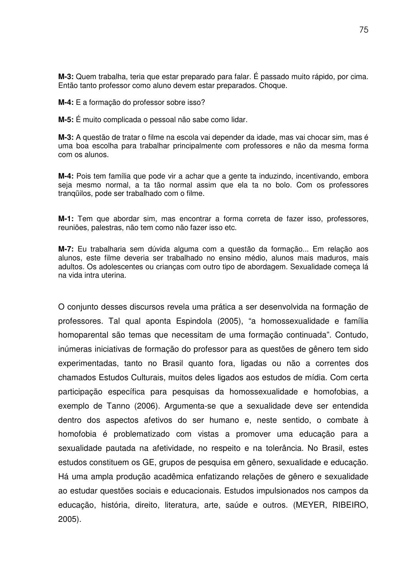**M-3:** Quem trabalha, teria que estar preparado para falar. É passado muito rápido, por cima. Então tanto professor como aluno devem estar preparados. Choque.

**M-4:** E a formação do professor sobre isso?

**M-5:** É muito complicada o pessoal não sabe como lidar.

**M-3:** A questão de tratar o filme na escola vai depender da idade, mas vai chocar sim, mas é uma boa escolha para trabalhar principalmente com professores e não da mesma forma com os alunos.

**M-4:** Pois tem família que pode vir a achar que a gente ta induzindo, incentivando, embora seja mesmo normal, a ta tão normal assim que ela ta no bolo. Com os professores tranqüilos, pode ser trabalhado com o filme.

**M-1:** Tem que abordar sim, mas encontrar a forma correta de fazer isso, professores, reuniões, palestras, não tem como não fazer isso etc.

**M-7:** Eu trabalharia sem dúvida alguma com a questão da formação... Em relação aos alunos, este filme deveria ser trabalhado no ensino médio, alunos mais maduros, mais adultos. Os adolescentes ou crianças com outro tipo de abordagem. Sexualidade começa lá na vida intra uterina.

O conjunto desses discursos revela uma prática a ser desenvolvida na formação de professores. Tal qual aponta Espindola (2005), "a homossexualidade e família homoparental são temas que necessitam de uma formação continuada". Contudo, inúmeras iniciativas de formação do professor para as questões de gênero tem sido experimentadas, tanto no Brasil quanto fora, ligadas ou não a correntes dos chamados Estudos Culturais, muitos deles ligados aos estudos de mídia. Com certa participação específica para pesquisas da homossexualidade e homofobias, a exemplo de Tanno (2006). Argumenta-se que a sexualidade deve ser entendida dentro dos aspectos afetivos do ser humano e, neste sentido, o combate à homofobia é problematizado com vistas a promover uma educação para a sexualidade pautada na afetividade, no respeito e na tolerância. No Brasil, estes estudos constituem os GE, grupos de pesquisa em gênero, sexualidade e educação. Há uma ampla produção acadêmica enfatizando relações de gênero e sexualidade ao estudar questões sociais e educacionais. Estudos impulsionados nos campos da educação, história, direito, literatura, arte, saúde e outros. (MEYER, RIBEIRO, 2005).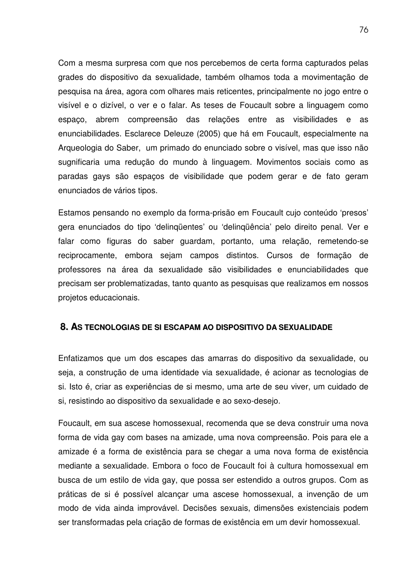Com a mesma surpresa com que nos percebemos de certa forma capturados pelas grades do dispositivo da sexualidade, também olhamos toda a movimentação de pesquisa na área, agora com olhares mais reticentes, principalmente no jogo entre o visível e o dizível, o ver e o falar. As teses de Foucault sobre a linguagem como espaço, abrem compreensão das relações entre as visibilidades e as enunciabilidades. Esclarece Deleuze (2005) que há em Foucault, especialmente na Arqueologia do Saber, um primado do enunciado sobre o visível, mas que isso não sugnificaria uma redução do mundo à linguagem. Movimentos sociais como as paradas gays são espaços de visibilidade que podem gerar e de fato geram enunciados de vários tipos.

Estamos pensando no exemplo da forma-prisão em Foucault cujo conteúdo 'presos' gera enunciados do tipo 'delinqüentes' ou 'delinqüência' pelo direito penal. Ver e falar como figuras do saber guardam, portanto, uma relação, remetendo-se reciprocamente, embora sejam campos distintos. Cursos de formação de professores na área da sexualidade são visibilidades e enunciabilidades que precisam ser problematizadas, tanto quanto as pesquisas que realizamos em nossos projetos educacionais.

#### **8. AS TECNOLOGIAS DE SI ESCAPAM AO DISPOSITIVO DA SEXUALIDADE**

Enfatizamos que um dos escapes das amarras do dispositivo da sexualidade, ou seja, a construção de uma identidade via sexualidade, é acionar as tecnologias de si. Isto é, criar as experiências de si mesmo, uma arte de seu viver, um cuidado de si, resistindo ao dispositivo da sexualidade e ao sexo-desejo.

Foucault, em sua ascese homossexual, recomenda que se deva construir uma nova forma de vida gay com bases na amizade, uma nova compreensão. Pois para ele a amizade é a forma de existência para se chegar a uma nova forma de existência mediante a sexualidade. Embora o foco de Foucault foi à cultura homossexual em busca de um estilo de vida gay, que possa ser estendido a outros grupos. Com as práticas de si é possível alcançar uma ascese homossexual, a invenção de um modo de vida ainda improvável. Decisões sexuais, dimensões existenciais podem ser transformadas pela criação de formas de existência em um devir homossexual.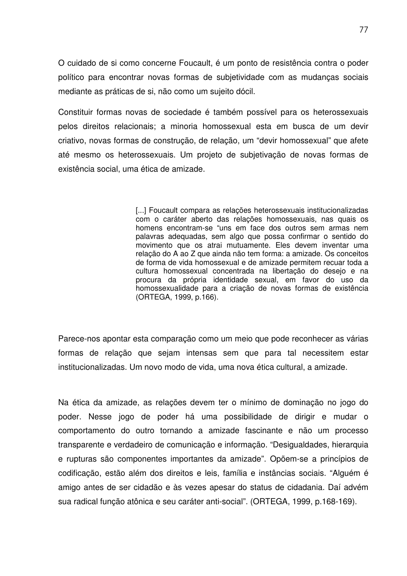O cuidado de si como concerne Foucault, é um ponto de resistência contra o poder político para encontrar novas formas de subjetividade com as mudanças sociais mediante as práticas de si, não como um sujeito dócil.

Constituir formas novas de sociedade é também possível para os heterossexuais pelos direitos relacionais; a minoria homossexual esta em busca de um devir criativo, novas formas de construção, de relação, um "devir homossexual" que afete até mesmo os heterossexuais. Um projeto de subjetivação de novas formas de existência social, uma ética de amizade.

> [...] Foucault compara as relações heterossexuais institucionalizadas com o caráter aberto das relações homossexuais, nas quais os homens encontram-se "uns em face dos outros sem armas nem palavras adequadas, sem algo que possa confirmar o sentido do movimento que os atrai mutuamente. Eles devem inventar uma relação do A ao Z que ainda não tem forma: a amizade. Os conceitos de forma de vida homossexual e de amizade permitem recuar toda a cultura homossexual concentrada na libertação do desejo e na procura da própria identidade sexual, em favor do uso da homossexualidade para a criação de novas formas de existência (ORTEGA, 1999, p.166).

Parece-nos apontar esta comparação como um meio que pode reconhecer as várias formas de relação que sejam intensas sem que para tal necessitem estar institucionalizadas. Um novo modo de vida, uma nova ética cultural, a amizade.

Na ética da amizade, as relações devem ter o mínimo de dominação no jogo do poder. Nesse jogo de poder há uma possibilidade de dirigir e mudar o comportamento do outro tornando a amizade fascinante e não um processo transparente e verdadeiro de comunicação e informação. "Desigualdades, hierarquia e rupturas são componentes importantes da amizade". Opõem-se a princípios de codificação, estão além dos direitos e leis, família e instâncias sociais. "Alguém é amigo antes de ser cidadão e às vezes apesar do status de cidadania. Daí advém sua radical função atônica e seu caráter anti-social". (ORTEGA, 1999, p.168-169).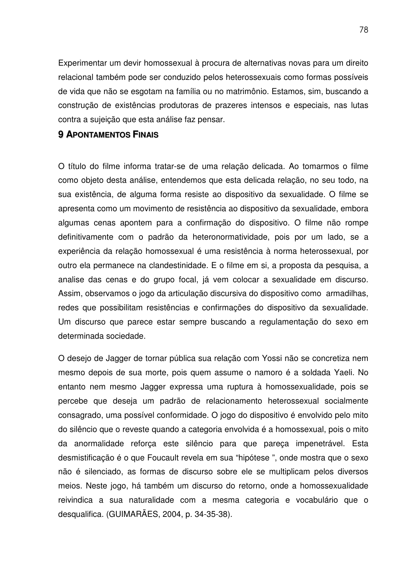Experimentar um devir homossexual à procura de alternativas novas para um direito relacional também pode ser conduzido pelos heterossexuais como formas possíveis de vida que não se esgotam na família ou no matrimônio. Estamos, sim, buscando a construção de existências produtoras de prazeres intensos e especiais, nas lutas contra a sujeição que esta análise faz pensar.

### **9 APONTAMENTOS FINAIS**

O título do filme informa tratar-se de uma relação delicada. Ao tomarmos o filme como objeto desta análise, entendemos que esta delicada relação, no seu todo, na sua existência, de alguma forma resiste ao dispositivo da sexualidade. O filme se apresenta como um movimento de resistência ao dispositivo da sexualidade, embora algumas cenas apontem para a confirmação do dispositivo. O filme não rompe definitivamente com o padrão da heteronormatividade, pois por um lado, se a experiência da relação homossexual é uma resistência à norma heterossexual, por outro ela permanece na clandestinidade. E o filme em si, a proposta da pesquisa, a analise das cenas e do grupo focal, já vem colocar a sexualidade em discurso. Assim, observamos o jogo da articulação discursiva do dispositivo como armadilhas, redes que possibilitam resistências e confirmações do dispositivo da sexualidade. Um discurso que parece estar sempre buscando a regulamentação do sexo em determinada sociedade.

O desejo de Jagger de tornar pública sua relação com Yossi não se concretiza nem mesmo depois de sua morte, pois quem assume o namoro é a soldada Yaeli. No entanto nem mesmo Jagger expressa uma ruptura à homossexualidade, pois se percebe que deseja um padrão de relacionamento heterossexual socialmente consagrado, uma possível conformidade. O jogo do dispositivo é envolvido pelo mito do silêncio que o reveste quando a categoria envolvida é a homossexual, pois o mito da anormalidade reforça este silêncio para que pareça impenetrável. Esta desmistificação é o que Foucault revela em sua "hipótese ", onde mostra que o sexo não é silenciado, as formas de discurso sobre ele se multiplicam pelos diversos meios. Neste jogo, há também um discurso do retorno, onde a homossexualidade reivindica a sua naturalidade com a mesma categoria e vocabulário que o desqualifica. (GUIMARÃES, 2004, p. 34-35-38).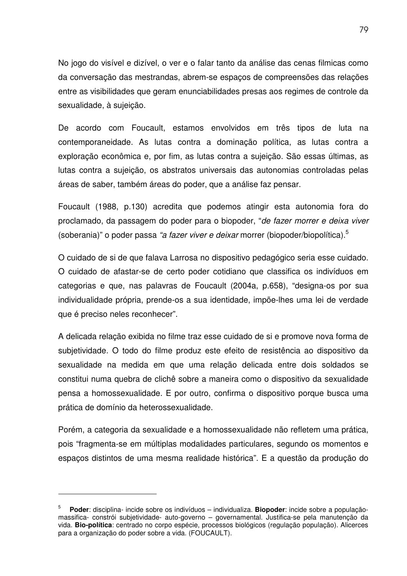No jogo do visível e dizível, o ver e o falar tanto da análise das cenas filmicas como da conversação das mestrandas, abrem-se espaços de compreensões das relações entre as visibilidades que geram enunciabilidades presas aos regimes de controle da sexualidade, à sujeição.

De acordo com Foucault, estamos envolvidos em três tipos de luta na contemporaneidade. As lutas contra a dominação política, as lutas contra a exploração econômica e, por fim, as lutas contra a sujeição. São essas últimas, as lutas contra a sujeição, os abstratos universais das autonomias controladas pelas áreas de saber, também áreas do poder, que a análise faz pensar.

Foucault (1988, p.130) acredita que podemos atingir esta autonomia fora do proclamado, da passagem do poder para o biopoder, "*de fazer morrer e deixa viver* (soberania)" o poder passa *"a fazer viver e deixar* morrer (biopoder/biopolítica). 5

O cuidado de si de que falava Larrosa no dispositivo pedagógico seria esse cuidado. O cuidado de afastar-se de certo poder cotidiano que classifica os indivíduos em categorias e que, nas palavras de Foucault (2004a, p.658), "designa-os por sua individualidade própria, prende-os a sua identidade, impõe-lhes uma lei de verdade que é preciso neles reconhecer".

A delicada relação exibida no filme traz esse cuidado de si e promove nova forma de subjetividade. O todo do filme produz este efeito de resistência ao dispositivo da sexualidade na medida em que uma relação delicada entre dois soldados se constitui numa quebra de clichê sobre a maneira como o dispositivo da sexualidade pensa a homossexualidade. E por outro, confirma o dispositivo porque busca uma prática de domínio da heterossexualidade.

Porém, a categoria da sexualidade e a homossexualidade não refletem uma prática, pois "fragmenta-se em múltiplas modalidades particulares, segundo os momentos e espaços distintos de uma mesma realidade histórica". E a questão da produção do

<sup>5</sup> **Poder**: disciplina- incide sobre os indivíduos – individualiza. **Biopoder**: incide sobre a populaçãomassifica- constrói subjetividade- auto-governo – governamental. Justifica-se pela manutenção da vida. **Bio-política**: centrado no corpo espécie, processos biológicos (regulação população). Alicerces para a organização do poder sobre a vida. (FOUCAULT).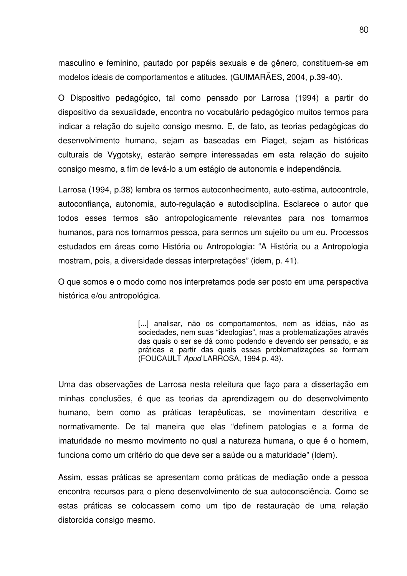masculino e feminino, pautado por papéis sexuais e de gênero, constituem-se em modelos ideais de comportamentos e atitudes. (GUIMARÃES, 2004, p.39-40).

O Dispositivo pedagógico, tal como pensado por Larrosa (1994) a partir do dispositivo da sexualidade, encontra no vocabulário pedagógico muitos termos para indicar a relação do sujeito consigo mesmo. E, de fato, as teorias pedagógicas do desenvolvimento humano, sejam as baseadas em Piaget, sejam as históricas culturais de Vygotsky, estarão sempre interessadas em esta relação do sujeito consigo mesmo, a fim de levá-lo a um estágio de autonomia e independência.

Larrosa (1994, p.38) lembra os termos autoconhecimento, auto-estima, autocontrole, autoconfiança, autonomia, auto-regulação e autodisciplina. Esclarece o autor que todos esses termos são antropologicamente relevantes para nos tornarmos humanos, para nos tornarmos pessoa, para sermos um sujeito ou um eu. Processos estudados em áreas como História ou Antropologia: "A História ou a Antropologia mostram, pois, a diversidade dessas interpretações" (idem, p. 41).

O que somos e o modo como nos interpretamos pode ser posto em uma perspectiva histórica e/ou antropológica.

> [...] analisar, não os comportamentos, nem as idéias, não as sociedades, nem suas "ideologias", mas a problematizações através das quais o ser se dá como podendo e devendo ser pensado, e as práticas a partir das quais essas problematizações se formam (FOUCAULT *Apud* LARROSA, 1994 p. 43).

Uma das observações de Larrosa nesta releitura que faço para a dissertação em minhas conclusões, é que as teorias da aprendizagem ou do desenvolvimento humano, bem como as práticas terapêuticas, se movimentam descritiva e normativamente. De tal maneira que elas "definem patologias e a forma de imaturidade no mesmo movimento no qual a natureza humana, o que é o homem, funciona como um critério do que deve ser a saúde ou a maturidade" (Idem).

Assim, essas práticas se apresentam como práticas de mediação onde a pessoa encontra recursos para o pleno desenvolvimento de sua autoconsciência. Como se estas práticas se colocassem como um tipo de restauração de uma relação distorcida consigo mesmo.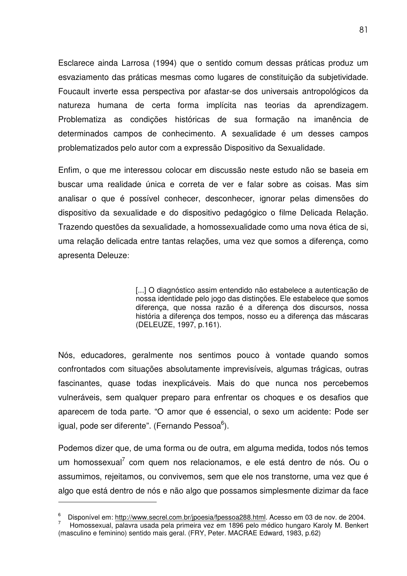Esclarece ainda Larrosa (1994) que o sentido comum dessas práticas produz um esvaziamento das práticas mesmas como lugares de constituição da subjetividade. Foucault inverte essa perspectiva por afastar-se dos universais antropológicos da natureza humana de certa forma implícita nas teorias da aprendizagem. Problematiza as condições históricas de sua formação na imanência de determinados campos de conhecimento. A sexualidade é um desses campos problematizados pelo autor com a expressão Dispositivo da Sexualidade.

Enfim, o que me interessou colocar em discussão neste estudo não se baseia em buscar uma realidade única e correta de ver e falar sobre as coisas. Mas sim analisar o que é possível conhecer, desconhecer, ignorar pelas dimensões do dispositivo da sexualidade e do dispositivo pedagógico o filme Delicada Relação. Trazendo questões da sexualidade, a homossexualidade como uma nova ética de si, uma relação delicada entre tantas relações, uma vez que somos a diferença, como apresenta Deleuze:

> [...] O diagnóstico assim entendido não estabelece a autenticação de nossa identidade pelo jogo das distinções. Ele estabelece que somos diferença, que nossa razão é a diferença dos discursos, nossa história a diferença dos tempos, nosso eu a diferença das máscaras (DELEUZE, 1997, p.161).

Nós, educadores, geralmente nos sentimos pouco à vontade quando somos confrontados com situações absolutamente imprevisíveis, algumas trágicas, outras fascinantes, quase todas inexplicáveis. Mais do que nunca nos percebemos vulneráveis, sem qualquer preparo para enfrentar os choques e os desafios que aparecem de toda parte. "O amor que é essencial, o sexo um acidente: Pode ser igual, pode ser diferente". (Fernando Pessoa<sup>6</sup>).

Podemos dizer que, de uma forma ou de outra, em alguma medida, todos nós temos um homossexual<sup>7</sup> com quem nos relacionamos, e ele está dentro de nós. Ou o assumimos, rejeitamos, ou convivemos, sem que ele nos transtorne, uma vez que é algo que está dentro de nós e não algo que possamos simplesmente dizimar da face

<sup>6</sup> Disponível em: http://www.secrel.com.br/jpoesia/fpessoa288.html. Acesso em 03 de nov. de 2004.

Homossexual, palavra usada pela primeira vez em 1896 pelo médico hungaro Karoly M. Benkert (masculino e feminino) sentido mais geral. (FRY, Peter. MACRAE Edward, 1983, p.62)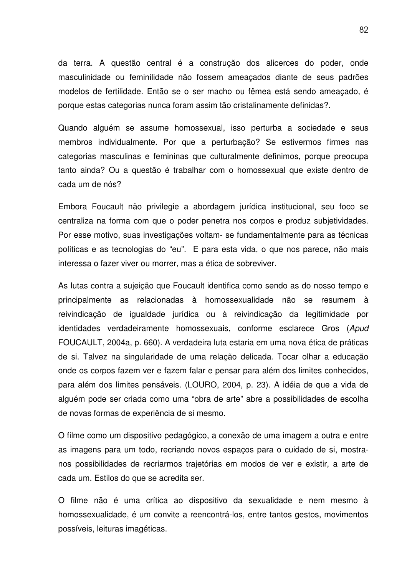da terra. A questão central é a construção dos alicerces do poder, onde masculinidade ou feminilidade não fossem ameaçados diante de seus padrões modelos de fertilidade. Então se o ser macho ou fêmea está sendo ameaçado, é porque estas categorias nunca foram assim tão cristalinamente definidas?.

Quando alguém se assume homossexual, isso perturba a sociedade e seus membros individualmente. Por que a perturbação? Se estivermos firmes nas categorias masculinas e femininas que culturalmente definimos, porque preocupa tanto ainda? Ou a questão é trabalhar com o homossexual que existe dentro de cada um de nós?

Embora Foucault não privilegie a abordagem jurídica institucional, seu foco se centraliza na forma com que o poder penetra nos corpos e produz subjetividades. Por esse motivo, suas investigações voltam- se fundamentalmente para as técnicas políticas e as tecnologias do "eu". E para esta vida, o que nos parece, não mais interessa o fazer viver ou morrer, mas a ética de sobreviver.

As lutas contra a sujeição que Foucault identifica como sendo as do nosso tempo e principalmente as relacionadas à homossexualidade não se resumem à reivindicação de igualdade jurídica ou à reivindicação da legitimidade por identidades verdadeiramente homossexuais, conforme esclarece Gros (*Apud* FOUCAULT, 2004a, p. 660). A verdadeira luta estaria em uma nova ética de práticas de si. Talvez na singularidade de uma relação delicada. Tocar olhar a educação onde os corpos fazem ver e fazem falar e pensar para além dos limites conhecidos, para além dos limites pensáveis. (LOURO, 2004, p. 23). A idéia de que a vida de alguém pode ser criada como uma "obra de arte" abre a possibilidades de escolha de novas formas de experiência de si mesmo.

O filme como um dispositivo pedagógico, a conexão de uma imagem a outra e entre as imagens para um todo, recriando novos espaços para o cuidado de si, mostranos possibilidades de recriarmos trajetórias em modos de ver e existir, a arte de cada um. Estilos do que se acredita ser.

O filme não é uma crítica ao dispositivo da sexualidade e nem mesmo à homossexualidade, é um convite a reencontrá-los, entre tantos gestos, movimentos possíveis, leituras imagéticas.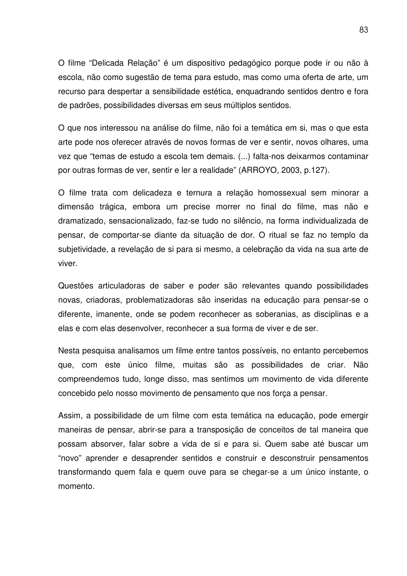O filme "Delicada Relação" é um dispositivo pedagógico porque pode ir ou não à escola, não como sugestão de tema para estudo, mas como uma oferta de arte, um recurso para despertar a sensibilidade estética, enquadrando sentidos dentro e fora de padrões, possibilidades diversas em seus múltiplos sentidos.

O que nos interessou na análise do filme, não foi a temática em si, mas o que esta arte pode nos oferecer através de novos formas de ver e sentir, novos olhares, uma vez que "temas de estudo a escola tem demais. (...) falta-nos deixarmos contaminar por outras formas de ver, sentir e ler a realidade" (ARROYO, 2003, p.127).

O filme trata com delicadeza e ternura a relação homossexual sem minorar a dimensão trágica, embora um precise morrer no final do filme, mas não e dramatizado, sensacionalizado, faz-se tudo no silêncio, na forma individualizada de pensar, de comportar-se diante da situação de dor. O ritual se faz no templo da subjetividade, a revelação de si para si mesmo, a celebração da vida na sua arte de viver.

Questões articuladoras de saber e poder são relevantes quando possibilidades novas, criadoras, problematizadoras são inseridas na educação para pensar-se o diferente, imanente, onde se podem reconhecer as soberanias, as disciplinas e a elas e com elas desenvolver, reconhecer a sua forma de viver e de ser.

Nesta pesquisa analisamos um filme entre tantos possíveis, no entanto percebemos que, com este único filme, muitas são as possibilidades de criar. Não compreendemos tudo, longe disso, mas sentimos um movimento de vida diferente concebido pelo nosso movimento de pensamento que nos força a pensar.

Assim, a possibilidade de um filme com esta temática na educação, pode emergir maneiras de pensar, abrir-se para a transposição de conceitos de tal maneira que possam absorver, falar sobre a vida de si e para si. Quem sabe até buscar um "novo" aprender e desaprender sentidos e construir e desconstruir pensamentos transformando quem fala e quem ouve para se chegar-se a um único instante, o momento.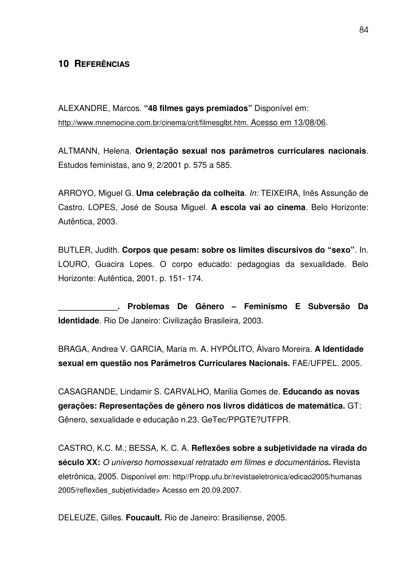# **10 REFERÊNCIAS**

ALEXANDRE, Marcos. **"48 filmes gays premiados"** Disponível em: http://www.mnemocine.com.br/cinema/crit/filmesglbt.htm. Acesso em 13/08/06.

ALTMANN, Helena. **Orientação sexual nos parâmetros curriculares nacionais**. Estudos feministas, ano 9, 2/2001 p. 575 a 585.

ARROYO, Miguel G. **Uma celebração da colheita**. *In:* TEIXEIRA, Inês Assunção de Castro. LOPES, José de Sousa Miguel. **A escola vai ao cinema**. Belo Horizonte: Autêntica, 2003.

BUTLER, Judith. **Corpos que pesam: sobre os limites discursivos do "sexo"**. In. LOURO, Guacira Lopes. O corpo educado: pedagogias da sexualidade. Belo Horizonte: Autêntica, 2001. p. 151- 174.

**\_\_\_\_\_\_\_\_\_\_\_\_\_. Problemas De Gênero – Feminismo E Subversão Da Identidade**. Rio De Janeiro: Civilização Brasileira, 2003.

BRAGA, Andrea V. GARCIA, Maria m. A. HYPÓLITO, Àlvaro Moreira. **A Identidade sexual em questão nos Parâmetros Curriculares Nacionais.** FAE/UFPEL. 2005.

CASAGRANDE, Lindamir S. CARVALHO, Marilia Gomes de. **Educando as novas gerações: Representações de gênero nos livros didáticos de matemática.** GT: Gênero, sexualidade e educação n.23. GeTec/PPGTE?UTFPR.

CASTRO, K.C. M.; BESSA, K. C. A. **Reflexões sobre a subjetividade na virada do século XX:** *O universo homossexual retratado em filmes e documentários***.** Revista eletrônica, 2005. Disponível em: http//Propp.ufu.br/revistaeletronica/edicao2005/humanas 2005/reflexões\_subjetividade> Acesso em 20.09.2007.

DELEUZE, Gilles. **Foucault.** Rio de Janeiro: Brasiliense, 2005.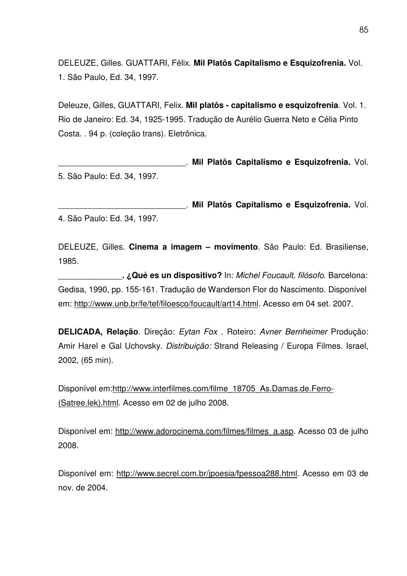DELEUZE, Gilles. GUATTARI, Félix. **Mil Platôs Capitalismo e Esquizofrenia.** Vol. 1. São Paulo, Ed. 34, 1997.

Deleuze, Gilles, GUATTARI, Felix. **Mil platôs - capitalismo e esquizofrenia**. Vol. 1. Rio de Janeiro: Ed. 34, 1925-1995. Tradução de Aurélio Guerra Neto e Célia Pinto Costa. . 94 p. (coleção trans). Eletrônica.

\_\_\_\_\_\_\_\_\_\_\_\_\_\_\_\_\_\_\_\_\_\_\_\_\_\_\_\_. **Mil Platôs Capitalismo e Esquizofrenia.** Vol. 5. São Paulo: Ed. 34, 1997.

\_\_\_\_\_\_\_\_\_\_\_\_\_\_\_\_\_\_\_\_\_\_\_\_\_\_\_\_. **Mil Platôs Capitalismo e Esquizofrenia.** Vol. 4. São Paulo: Ed. 34, 1997.

DELEUZE, Gilles. **Cinema a imagem – movimento**. São Paulo: Ed. Brasiliense, 1985.

\_\_\_\_\_\_\_\_\_\_\_\_\_\_**. ¿Qué es un dispositivo?** In: *Michel Foucault, filósofo*. Barcelona: Gedisa, 1990, pp. 155-161. Tradução de Wanderson Flor do Nascimento. Disponível em: http://www.unb.br/fe/tef/filoesco/foucault/art14.html. Acesso em 04 set. 2007.

**DELICADA, Relação**. Direção: *Eytan Fox* . Roteiro: *Avner Bernheimer* Produção: Amir Harel e Gal Uchovsky. *Distribuição:* Strand Releasing / Europa Filmes. Israel, 2002, (65 min).

Disponível em:http://www.interfilmes.com/filme\_18705\_As.Damas.de.Ferro- (Satree.lek).html. Acesso em 02 de julho 2008.

Disponível em: http://www.adorocinema.com/filmes/filmes\_a.asp. Acesso 03 de julho 2008.

Disponível em: http://www.secrel.com.br/jpoesia/fpessoa288.html. Acesso em 03 de nov. de 2004.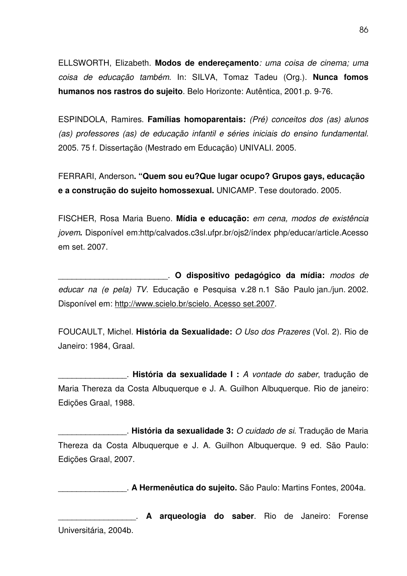ELLSWORTH, Elizabeth. **Modos de endereçamento***: uma coisa de cinema; uma coisa de educação também.* In: SILVA, Tomaz Tadeu (Org.). **Nunca fomos humanos nos rastros do sujeito**. Belo Horizonte: Autêntica, 2001.p. 9-76.

ESPINDOLA, Ramires. **Famílias homoparentais:** *(Pré) conceitos dos (as) alunos (as) professores (as) de educação infantil e séries iniciais do ensino fundamental.* 2005. 75 f. Dissertação (Mestrado em Educação) UNIVALI. 2005.

FERRARI, Anderson**. "Quem sou eu?Que lugar ocupo? Grupos gays, educação e a construção do sujeito homossexual.** UNICAMP. Tese doutorado. 2005.

FISCHER, Rosa Maria Bueno. **Mídia e educação:** *em cena, modos de existência jovem***.** Disponível em:http/calvados.c3sl.ufpr.br/ojs2/índex php/educar/article.Acesso em set. 2007.

\_\_\_\_\_\_\_\_\_\_\_\_\_\_\_\_\_\_\_\_\_\_\_\_. **O dispositivo pedagógico da mídia:** *modos de educar na (e pela) TV.* Educação e Pesquisa v.28 n.1 São Paulo jan./jun. 2002. Disponível em: http://www.scielo.br/scielo. Acesso set.2007.

FOUCAULT, Michel. **História da Sexualidade:** *O Uso dos Prazeres* (Vol. 2). Rio de Janeiro: 1984, Graal.

\_\_\_\_\_\_\_\_\_\_\_\_\_\_\_. **História da sexualidade I :** *A vontade do saber*, tradução de Maria Thereza da Costa Albuquerque e J. A. Guilhon Albuquerque. Rio de janeiro: Edições Graal, 1988.

\_\_\_\_\_\_\_\_\_\_\_\_\_\_\_. **História da sexualidade 3:** *O cuidado de si*. Tradução de Maria Thereza da Costa Albuquerque e J. A. Guilhon Albuquerque. 9 ed. São Paulo: Edições Graal, 2007.

\_\_\_\_\_\_\_\_\_\_\_\_\_\_\_. **A Hermenêutica do sujeito.** São Paulo: Martins Fontes, 2004a.

\_\_\_\_\_\_\_\_\_\_\_\_\_\_\_\_\_. **A arqueologia do saber**. Rio de Janeiro: Forense Universitária, 2004b.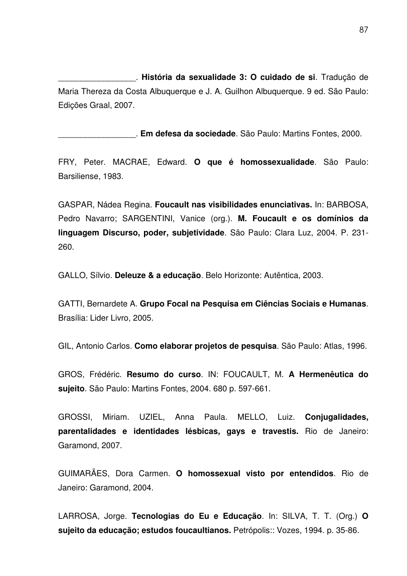\_\_\_\_\_\_\_\_\_\_\_\_\_\_\_\_\_. **História da sexualidade 3: O cuidado de si**. Tradução de Maria Thereza da Costa Albuquerque e J. A. Guilhon Albuquerque. 9 ed. São Paulo: Edições Graal, 2007.

\_\_\_\_\_\_\_\_\_\_\_\_\_\_\_\_\_. **Em defesa da sociedade**. São Paulo: Martins Fontes, 2000.

FRY, Peter. MACRAE, Edward. **O que é homossexualidade**. São Paulo: Barsiliense, 1983.

GASPAR, Nádea Regina. **Foucault nas visibilidades enunciativas.** In: BARBOSA, Pedro Navarro; SARGENTINI, Vanice (org.). **M. Foucault e os domínios da linguagem Discurso, poder, subjetividade**. São Paulo: Clara Luz, 2004. P. 231- 260.

GALLO, Sílvio. **Deleuze & a educação**. Belo Horizonte: Autêntica, 2003.

GATTI, Bernardete A. **Grupo Focal na Pesquisa em Ciências Sociais e Humanas**. Brasília: Lider Livro, 2005.

GIL, Antonio Carlos. **Como elaborar projetos de pesquisa**. São Paulo: Atlas, 1996.

GROS, Frédéric. **Resumo do curso**. IN: FOUCAULT, M. **A Hermenêutica do sujeito**. São Paulo: Martins Fontes, 2004. 680 p. 597-661.

GROSSI, Miriam. UZIEL, Anna Paula. MELLO, Luiz. **Conjugalidades, parentalidades e identidades lésbicas, gays e travestis.** Rio de Janeiro: Garamond, 2007.

GUIMARÃES, Dora Carmen. **O homossexual visto por entendidos**. Rio de Janeiro: Garamond, 2004.

LARROSA, Jorge. **Tecnologias do Eu e Educação**. In: SILVA, T. T. (Org.) **O sujeito da educação; estudos foucaultianos.** Petrópolis:: Vozes, 1994. p. 35-86.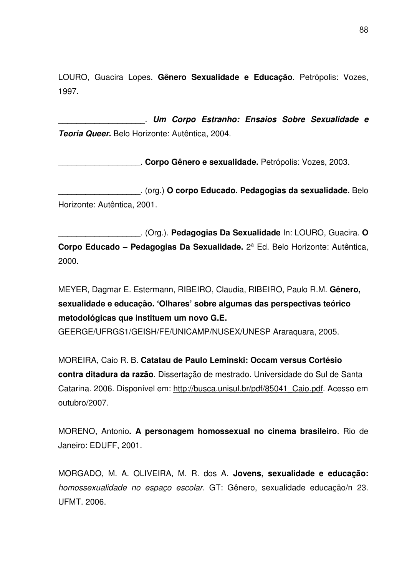LOURO, Guacira Lopes. **Gênero Sexualidade e Educação**. Petrópolis: Vozes, 1997.

\_\_\_\_\_\_\_\_\_\_\_\_\_\_\_\_\_\_\_. *Um Corpo Estranho: Ensaios Sobre Sexualidade e Teoria Queer***.** Belo Horizonte: Autêntica, 2004.

\_\_\_\_\_\_\_\_\_\_\_\_\_\_\_\_\_\_. **Corpo Gênero e sexualidade.** Petrópolis: Vozes, 2003.

\_\_\_\_\_\_\_\_\_\_\_\_\_\_\_\_\_\_. (org.) **O corpo Educado. Pedagogias da sexualidade.** Belo Horizonte: Autêntica, 2001.

\_\_\_\_\_\_\_\_\_\_\_\_\_\_\_\_\_\_. (Org.). **Pedagogias Da Sexualidade** In: LOURO, Guacira. **O Corpo Educado – Pedagogias Da Sexualidade.** 2ª Ed. Belo Horizonte: Autêntica, 2000.

MEYER, Dagmar E. Estermann, RIBEIRO, Claudia, RIBEIRO, Paulo R.M. **Gênero, sexualidade e educação. 'Olhares' sobre algumas das perspectivas teórico metodológicas que instituem um novo G.E.**

GEERGE/UFRGS1/GEISH/FE/UNICAMP/NUSEX/UNESP Araraquara, 2005.

MOREIRA, Caio R. B. **Catatau de Paulo Leminski: Occam versus Cortésio contra ditadura da razão**. Dissertação de mestrado. Universidade do Sul de Santa Catarina. 2006. Disponível em: http://busca.unisul.br/pdf/85041\_Caio.pdf. Acesso em outubro/2007.

MORENO, Antonio**. A personagem homossexual no cinema brasileiro**. Rio de Janeiro: EDUFF, 2001.

MORGADO, M. A. OLIVEIRA, M. R. dos A. **Jovens, sexualidade e educação:** *homossexualidade no espaço escolar.* GT: Gênero, sexualidade educação/n 23. UFMT. 2006.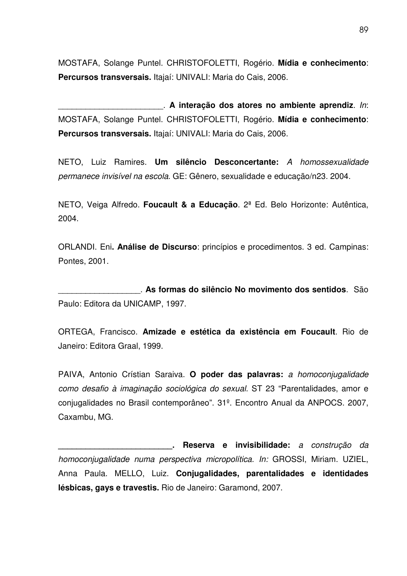MOSTAFA, Solange Puntel. CHRISTOFOLETTI, Rogério. **Mídia e conhecimento**: **Percursos transversais.** Itajaí: UNIVALI: Maria do Cais, 2006.

\_\_\_\_\_\_\_\_\_\_\_\_\_\_\_\_\_\_\_\_\_\_\_. **A interação dos atores no ambiente aprendiz**. *In*: MOSTAFA, Solange Puntel. CHRISTOFOLETTI, Rogério. **Mídia e conhecimento**: **Percursos transversais.** Itajaí: UNIVALI: Maria do Cais, 2006.

NETO, Luiz Ramires. **Um silêncio Desconcertante:** *A homossexualidade permanece invisível na escola*. GE: Gênero, sexualidade e educação/n23. 2004.

NETO, Veiga Alfredo. **Foucault & a Educação**. 2ª Ed. Belo Horizonte: Autêntica, 2004.

ORLANDI. Eni**. Análise de Discurso**: princípios e procedimentos. 3 ed. Campinas: Pontes, 2001.

\_\_\_\_\_\_\_\_\_\_\_\_\_\_\_\_\_\_. **As formas do silêncio No movimento dos sentidos**. São Paulo: Editora da UNICAMP, 1997.

ORTEGA, Francisco. **Amizade e estética da existência em Foucault**. Rio de Janeiro: Editora Graal, 1999.

PAIVA, Antonio Crístian Saraiva. **O poder das palavras:** *a homoconjugalidade como desafio à imaginação sociológica do sexual.* ST 23 "Parentalidades, amor e conjugalidades no Brasil contemporâneo". 31º. Encontro Anual da ANPOCS. 2007, Caxambu, MG.

**\_\_\_\_\_\_\_\_\_\_\_\_\_\_\_\_\_\_\_\_\_\_\_\_\_. Reserva e invisibilidade:** *a construção da homoconjugalidade numa perspectiva micropolítica. In:* GROSSI, Miriam. UZIEL, Anna Paula. MELLO, Luiz. **Conjugalidades, parentalidades e identidades lésbicas, gays e travestis.** Rio de Janeiro: Garamond, 2007.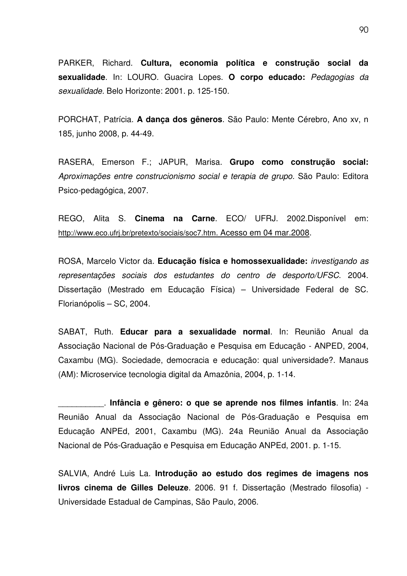PARKER, Richard. **Cultura, economia política e construção social da sexualidade**. In: LOURO. Guacira Lopes. **O corpo educado:** *Pedagogias da sexualidade.* Belo Horizonte: 2001. p. 125-150.

PORCHAT, Patrícia. **A dança dos gêneros**. São Paulo: Mente Cérebro, Ano xv, n 185, junho 2008, p. 44-49.

RASERA, Emerson F.; JAPUR, Marisa. **Grupo como construção social:** *Aproximações entre construcionismo social e terapia de grupo.* São Paulo: Editora Psico-pedagógica, 2007.

REGO, Alita S. **Cinema na Carne**. ECO/ UFRJ. 2002.Disponível em: http://www.eco.ufrj.br/pretexto/sociais/soc7.htm. Acesso em 04 mar.2008.

ROSA, Marcelo Victor da. **Educação física e homossexualidade:** *investigando as representações sociais dos estudantes do centro de desporto/UFSC*. 2004. Dissertação (Mestrado em Educação Física) – Universidade Federal de SC. Florianópolis – SC, 2004.

SABAT, Ruth. **Educar para a sexualidade normal**. In: Reunião Anual da Associação Nacional de Pós-Graduação e Pesquisa em Educação - ANPED, 2004, Caxambu (MG). Sociedade, democracia e educação: qual universidade?. Manaus (AM): Microservice tecnologia digital da Amazônia, 2004, p. 1-14.

\_\_\_\_\_\_\_\_\_\_. **Infância e gênero: o que se aprende nos filmes infantis**. In: 24a Reunião Anual da Associação Nacional de Pós-Graduação e Pesquisa em Educação ANPEd, 2001, Caxambu (MG). 24a Reunião Anual da Associação Nacional de Pós-Graduação e Pesquisa em Educação ANPEd, 2001. p. 1-15.

SALVIA, André Luis La. **Introdução ao estudo dos regimes de imagens nos livros cinema de Gilles Deleuze**. 2006. 91 f. Dissertação (Mestrado filosofia) - Universidade Estadual de Campinas, São Paulo, 2006.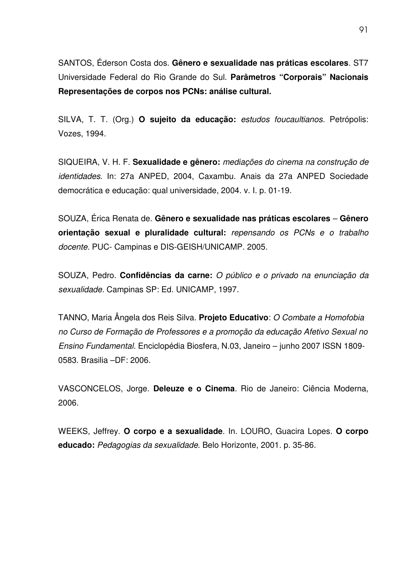SANTOS, Éderson Costa dos. **Gênero e sexualidade nas práticas escolares**. ST7 Universidade Federal do Rio Grande do Sul. **Parâmetros "Corporais" Nacionais Representações de corpos nos PCNs: análise cultural.**

SILVA, T. T. (Org.) **O sujeito da educação:** *estudos foucaultianos.* Petrópolis: Vozes, 1994.

SIQUEIRA, V. H. F. **Sexualidade e gênero:** *mediações do cinema na construção de identidades.* In: 27a ANPED, 2004, Caxambu. Anais da 27a ANPED Sociedade democrática e educação: qual universidade, 2004. v. I. p. 01-19.

SOUZA, Érica Renata de. **Gênero e sexualidade nas práticas escolares** – **Gênero orientação sexual e pluralidade cultural:** *repensando os PCNs e o trabalho docente.* PUC- Campinas e DIS-GEISH/UNICAMP. 2005.

SOUZA, Pedro. **Confidências da carne:** *O público e o privado na enunciação da sexualidade.* Campinas SP: Ed. UNICAMP, 1997.

TANNO, Maria Ângela dos Reis Silva. **Projeto Educativo**: *O Combate a Homofobia no Curso de Formação de Professores e a promoção da educação Afetivo Sexual no Ensino Fundamental.* Enciclopédia Biosfera, N.03, Janeiro – junho 2007 ISSN 1809- 0583. Brasilia –DF: 2006.

VASCONCELOS, Jorge. **Deleuze e o Cinema**. Rio de Janeiro: Ciência Moderna, 2006.

WEEKS, Jeffrey. **O corpo e a sexualidade**. In. LOURO, Guacira Lopes. **O corpo educado:** *Pedagogias da sexualidade*. Belo Horizonte, 2001. p. 35-86.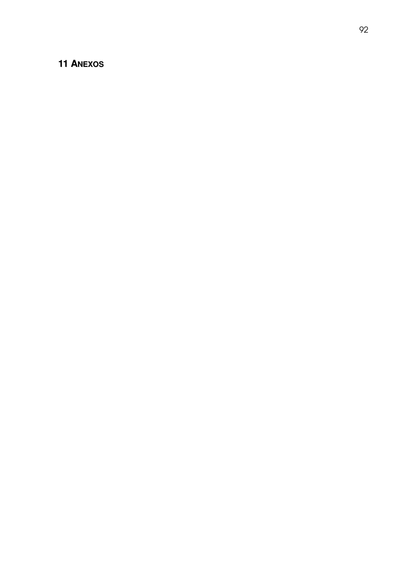# **1 A N E X O S**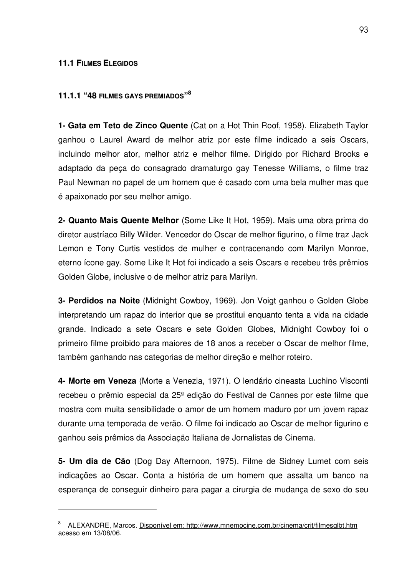#### **11.1 FILMES ELEGIDOS**

# **11.1.1 "48 FILMES GAYS PREMIADOS" 8**

**1- Gata em Teto de Zinco Quente** (Cat on a Hot Thin Roof, 1958). Elizabeth Taylor ganhou o Laurel Award de melhor atriz por este filme indicado a seis Oscars, incluindo melhor ator, melhor atriz e melhor filme. Dirigido por Richard Brooks e adaptado da peça do consagrado dramaturgo gay Tenesse Williams, o filme traz Paul Newman no papel de um homem que é casado com uma bela mulher mas que é apaixonado por seu melhor amigo.

**2- Quanto Mais Quente Melhor** (Some Like It Hot, 1959). Mais uma obra prima do diretor austríaco Billy Wilder. Vencedor do Oscar de melhor figurino, o filme traz Jack Lemon e Tony Curtis vestidos de mulher e contracenando com Marilyn Monroe, eterno ícone gay. Some Like It Hot foi indicado a seis Oscars e recebeu três prêmios Golden Globe, inclusive o de melhor atriz para Marilyn.

**3- Perdidos na Noite** (Midnight Cowboy, 1969). Jon Voigt ganhou o Golden Globe interpretando um rapaz do interior que se prostitui enquanto tenta a vida na cidade grande. Indicado a sete Oscars e sete Golden Globes, Midnight Cowboy foi o primeiro filme proibido para maiores de 18 anos a receber o Oscar de melhor filme, também ganhando nas categorias de melhor direção e melhor roteiro.

**4- Morte em Veneza** (Morte a Venezia, 1971). O lendário cineasta Luchino Visconti recebeu o prêmio especial da 25ª edição do Festival de Cannes por este filme que mostra com muita sensibilidade o amor de um homem maduro por um jovem rapaz durante uma temporada de verão. O filme foi indicado ao Oscar de melhor figurino e ganhou seis prêmios da Associação Italiana de Jornalistas de Cinema.

**5- Um dia de Cão** (Dog Day Afternoon, 1975). Filme de Sidney Lumet com seis indicações ao Oscar. Conta a história de um homem que assalta um banco na esperança de conseguir dinheiro para pagar a cirurgia de mudança de sexo do seu

<sup>8</sup> ALEXANDRE, Marcos. Disponível em: http://www.mnemocine.com.br/cinema/crit/filmesglbt.htm acesso em 13/08/06.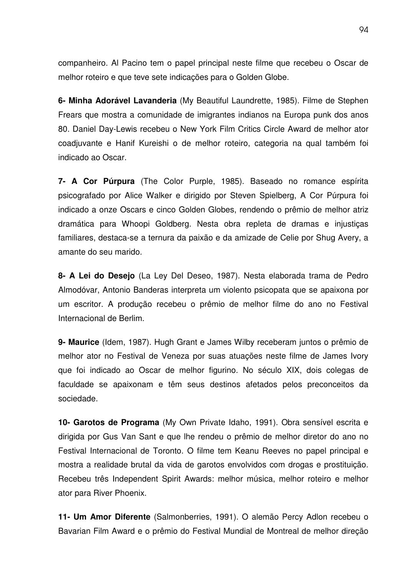companheiro. Al Pacino tem o papel principal neste filme que recebeu o Oscar de melhor roteiro e que teve sete indicações para o Golden Globe.

**6- Minha Adorável Lavanderia** (My Beautiful Laundrette, 1985). Filme de Stephen Frears que mostra a comunidade de imigrantes indianos na Europa punk dos anos 80. Daniel Day-Lewis recebeu o New York Film Critics Circle Award de melhor ator coadjuvante e Hanif Kureishi o de melhor roteiro, categoria na qual também foi indicado ao Oscar.

**7- A Cor Púrpura** (The Color Purple, 1985). Baseado no romance espírita psicografado por Alice Walker e dirigido por Steven Spielberg, A Cor Púrpura foi indicado a onze Oscars e cinco Golden Globes, rendendo o prêmio de melhor atriz dramática para Whoopi Goldberg. Nesta obra repleta de dramas e injustiças familiares, destaca-se a ternura da paixão e da amizade de Celie por Shug Avery, a amante do seu marido.

**8- A Lei do Desejo** (La Ley Del Deseo, 1987). Nesta elaborada trama de Pedro Almodóvar, Antonio Banderas interpreta um violento psicopata que se apaixona por um escritor. A produção recebeu o prêmio de melhor filme do ano no Festival Internacional de Berlim.

**9- Maurice** (Idem, 1987). Hugh Grant e James Wilby receberam juntos o prêmio de melhor ator no Festival de Veneza por suas atuações neste filme de James Ivory que foi indicado ao Oscar de melhor figurino. No século XIX, dois colegas de faculdade se apaixonam e têm seus destinos afetados pelos preconceitos da sociedade.

**10- Garotos de Programa** (My Own Private Idaho, 1991). Obra sensível escrita e dirigida por Gus Van Sant e que lhe rendeu o prêmio de melhor diretor do ano no Festival Internacional de Toronto. O filme tem Keanu Reeves no papel principal e mostra a realidade brutal da vida de garotos envolvidos com drogas e prostituição. Recebeu três Independent Spirit Awards: melhor música, melhor roteiro e melhor ator para River Phoenix.

**11- Um Amor Diferente** (Salmonberries, 1991). O alemão Percy Adlon recebeu o Bavarian Film Award e o prêmio do Festival Mundial de Montreal de melhor direção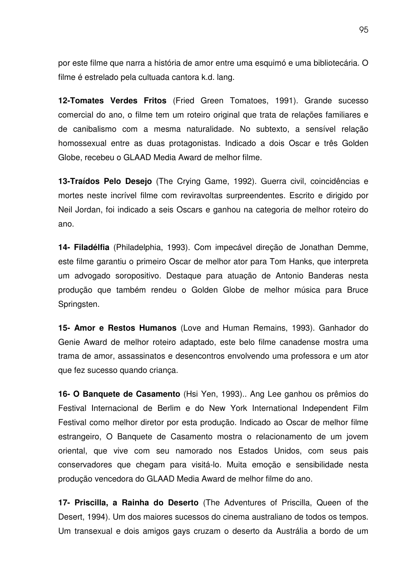por este filme que narra a história de amor entre uma esquimó e uma bibliotecária. O filme é estrelado pela cultuada cantora k.d. lang.

**12-Tomates Verdes Fritos** (Fried Green Tomatoes, 1991). Grande sucesso comercial do ano, o filme tem um roteiro original que trata de relações familiares e de canibalismo com a mesma naturalidade. No subtexto, a sensível relação homossexual entre as duas protagonistas. Indicado a dois Oscar e três Golden Globe, recebeu o GLAAD Media Award de melhor filme.

**13-Traídos Pelo Desejo** (The Crying Game, 1992). Guerra civil, coincidências e mortes neste incrível filme com reviravoltas surpreendentes. Escrito e dirigido por Neil Jordan, foi indicado a seis Oscars e ganhou na categoria de melhor roteiro do ano.

**14- Filadélfia** (Philadelphia, 1993). Com impecável direção de Jonathan Demme, este filme garantiu o primeiro Oscar de melhor ator para Tom Hanks, que interpreta um advogado soropositivo. Destaque para atuação de Antonio Banderas nesta produção que também rendeu o Golden Globe de melhor música para Bruce Springsten.

**15- Amor e Restos Humanos** (Love and Human Remains, 1993). Ganhador do Genie Award de melhor roteiro adaptado, este belo filme canadense mostra uma trama de amor, assassinatos e desencontros envolvendo uma professora e um ator que fez sucesso quando criança.

**16- O Banquete de Casamento** (Hsi Yen, 1993).. Ang Lee ganhou os prêmios do Festival Internacional de Berlim e do New York International Independent Film Festival como melhor diretor por esta produção. Indicado ao Oscar de melhor filme estrangeiro, O Banquete de Casamento mostra o relacionamento de um jovem oriental, que vive com seu namorado nos Estados Unidos, com seus pais conservadores que chegam para visitá-lo. Muita emoção e sensibilidade nesta produção vencedora do GLAAD Media Award de melhor filme do ano.

**17- Priscilla, a Rainha do Deserto** (The Adventures of Priscilla, Queen of the Desert, 1994). Um dos maiores sucessos do cinema australiano de todos os tempos. Um transexual e dois amigos gays cruzam o deserto da Austrália a bordo de um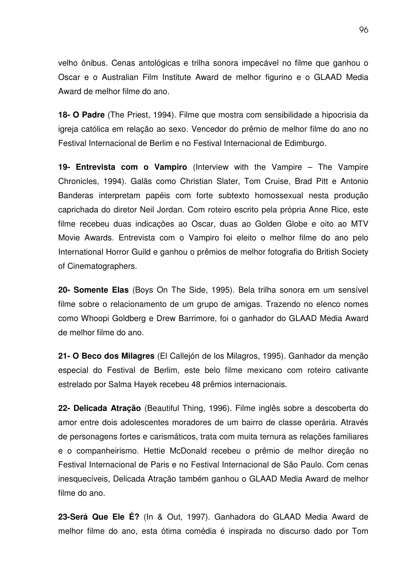velho ônibus. Cenas antológicas e trilha sonora impecável no filme que ganhou o Oscar e o Australian Film Institute Award de melhor figurino e o GLAAD Media Award de melhor filme do ano.

**18- O Padre** (The Priest, 1994). Filme que mostra com sensibilidade a hipocrisia da igreja católica em relação ao sexo. Vencedor do prêmio de melhor filme do ano no Festival Internacional de Berlim e no Festival Internacional de Edimburgo.

**19- Entrevista com o Vampiro** (Interview with the Vampire – The Vampire Chronicles, 1994). Galãs como Christian Slater, Tom Cruise, Brad Pitt e Antonio Banderas interpretam papéis com forte subtexto homossexual nesta produção caprichada do diretor Neil Jordan. Com roteiro escrito pela própria Anne Rice, este filme recebeu duas indicações ao Oscar, duas ao Golden Globe e oito ao MTV Movie Awards. Entrevista com o Vampiro foi eleito o melhor filme do ano pelo International Horror Guild e ganhou o prêmios de melhor fotografia do British Society of Cinematographers.

**20- Somente Elas** (Boys On The Side, 1995). Bela trilha sonora em um sensível filme sobre o relacionamento de um grupo de amigas. Trazendo no elenco nomes como Whoopi Goldberg e Drew Barrimore, foi o ganhador do GLAAD Media Award de melhor filme do ano.

**21- O Beco dos Milagres** (El Callejón de los Milagros, 1995). Ganhador da menção especial do Festival de Berlim, este belo filme mexicano com roteiro cativante estrelado por Salma Hayek recebeu 48 prêmios internacionais.

**22- Delicada Atração** (Beautiful Thing, 1996). Filme inglês sobre a descoberta do amor entre dois adolescentes moradores de um bairro de classe operária. Através de personagens fortes e carismáticos, trata com muita ternura as relações familiares e o companheirismo. Hettie McDonald recebeu o prêmio de melhor direção no Festival Internacional de Paris e no Festival Internacional de São Paulo. Com cenas inesquecíveis, Delicada Atração também ganhou o GLAAD Media Award de melhor filme do ano.

**23-Será Que Ele É?** (In & Out, 1997). Ganhadora do GLAAD Media Award de melhor filme do ano, esta ótima comédia é inspirada no discurso dado por Tom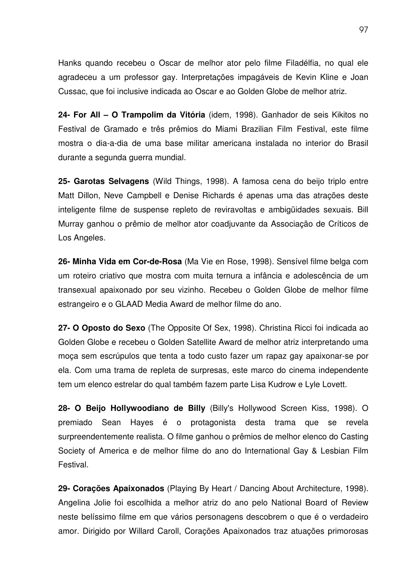Hanks quando recebeu o Oscar de melhor ator pelo filme Filadélfia, no qual ele agradeceu a um professor gay. Interpretações impagáveis de Kevin Kline e Joan Cussac, que foi inclusive indicada ao Oscar e ao Golden Globe de melhor atriz.

**24- For All – O Trampolim da Vitória** (idem, 1998). Ganhador de seis Kikitos no Festival de Gramado e três prêmios do Miami Brazilian Film Festival, este filme mostra o dia-a-dia de uma base militar americana instalada no interior do Brasil durante a segunda guerra mundial.

**25- Garotas Selvagens** (Wild Things, 1998). A famosa cena do beijo triplo entre Matt Dillon, Neve Campbell e Denise Richards é apenas uma das atrações deste inteligente filme de suspense repleto de reviravoltas e ambigüidades sexuais. Bill Murray ganhou o prêmio de melhor ator coadjuvante da Associação de Críticos de Los Angeles.

**26- Minha Vida em Cor-de-Rosa** (Ma Vie en Rose, 1998). Sensível filme belga com um roteiro criativo que mostra com muita ternura a infância e adolescência de um transexual apaixonado por seu vizinho. Recebeu o Golden Globe de melhor filme estrangeiro e o GLAAD Media Award de melhor filme do ano.

**27- O Oposto do Sexo** (The Opposite Of Sex, 1998). Christina Ricci foi indicada ao Golden Globe e recebeu o Golden Satellite Award de melhor atriz interpretando uma moça sem escrúpulos que tenta a todo custo fazer um rapaz gay apaixonar-se por ela. Com uma trama de repleta de surpresas, este marco do cinema independente tem um elenco estrelar do qual também fazem parte Lisa Kudrow e Lyle Lovett.

**28- O Beijo Hollywoodiano de Billy** (Billy's Hollywood Screen Kiss, 1998). O premiado Sean Hayes é o protagonista desta trama que se revela surpreendentemente realista. O filme ganhou o prêmios de melhor elenco do Casting Society of America e de melhor filme do ano do International Gay & Lesbian Film Festival.

**29- Corações Apaixonados** (Playing By Heart / Dancing About Architecture, 1998). Angelina Jolie foi escolhida a melhor atriz do ano pelo National Board of Review neste belíssimo filme em que vários personagens descobrem o que é o verdadeiro amor. Dirigido por Willard Caroll, Corações Apaixonados traz atuações primorosas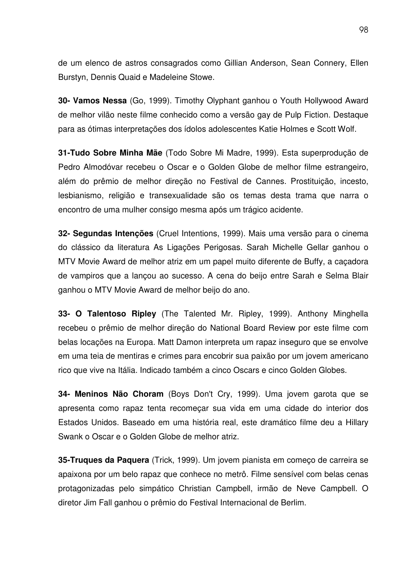de um elenco de astros consagrados como Gillian Anderson, Sean Connery, Ellen Burstyn, Dennis Quaid e Madeleine Stowe.

**30- Vamos Nessa** (Go, 1999). Timothy Olyphant ganhou o Youth Hollywood Award de melhor vilão neste filme conhecido como a versão gay de Pulp Fiction. Destaque para as ótimas interpretações dos ídolos adolescentes Katie Holmes e Scott Wolf.

**31-Tudo Sobre Minha Mãe** (Todo Sobre Mi Madre, 1999). Esta superprodução de Pedro Almodóvar recebeu o Oscar e o Golden Globe de melhor filme estrangeiro, além do prêmio de melhor direção no Festival de Cannes. Prostituição, incesto, lesbianismo, religião e transexualidade são os temas desta trama que narra o encontro de uma mulher consigo mesma após um trágico acidente.

**32- Segundas Intenções** (Cruel Intentions, 1999). Mais uma versão para o cinema do clássico da literatura As Ligações Perigosas. Sarah Michelle Gellar ganhou o MTV Movie Award de melhor atriz em um papel muito diferente de Buffy, a caçadora de vampiros que a lançou ao sucesso. A cena do beijo entre Sarah e Selma Blair ganhou o MTV Movie Award de melhor beijo do ano.

**33- O Talentoso Ripley** (The Talented Mr. Ripley, 1999). Anthony Minghella recebeu o prêmio de melhor direção do National Board Review por este filme com belas locações na Europa. Matt Damon interpreta um rapaz inseguro que se envolve em uma teia de mentiras e crimes para encobrir sua paixão por um jovem americano rico que vive na Itália. Indicado também a cinco Oscars e cinco Golden Globes.

**34- Meninos Não Choram** (Boys Don't Cry, 1999). Uma jovem garota que se apresenta como rapaz tenta recomeçar sua vida em uma cidade do interior dos Estados Unidos. Baseado em uma história real, este dramático filme deu a Hillary Swank o Oscar e o Golden Globe de melhor atriz.

**35-Truques da Paquera** (Trick, 1999). Um jovem pianista em começo de carreira se apaixona por um belo rapaz que conhece no metrô. Filme sensível com belas cenas protagonizadas pelo simpático Christian Campbell, irmão de Neve Campbell. O diretor Jim Fall ganhou o prêmio do Festival Internacional de Berlim.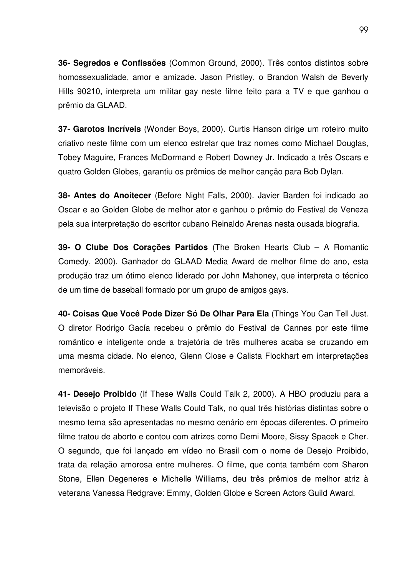**36- Segredos e Confissões** (Common Ground, 2000). Três contos distintos sobre homossexualidade, amor e amizade. Jason Pristley, o Brandon Walsh de Beverly Hills 90210, interpreta um militar gay neste filme feito para a TV e que ganhou o prêmio da GLAAD.

**37- Garotos Incríveis** (Wonder Boys, 2000). Curtis Hanson dirige um roteiro muito criativo neste filme com um elenco estrelar que traz nomes como Michael Douglas, Tobey Maguire, Frances McDormand e Robert Downey Jr. Indicado a três Oscars e quatro Golden Globes, garantiu os prêmios de melhor canção para Bob Dylan.

**38- Antes do Anoitecer** (Before Night Falls, 2000). Javier Barden foi indicado ao Oscar e ao Golden Globe de melhor ator e ganhou o prêmio do Festival de Veneza pela sua interpretação do escritor cubano Reinaldo Arenas nesta ousada biografia.

**39- O Clube Dos Corações Partidos** (The Broken Hearts Club – A Romantic Comedy, 2000). Ganhador do GLAAD Media Award de melhor filme do ano, esta produção traz um ótimo elenco liderado por John Mahoney, que interpreta o técnico de um time de baseball formado por um grupo de amigos gays.

**40- Coisas Que Você Pode Dizer Só De Olhar Para Ela** (Things You Can Tell Just. O diretor Rodrigo Gacía recebeu o prêmio do Festival de Cannes por este filme romântico e inteligente onde a trajetória de três mulheres acaba se cruzando em uma mesma cidade. No elenco, Glenn Close e Calista Flockhart em interpretações memoráveis.

**41- Desejo Proibido** (If These Walls Could Talk 2, 2000). A HBO produziu para a televisão o projeto If These Walls Could Talk, no qual três histórias distintas sobre o mesmo tema são apresentadas no mesmo cenário em épocas diferentes. O primeiro filme tratou de aborto e contou com atrizes como Demi Moore, Sissy Spacek e Cher. O segundo, que foi lançado em vídeo no Brasil com o nome de Desejo Proibido, trata da relação amorosa entre mulheres. O filme, que conta também com Sharon Stone, Ellen Degeneres e Michelle Williams, deu três prêmios de melhor atriz à veterana Vanessa Redgrave: Emmy, Golden Globe e Screen Actors Guild Award.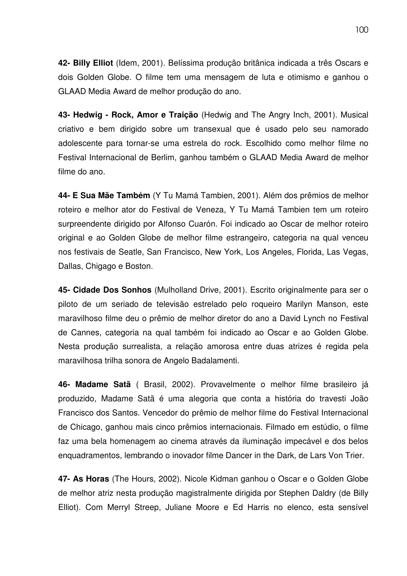**42- Billy Elliot** (Idem, 2001). Belíssima produção britânica indicada a três Oscars e dois Golden Globe. O filme tem uma mensagem de luta e otimismo e ganhou o GLAAD Media Award de melhor produção do ano.

**43- Hedwig - Rock, Amor e Traição** (Hedwig and The Angry Inch, 2001). Musical criativo e bem dirigido sobre um transexual que é usado pelo seu namorado adolescente para tornar-se uma estrela do rock. Escolhido como melhor filme no Festival Internacional de Berlim, ganhou também o GLAAD Media Award de melhor filme do ano.

**44- E Sua Mãe Também** (Y Tu Mamá Tambien, 2001). Além dos prêmios de melhor roteiro e melhor ator do Festival de Veneza, Y Tu Mamá Tambien tem um roteiro surpreendente dirigido por Alfonso Cuarón. Foi indicado ao Oscar de melhor roteiro original e ao Golden Globe de melhor filme estrangeiro, categoria na qual venceu nos festivais de Seatle, San Francisco, New York, Los Angeles, Florida, Las Vegas, Dallas, Chigago e Boston.

**45- Cidade Dos Sonhos** (Mulholland Drive, 2001). Escrito originalmente para ser o piloto de um seriado de televisão estrelado pelo roqueiro Marilyn Manson, este maravilhoso filme deu o prêmio de melhor diretor do ano a David Lynch no Festival de Cannes, categoria na qual também foi indicado ao Oscar e ao Golden Globe. Nesta produção surrealista, a relação amorosa entre duas atrizes é regida pela maravilhosa trilha sonora de Angelo Badalamenti.

**46- Madame Satã** ( Brasil, 2002). Provavelmente o melhor filme brasileiro já produzido, Madame Satã é uma alegoria que conta a história do travesti João Francisco dos Santos. Vencedor do prêmio de melhor filme do Festival Internacional de Chicago, ganhou mais cinco prêmios internacionais. Filmado em estúdio, o filme faz uma bela homenagem ao cinema através da iluminação impecável e dos belos enquadramentos, lembrando o inovador filme Dancer in the Dark, de Lars Von Trier.

**47- As Horas** (The Hours, 2002). Nicole Kidman ganhou o Oscar e o Golden Globe de melhor atriz nesta produção magistralmente dirigida por Stephen Daldry (de Billy Elliot). Com Merryl Streep, Juliane Moore e Ed Harris no elenco, esta sensível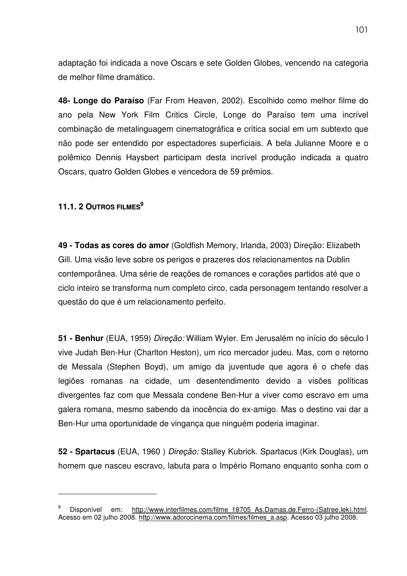adaptação foi indicada a nove Oscars e sete Golden Globes, vencendo na categoria de melhor filme dramático.

**48- Longe do Paraíso** (Far From Heaven, 2002). Escolhido como melhor filme do ano pela New York Film Critics Circle, Longe do Paraíso tem uma incrível combinação de metalinguagem cinematográfica e crítica social em um subtexto que não pode ser entendido por espectadores superficiais. A bela Julianne Moore e o polêmico Dennis Haysbert participam desta incrível produção indicada a quatro Oscars, quatro Golden Globes e vencedora de 59 prêmios.

# **11.1. 2 OUTROS FILMES 9**

**49 - Todas as cores do amor** (Goldfish Memory, Irlanda, 2003) Direção: Elizabeth Gill. Uma visão leve sobre os perigos e prazeres dos relacionamentos na Dublin contemporânea. Uma série de reações de romances e corações partidos até que o ciclo inteiro se transforma num completo circo, cada personagem tentando resolver a questão do que é um relacionamento perfeito.

**51 - Benhur** (EUA, 1959) *Direção:* William Wyler. Em Jerusalém no início do século I vive Judah Ben-Hur (Charlton Heston), um rico mercador judeu. Mas, com o retorno de Messala (Stephen Boyd), um amigo da juventude que agora é o chefe das legiões romanas na cidade, um desentendimento devido a visões políticas divergentes faz com que Messala condene Ben-Hur a viver como escravo em uma galera romana, mesmo sabendo da inocência do ex-amigo. Mas o destino vai dar a Ben-Hur uma oportunidade de vingança que ninguém poderia imaginar.

**52 - Spartacus** (EUA, 1960 ) *Direção:* Stalley Kubrick. Spartacus (Kirk Douglas), um homem que nasceu escravo, labuta para o Império Romano enquanto sonha com o

Disponível em: http://www.interfilmes.com/filme\_18705\_As.Damas.de.Ferro-(Satree.lek).html. Acesso em 02 julho 2008. http://www.adorocinema.com/filmes/filmes\_a.asp. Acesso 03 julho 2008.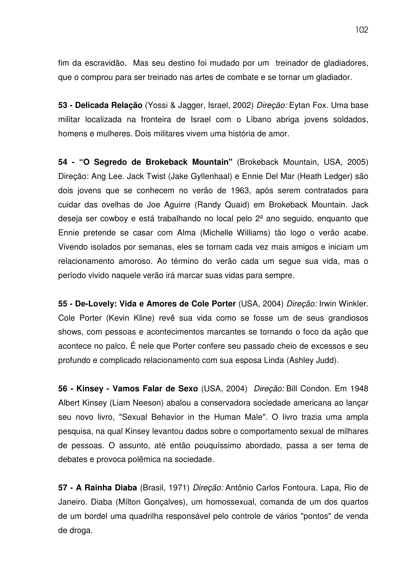fim da escravidão. Mas seu destino foi mudado por um treinador de gladiadores, que o comprou para ser treinado nas artes de combate e se tornar um gladiador.

**53 - Delicada Relação** (Yossi & Jagger, Israel, 2002) *Direção:* Eytan Fox. Uma base militar localizada na fronteira de Israel com o Líbano abriga jovens soldados, homens e mulheres. Dois militares vivem uma história de amor.

**54 - "O Segredo de Brokeback Mountain"** (Brokeback Mountain, USA, 2005) Direção: Ang Lee. Jack Twist (Jake Gyllenhaal) e Ennie Del Mar (Heath Ledger) são dois jovens que se conhecem no verão de 1963, após serem contratados para cuidar das ovelhas de Joe Aguirre (Randy Quaid) em Brokeback Mountain. Jack deseja ser cowboy e está trabalhando no local pelo 2º ano seguido, enquanto que Ennie pretende se casar com Alma (Michelle Williams) tão logo o verão acabe. Vivendo isolados por semanas, eles se tornam cada vez mais amigos e iniciam um relacionamento amoroso. Ao término do verão cada um segue sua vida, mas o período vivido naquele verão irá marcar suas vidas para sempre.

**55 - De-Lovely: Vida e Amores de Cole Porter** (USA, 2004) *Direção:* Irwin Winkler. Cole Porter (Kevin Kline) revê sua vida como se fosse um de seus grandiosos shows, com pessoas e acontecimentos marcantes se tornando o foco da ação que acontece no palco. É nele que Porter confere seu passado cheio de excessos e seu profundo e complicado relacionamento com sua esposa Linda (Ashley Judd).

**56 - Kinsey - Vamos Falar de Sexo** (USA, 2004) *Direção:* Bill Condon. Em 1948 Albert Kinsey (Liam Neeson) abalou a conservadora sociedade americana ao lançar seu novo livro, "Sexual Behavior in the Human Male". O livro trazia uma ampla pesquisa, na qual Kinsey levantou dados sobre o comportamento sexual de milhares de pessoas. O assunto, até então pouquíssimo abordado, passa a ser tema de debates e provoca polêmica na sociedade.

**57 - A Rainha Diaba** (Brasil, 1971) *Direção:* Antônio Carlos Fontoura. Lapa, Rio de Janeiro. Diaba (Mílton Gonçalves), um homossexual, comanda de um dos quartos de um bordel uma quadrilha responsável pelo controle de vários "pontos" de venda de droga.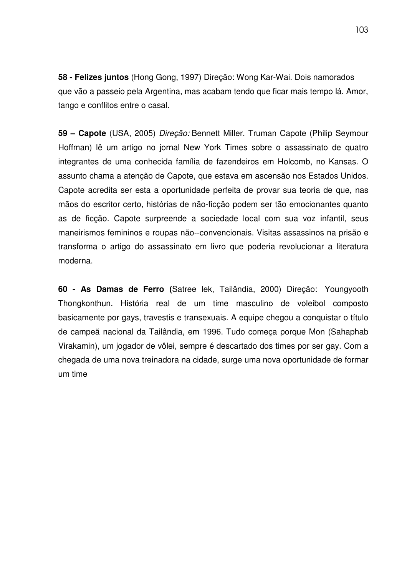**58 - Felizes juntos** (Hong Gong, 1997) Direção: Wong Kar-Wai. Dois namorados que vão a passeio pela Argentina, mas acabam tendo que ficar mais tempo lá. Amor, tango e conflitos entre o casal.

**59 – Capote** (USA, 2005) *Direção:* Bennett Miller. Truman Capote (Philip Seymour Hoffman) lê um artigo no jornal New York Times sobre o assassinato de quatro integrantes de uma conhecida família de fazendeiros em Holcomb, no Kansas. O assunto chama a atenção de Capote, que estava em ascensão nos Estados Unidos. Capote acredita ser esta a oportunidade perfeita de provar sua teoria de que, nas mãos do escritor certo, histórias de não-ficção podem ser tão emocionantes quanto as de ficção. Capote surpreende a sociedade local com sua voz infantil, seus maneirismos femininos e roupas não--convencionais. Visitas assassinos na prisão e transforma o artigo do assassinato em livro que poderia revolucionar a literatura moderna.

**60 - As Damas de Ferro (**Satree lek, Tailândia, 2000) Direção: Youngyooth Thongkonthun. História real de um time masculino de voleibol composto basicamente por gays, travestis e transexuais. A equipe chegou a conquistar o título de campeã nacional da Tailândia, em 1996. Tudo começa porque Mon (Sahaphab Virakamin), um jogador de vôlei, sempre é descartado dos times por ser gay. Com a chegada de uma nova treinadora na cidade, surge uma nova oportunidade de formar um time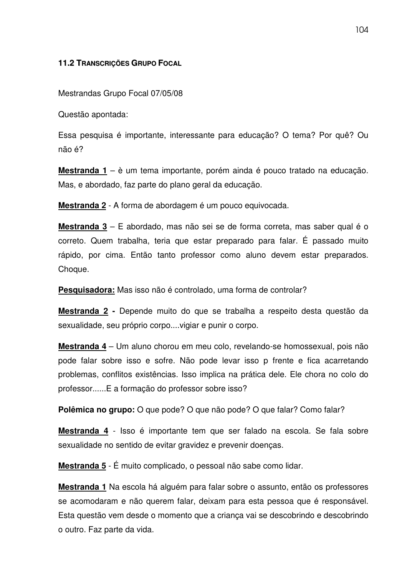## **11.2 TRANSCRIÇÕES GRUPO FOCAL**

Mestrandas Grupo Focal 07/05/08

Questão apontada:

Essa pesquisa é importante, interessante para educação? O tema? Por quê? Ou não é?

**Mestranda 1** – è um tema importante, porém ainda é pouco tratado na educação. Mas, e abordado, faz parte do plano geral da educação.

**Mestranda 2** - A forma de abordagem é um pouco equivocada.

**Mestranda 3** – E abordado, mas não sei se de forma correta, mas saber qual é o correto. Quem trabalha, teria que estar preparado para falar. É passado muito rápido, por cima. Então tanto professor como aluno devem estar preparados. Choque.

**Pesquisadora:** Mas isso não é controlado, uma forma de controlar?

**Mestranda 2 -** Depende muito do que se trabalha a respeito desta questão da sexualidade, seu próprio corpo....vigiar e punir o corpo.

**Mestranda 4** – Um aluno chorou em meu colo, revelando-se homossexual, pois não pode falar sobre isso e sofre. Não pode levar isso p frente e fica acarretando problemas, conflitos existências. Isso implica na prática dele. Ele chora no colo do professor......E a formação do professor sobre isso?

**Polêmica no grupo:** O que pode? O que não pode? O que falar? Como falar?

**Mestranda 4** - Isso é importante tem que ser falado na escola. Se fala sobre sexualidade no sentido de evitar gravidez e prevenir doenças.

**Mestranda 5** - É muito complicado, o pessoal não sabe como lidar.

**Mestranda 1** Na escola há alguém para falar sobre o assunto, então os professores se acomodaram e não querem falar, deixam para esta pessoa que é responsável. Esta questão vem desde o momento que a criança vai se descobrindo e descobrindo o outro. Faz parte da vida.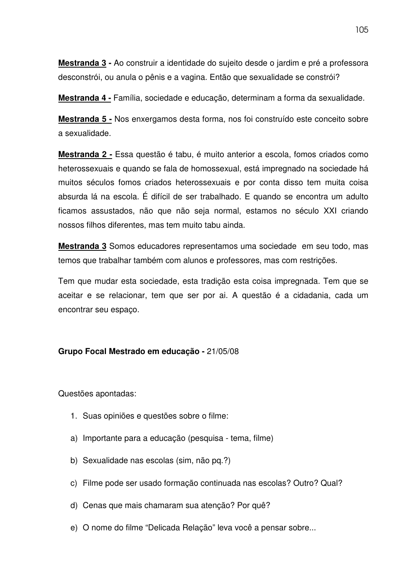**Mestranda 3 -** Ao construir a identidade do sujeito desde o jardim e pré a professora desconstrói, ou anula o pênis e a vagina. Então que sexualidade se constrói?

**Mestranda 4 -** Família, sociedade e educação, determinam a forma da sexualidade.

**Mestranda 5 -** Nos enxergamos desta forma, nos foi construído este conceito sobre a sexualidade.

**Mestranda 2 -** Essa questão é tabu, é muito anterior a escola, fomos criados como heterossexuais e quando se fala de homossexual, está impregnado na sociedade há muitos séculos fomos criados heterossexuais e por conta disso tem muita coisa absurda lá na escola. É difícil de ser trabalhado. E quando se encontra um adulto ficamos assustados, não que não seja normal, estamos no século XXI criando nossos filhos diferentes, mas tem muito tabu ainda.

**Mestranda 3** Somos educadores representamos uma sociedade em seu todo, mas temos que trabalhar também com alunos e professores, mas com restrições.

Tem que mudar esta sociedade, esta tradição esta coisa impregnada. Tem que se aceitar e se relacionar, tem que ser por ai. A questão é a cidadania, cada um encontrar seu espaço.

## **Grupo Focal Mestrado em educação -** 21/05/08

Questões apontadas:

- 1. Suas opiniões e questões sobre o filme:
- a) Importante para a educação (pesquisa tema, filme)
- b) Sexualidade nas escolas (sim, não pq.?)
- c) Filme pode ser usado formação continuada nas escolas? Outro? Qual?
- d) Cenas que mais chamaram sua atenção? Por quê?
- e) O nome do filme "Delicada Relação" leva você a pensar sobre...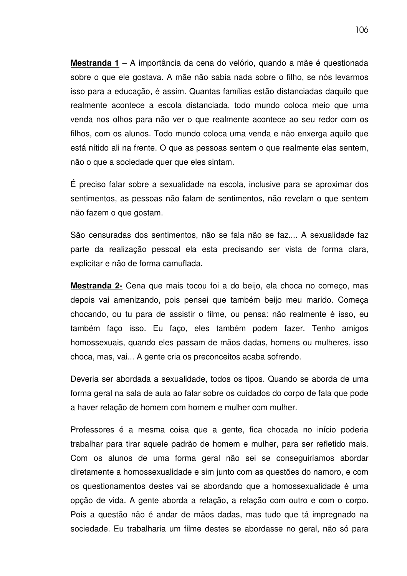**Mestranda 1** – A importância da cena do velório, quando a mãe é questionada sobre o que ele gostava. A mãe não sabia nada sobre o filho, se nós levarmos isso para a educação, é assim. Quantas famílias estão distanciadas daquilo que realmente acontece a escola distanciada, todo mundo coloca meio que uma venda nos olhos para não ver o que realmente acontece ao seu redor com os filhos, com os alunos. Todo mundo coloca uma venda e não enxerga aquilo que está nítido ali na frente. O que as pessoas sentem o que realmente elas sentem, não o que a sociedade quer que eles sintam.

É preciso falar sobre a sexualidade na escola, inclusive para se aproximar dos sentimentos, as pessoas não falam de sentimentos, não revelam o que sentem não fazem o que gostam.

São censuradas dos sentimentos, não se fala não se faz.... A sexualidade faz parte da realização pessoal ela esta precisando ser vista de forma clara, explicitar e não de forma camuflada.

**Mestranda 2-** Cena que mais tocou foi a do beijo, ela choca no começo, mas depois vai amenizando, pois pensei que também beijo meu marido. Começa chocando, ou tu para de assistir o filme, ou pensa: não realmente é isso, eu também faço isso. Eu faço, eles também podem fazer. Tenho amigos homossexuais, quando eles passam de mãos dadas, homens ou mulheres, isso choca, mas, vai... A gente cria os preconceitos acaba sofrendo.

Deveria ser abordada a sexualidade, todos os tipos. Quando se aborda de uma forma geral na sala de aula ao falar sobre os cuidados do corpo de fala que pode a haver relação de homem com homem e mulher com mulher.

Professores é a mesma coisa que a gente, fica chocada no início poderia trabalhar para tirar aquele padrão de homem e mulher, para ser refletido mais. Com os alunos de uma forma geral não sei se conseguiríamos abordar diretamente a homossexualidade e sim junto com as questões do namoro, e com os questionamentos destes vai se abordando que a homossexualidade é uma opção de vida. A gente aborda a relação, a relação com outro e com o corpo. Pois a questão não é andar de mãos dadas, mas tudo que tá impregnado na sociedade. Eu trabalharia um filme destes se abordasse no geral, não só para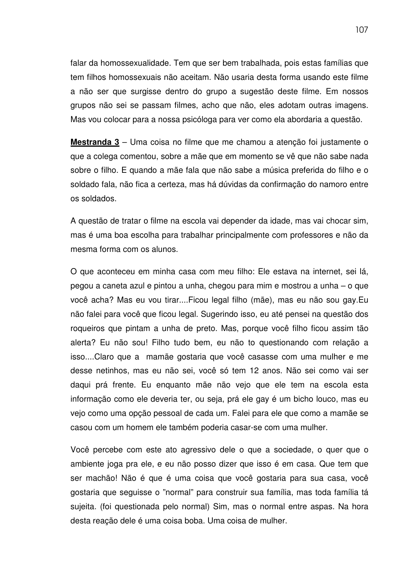falar da homossexualidade. Tem que ser bem trabalhada, pois estas famílias que tem filhos homossexuais não aceitam. Não usaria desta forma usando este filme a não ser que surgisse dentro do grupo a sugestão deste filme. Em nossos grupos não sei se passam filmes, acho que não, eles adotam outras imagens. Mas vou colocar para a nossa psicóloga para ver como ela abordaria a questão.

**Mestranda 3** – Uma coisa no filme que me chamou a atenção foi justamente o que a colega comentou, sobre a mãe que em momento se vê que não sabe nada sobre o filho. E quando a mãe fala que não sabe a música preferida do filho e o soldado fala, não fica a certeza, mas há dúvidas da confirmação do namoro entre os soldados.

A questão de tratar o filme na escola vai depender da idade, mas vai chocar sim, mas é uma boa escolha para trabalhar principalmente com professores e não da mesma forma com os alunos.

O que aconteceu em minha casa com meu filho: Ele estava na internet, sei lá, pegou a caneta azul e pintou a unha, chegou para mim e mostrou a unha – o que você acha? Mas eu vou tirar....Ficou legal filho (mãe), mas eu não sou gay.Eu não falei para você que ficou legal. Sugerindo isso, eu até pensei na questão dos roqueiros que pintam a unha de preto. Mas, porque você filho ficou assim tão alerta? Eu não sou! Filho tudo bem, eu não to questionando com relação a isso....Claro que a mamãe gostaria que você casasse com uma mulher e me desse netinhos, mas eu não sei, você só tem 12 anos. Não sei como vai ser daqui prá frente. Eu enquanto mãe não vejo que ele tem na escola esta informação como ele deveria ter, ou seja, prá ele gay é um bicho louco, mas eu vejo como uma opção pessoal de cada um. Falei para ele que como a mamãe se casou com um homem ele também poderia casar-se com uma mulher.

Você percebe com este ato agressivo dele o que a sociedade, o quer que o ambiente joga pra ele, e eu não posso dizer que isso é em casa. Que tem que ser machão! Não é que é uma coisa que você gostaria para sua casa, você gostaria que seguisse o "normal" para construir sua família, mas toda família tá sujeita. (foi questionada pelo normal) Sim, mas o normal entre aspas. Na hora desta reação dele é uma coisa boba. Uma coisa de mulher.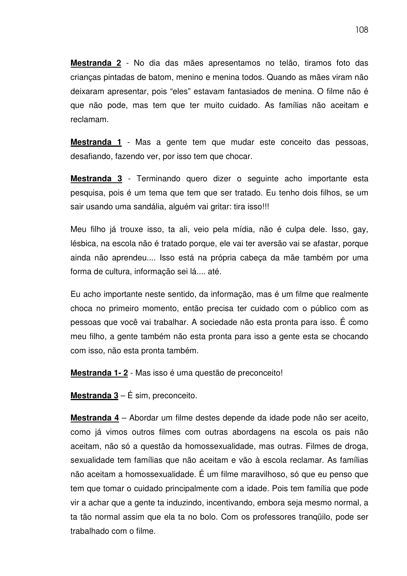**Mestranda 2** - No dia das mães apresentamos no telão, tiramos foto das crianças pintadas de batom, menino e menina todos. Quando as mães viram não deixaram apresentar, pois "eles" estavam fantasiados de menina. O filme não é que não pode, mas tem que ter muito cuidado. As famílias não aceitam e reclamam.

**Mestranda 1** - Mas a gente tem que mudar este conceito das pessoas, desafiando, fazendo ver, por isso tem que chocar.

**Mestranda 3** - Terminando quero dizer o seguinte acho importante esta pesquisa, pois é um tema que tem que ser tratado. Eu tenho dois filhos, se um sair usando uma sandália, alguém vai gritar: tira isso!!!

Meu filho já trouxe isso, ta ali, veio pela mídia, não é culpa dele. Isso, gay, lésbica, na escola não é tratado porque, ele vai ter aversão vai se afastar, porque ainda não aprendeu.... Isso está na própria cabeça da mãe também por uma forma de cultura, informação sei lá.... até.

Eu acho importante neste sentido, da informação, mas é um filme que realmente choca no primeiro momento, então precisa ter cuidado com o público com as pessoas que você vai trabalhar. A sociedade não esta pronta para isso. É como meu filho, a gente também não esta pronta para isso a gente esta se chocando com isso, não esta pronta também.

**Mestranda 1- 2** - Mas isso é uma questão de preconceito!

**Mestranda 3** – É sim, preconceito.

**Mestranda 4** – Abordar um filme destes depende da idade pode não ser aceito, como já vimos outros filmes com outras abordagens na escola os pais não aceitam, não só a questão da homossexualidade, mas outras. Filmes de droga, sexualidade tem famílias que não aceitam e vão à escola reclamar. As famílias não aceitam a homossexualidade. É um filme maravilhoso, só que eu penso que tem que tomar o cuidado principalmente com a idade. Pois tem família que pode vir a achar que a gente ta induzindo, incentivando, embora seja mesmo normal, a ta tão normal assim que ela ta no bolo. Com os professores tranqüilo, pode ser trabalhado com o filme.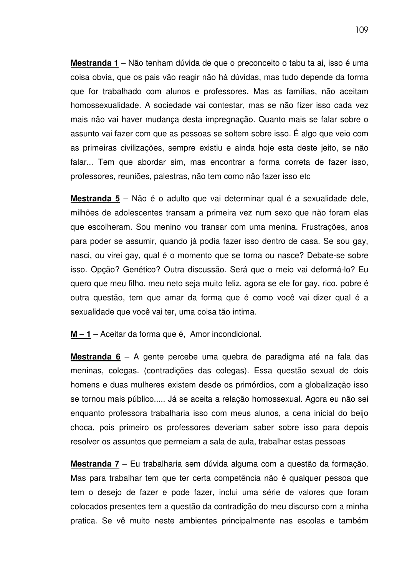**Mestranda 1** – Não tenham dúvida de que o preconceito o tabu ta ai, isso é uma coisa obvia, que os pais vão reagir não há dúvidas, mas tudo depende da forma que for trabalhado com alunos e professores. Mas as famílias, não aceitam homossexualidade. A sociedade vai contestar, mas se não fizer isso cada vez mais não vai haver mudança desta impregnação. Quanto mais se falar sobre o assunto vai fazer com que as pessoas se soltem sobre isso. É algo que veio com as primeiras civilizações, sempre existiu e ainda hoje esta deste jeito, se não falar... Tem que abordar sim, mas encontrar a forma correta de fazer isso, professores, reuniões, palestras, não tem como não fazer isso etc

**Mestranda 5** – Não é o adulto que vai determinar qual é a sexualidade dele, milhões de adolescentes transam a primeira vez num sexo que não foram elas que escolheram. Sou menino vou transar com uma menina. Frustrações, anos para poder se assumir, quando já podia fazer isso dentro de casa. Se sou gay, nasci, ou virei gay, qual é o momento que se torna ou nasce? Debate-se sobre isso. Opção? Genético? Outra discussão. Será que o meio vai deformá-lo? Eu quero que meu filho, meu neto seja muito feliz, agora se ele for gay, rico, pobre é outra questão, tem que amar da forma que é como você vai dizer qual é a sexualidade que você vai ter, uma coisa tão intima.

**M – 1** – Aceitar da forma que é, Amor incondicional.

**Mestranda 6** – A gente percebe uma quebra de paradigma até na fala das meninas, colegas. (contradições das colegas). Essa questão sexual de dois homens e duas mulheres existem desde os primórdios, com a globalização isso se tornou mais público..... Já se aceita a relação homossexual. Agora eu não sei enquanto professora trabalharia isso com meus alunos, a cena inicial do beijo choca, pois primeiro os professores deveriam saber sobre isso para depois resolver os assuntos que permeiam a sala de aula, trabalhar estas pessoas

**Mestranda 7** – Eu trabalharia sem dúvida alguma com a questão da formação. Mas para trabalhar tem que ter certa competência não é qualquer pessoa que tem o desejo de fazer e pode fazer, inclui uma série de valores que foram colocados presentes tem a questão da contradição do meu discurso com a minha pratica. Se vê muito neste ambientes principalmente nas escolas e também